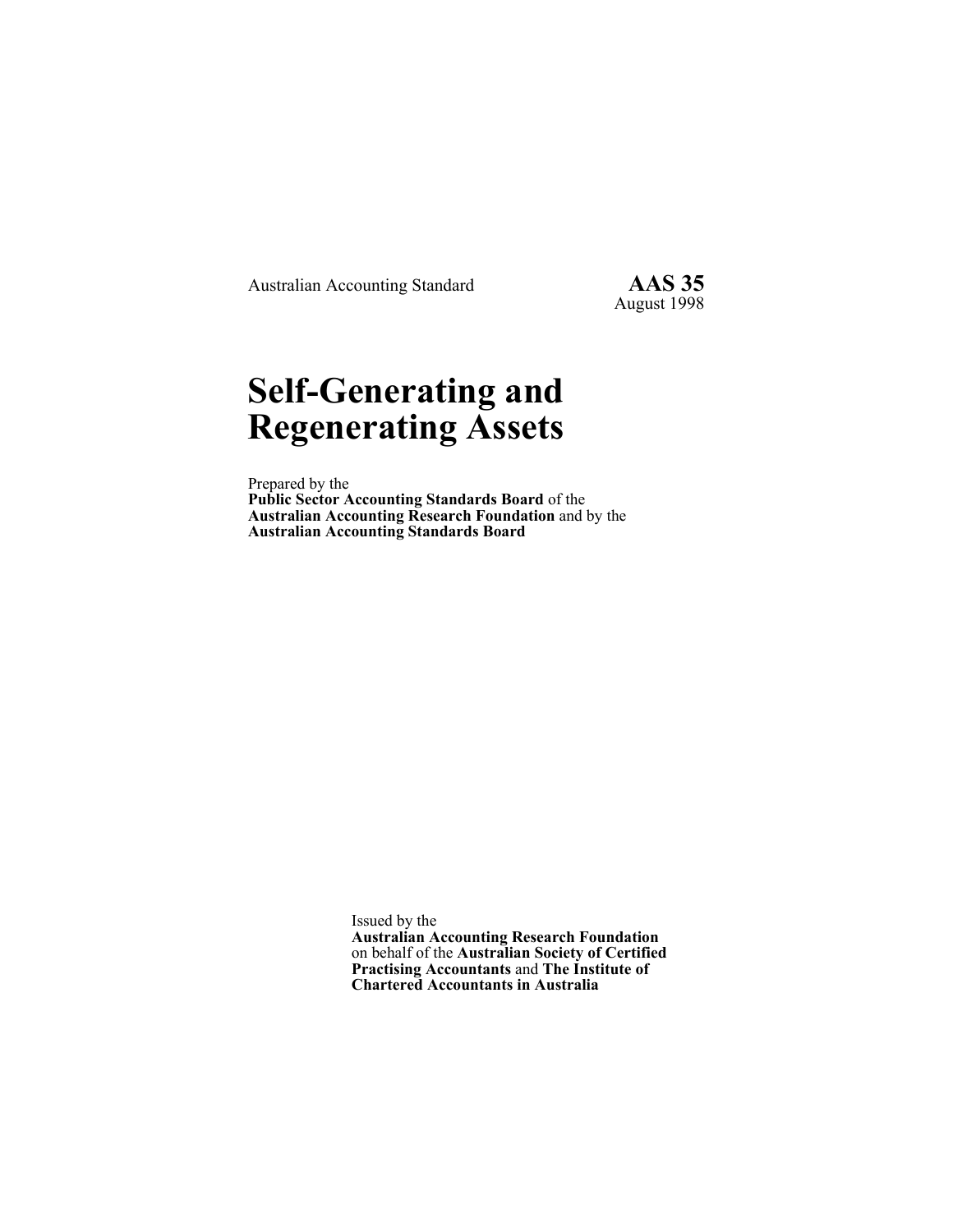Australian Accounting Standard **AAS 35** 

August 1998

# **Self-Generating and Regenerating Assets**

Prepared by the **Public Sector Accounting Standards Board** of the **Australian Accounting Research Foundation** and by the **Australian Accounting Standards Board**

> Issued by the **Australian Accounting Research Foundation**  on behalf of the **Australian Society of Certified Practising Accountants** and **The Institute of Chartered Accountants in Australia**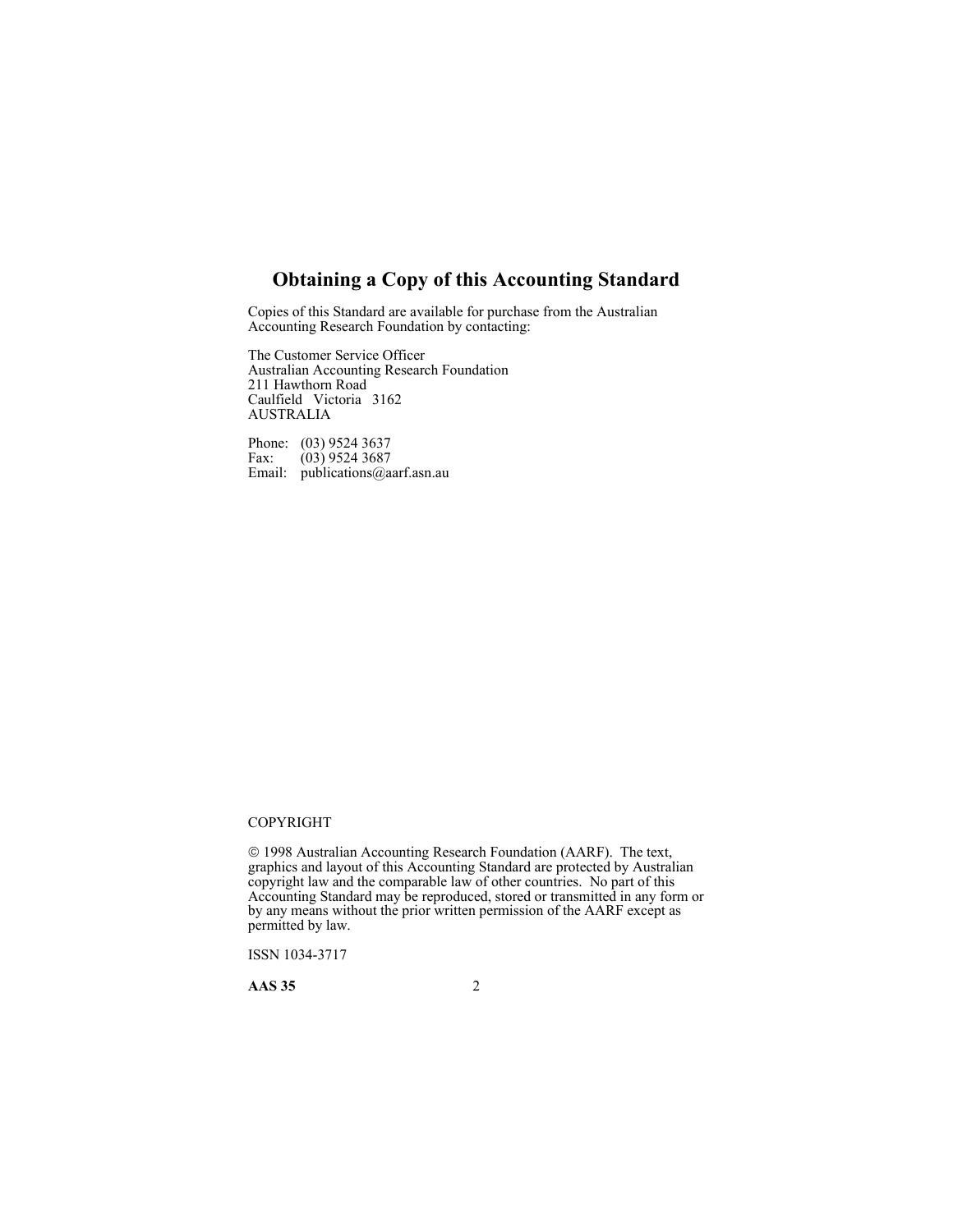# **Obtaining a Copy of this Accounting Standard**

Copies of this Standard are available for purchase from the Australian Accounting Research Foundation by contacting:

The Customer Service Officer Australian Accounting Research Foundation 211 Hawthorn Road Caulfield Victoria 3162 AUSTRALIA

Phone: (03) 9524 3637 Fax:  $(03)$  9524 3687 Email: publications@aarf.asn.au

### COPYRIGHT

 1998 Australian Accounting Research Foundation (AARF). The text, graphics and layout of this Accounting Standard are protected by Australian copyright law and the comparable law of other countries. No part of this Accounting Standard may be reproduced, stored or transmitted in any form or by any means without the prior written permission of the AARF except as permitted by law.

ISSN 1034-3717

**AAS 35** 2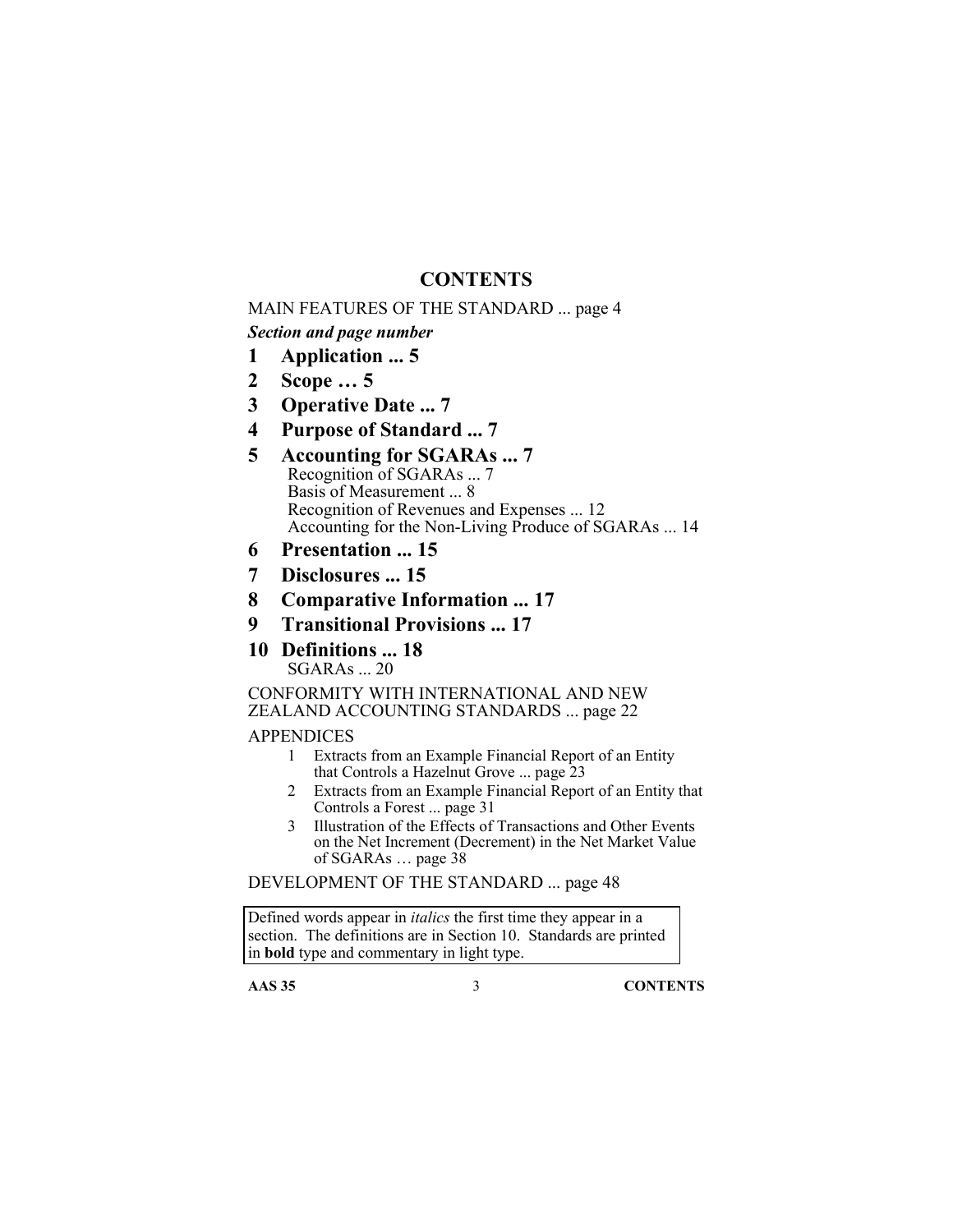# **CONTENTS**

### MAIN FEATURES OF THE STANDARD ... page 4

# *Section and page number*

- **1 Application ... 5**
- **2 Scope … 5**
- **3 Operative Date ... 7**
- **4 Purpose of Standard ... 7**
- **5 Accounting for SGARAs ... 7**  Recognition of SGARAs ... 7 Basis of Measurement ... 8 Recognition of Revenues and Expenses ... 12 Accounting for the Non-Living Produce of SGARAs ... 14
- **6 Presentation ... 15**
- **7 Disclosures ... 15**
- **8 Comparative Information ... 17**
- **9 Transitional Provisions ... 17**
- **10 Definitions ... 18**  SGARAs ... 20

CONFORMITY WITH INTERNATIONAL AND NEW ZEALAND ACCOUNTING STANDARDS ... page 22

### **APPENDICES**

- 1 Extracts from an Example Financial Report of an Entity that Controls a Hazelnut Grove ... page 23
- 2 Extracts from an Example Financial Report of an Entity that Controls a Forest ... page 31
- 3 Illustration of the Effects of Transactions and Other Events on the Net Increment (Decrement) in the Net Market Value of SGARAs … page 38

DEVELOPMENT OF THE STANDARD ... page 48

Defined words appear in *italics* the first time they appear in a section. The definitions are in Section 10. Standards are printed in **bold** type and commentary in light type.

**AAS 35** 3 **CONTENTS**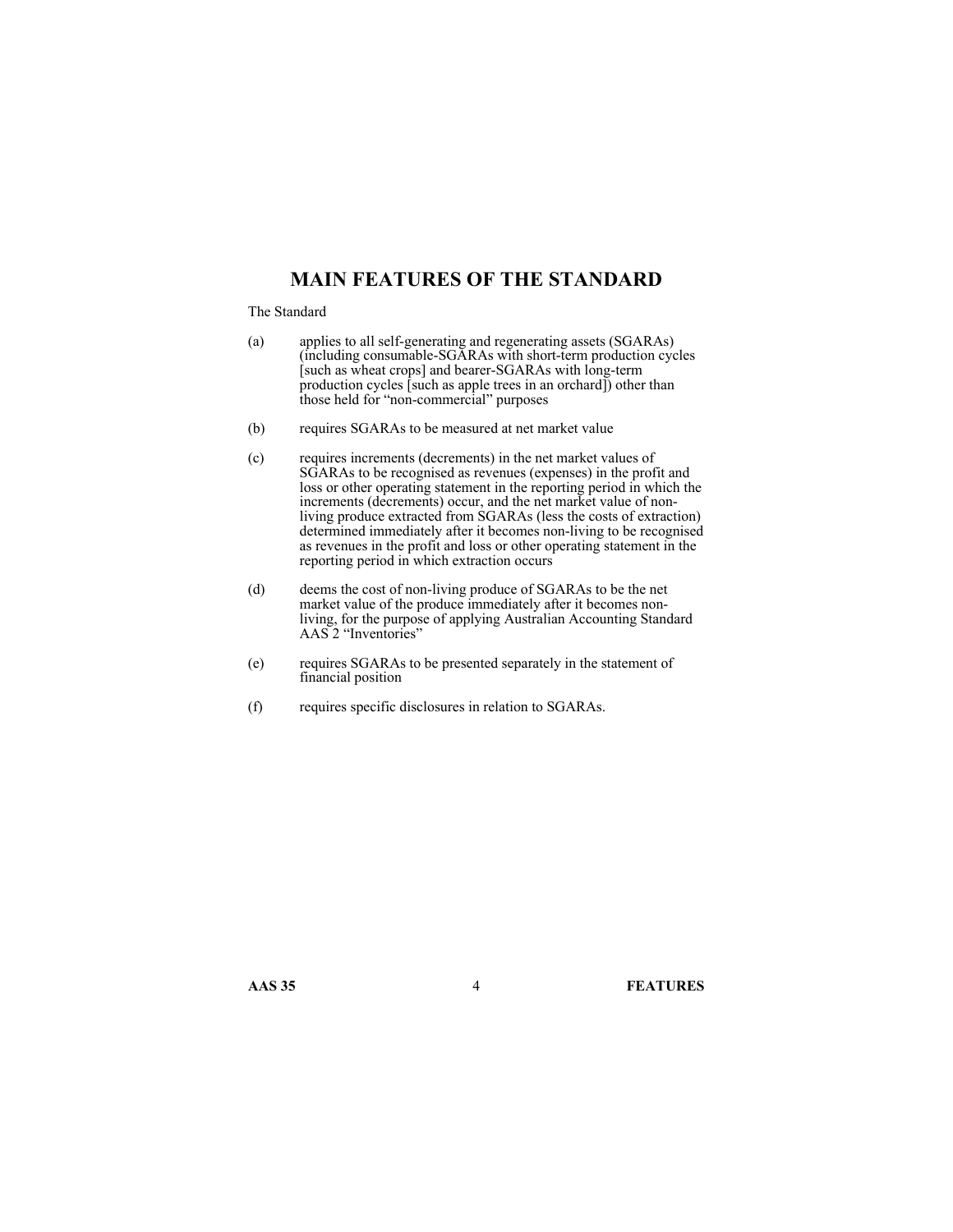# **MAIN FEATURES OF THE STANDARD**

#### The Standard

- (a) applies to all self-generating and regenerating assets (SGARAs) (including consumable-SGARAs with short-term production cycles [such as wheat crops] and bearer-SGARAs with long-term production cycles [such as apple trees in an orchard]) other than those held for "non-commercial" purposes
- (b) requires SGARAs to be measured at net market value
- (c) requires increments (decrements) in the net market values of SGARAs to be recognised as revenues (expenses) in the profit and loss or other operating statement in the reporting period in which the increments (decrements) occur, and the net market value of nonliving produce extracted from SGARAs (less the costs of extraction) determined immediately after it becomes non-living to be recognised as revenues in the profit and loss or other operating statement in the reporting period in which extraction occurs
- (d) deems the cost of non-living produce of SGARAs to be the net market value of the produce immediately after it becomes nonliving, for the purpose of applying Australian Accounting Standard AAS 2 "Inventories"
- (e) requires SGARAs to be presented separately in the statement of financial position
- (f) requires specific disclosures in relation to SGARAs.

**AAS 35** 4 **FEATURES**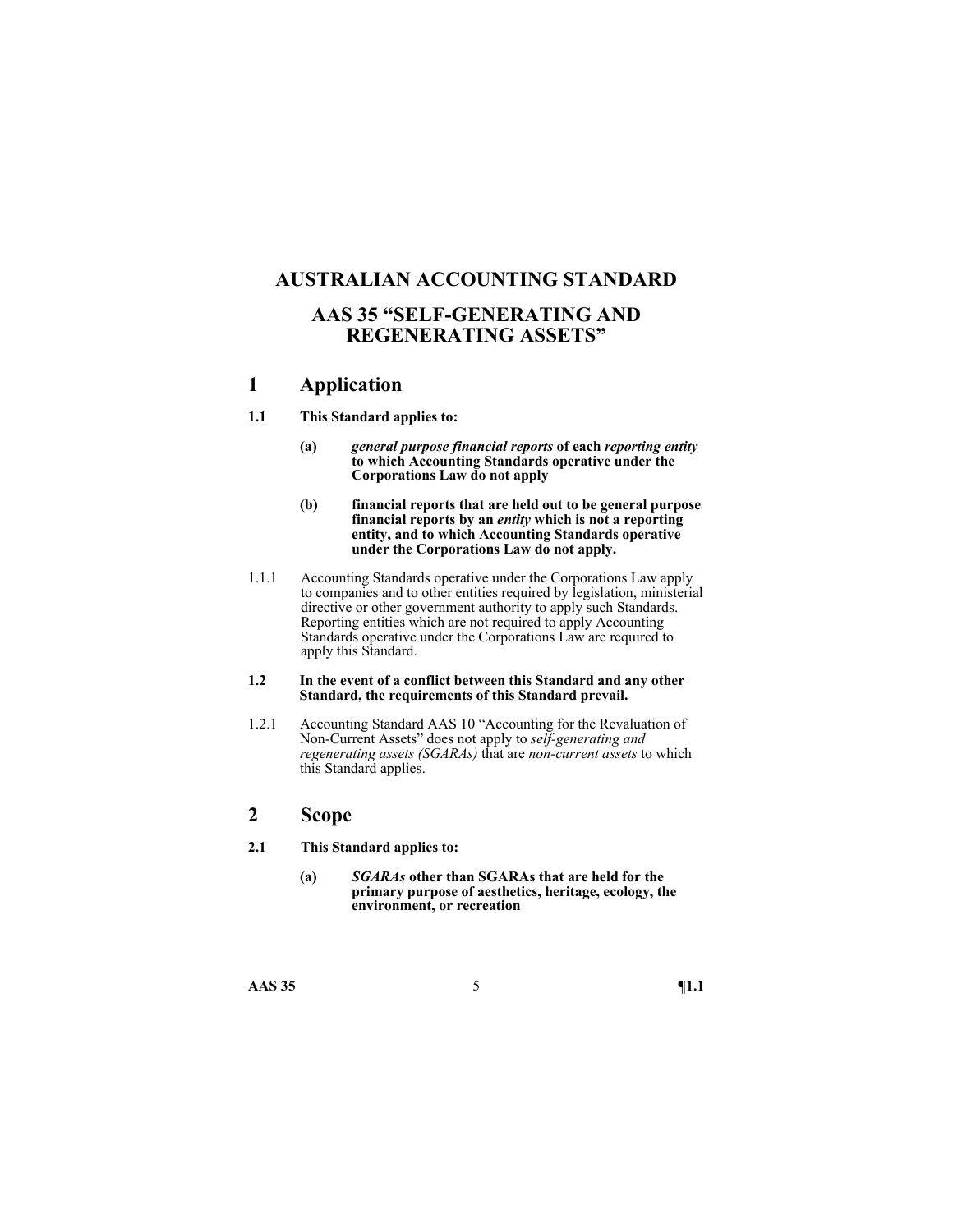# **AUSTRALIAN ACCOUNTING STANDARD**

# **AAS 35 "SELF-GENERATING AND REGENERATING ASSETS"**

# **1 Application**

### **1.1 This Standard applies to:**

- **(a)** *general purpose financial reports* **of each** *reporting entity* **to which Accounting Standards operative under the Corporations Law do not apply**
- **(b) financial reports that are held out to be general purpose financial reports by an** *entity* **which is not a reporting entity, and to which Accounting Standards operative under the Corporations Law do not apply.**
- 1.1.1 Accounting Standards operative under the Corporations Law apply to companies and to other entities required by legislation, ministerial directive or other government authority to apply such Standards. Reporting entities which are not required to apply Accounting Standards operative under the Corporations Law are required to apply this Standard.

#### **1.2 In the event of a conflict between this Standard and any other Standard, the requirements of this Standard prevail.**

1.2.1 Accounting Standard AAS 10 "Accounting for the Revaluation of Non-Current Assets" does not apply to *self-generating and regenerating assets (SGARAs)* that are *non-current assets* to which this Standard applies.

### **2 Scope**

- **2.1 This Standard applies to:** 
	- **(a)** *SGARAs* **other than SGARAs that are held for the primary purpose of aesthetics, heritage, ecology, the environment, or recreation**

**AAS 35** 5 **¶1.1**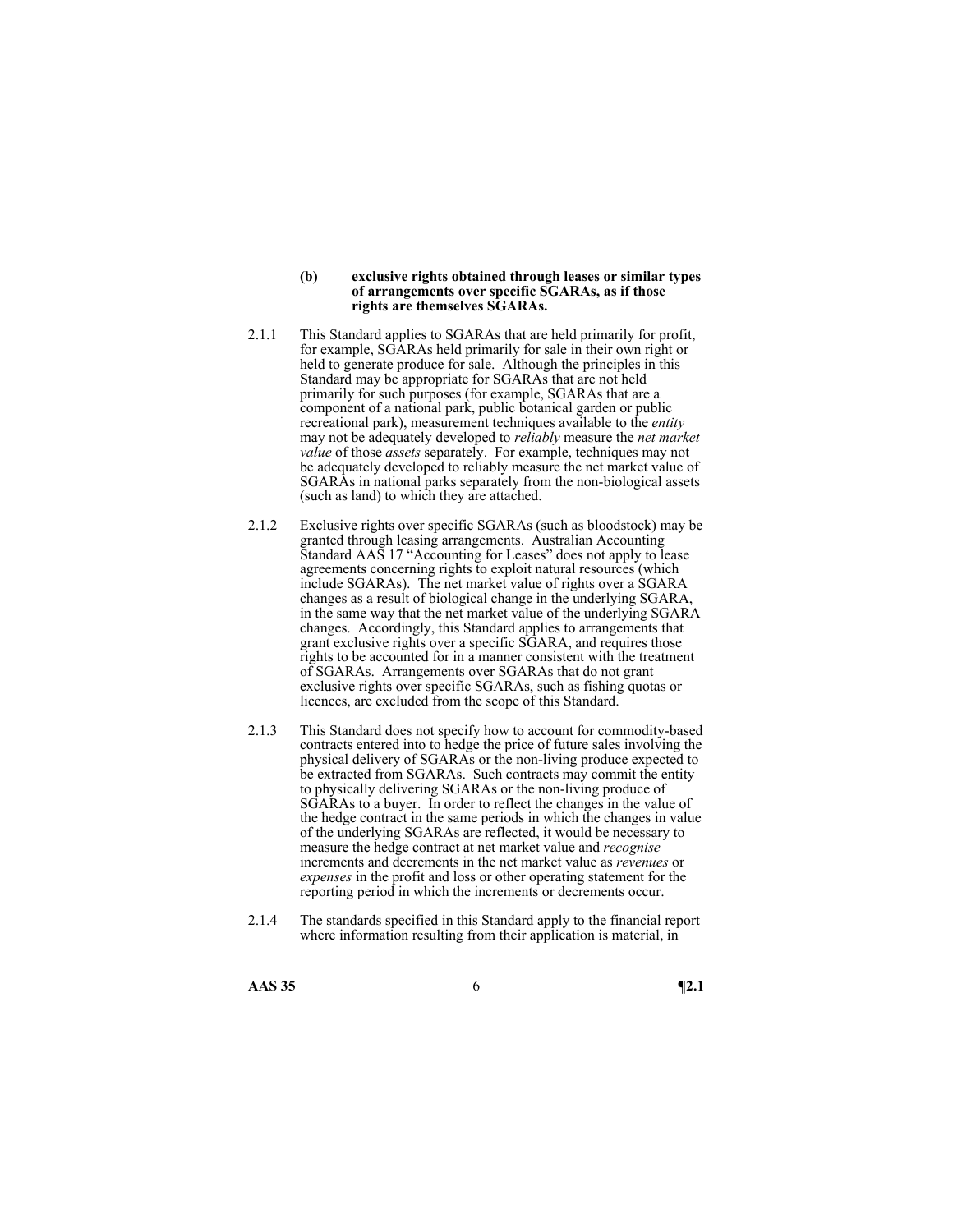#### **(b) exclusive rights obtained through leases or similar types of arrangements over specific SGARAs, as if those rights are themselves SGARAs.**

- 2.1.1 This Standard applies to SGARAs that are held primarily for profit, for example, SGARAs held primarily for sale in their own right or held to generate produce for sale. Although the principles in this Standard may be appropriate for SGARAs that are not held primarily for such purposes (for example, SGARAs that are a component of a national park, public botanical garden or public recreational park), measurement techniques available to the *entity* may not be adequately developed to *reliably* measure the *net market value* of those *assets* separately. For example, techniques may not be adequately developed to reliably measure the net market value of SGARAs in national parks separately from the non-biological assets (such as land) to which they are attached.
- 2.1.2 Exclusive rights over specific SGARAs (such as bloodstock) may be granted through leasing arrangements. Australian Accounting Standard AAS 17 "Accounting for Leases" does not apply to lease agreements concerning rights to exploit natural resources (which include SGARAs). The net market value of rights over a SGARA changes as a result of biological change in the underlying SGARA, in the same way that the net market value of the underlying SGARA changes. Accordingly, this Standard applies to arrangements that grant exclusive rights over a specific SGARA, and requires those rights to be accounted for in a manner consistent with the treatment of SGARAs. Arrangements over SGARAs that do not grant exclusive rights over specific SGARAs, such as fishing quotas or licences, are excluded from the scope of this Standard.
- 2.1.3 This Standard does not specify how to account for commodity-based contracts entered into to hedge the price of future sales involving the physical delivery of SGARAs or the non-living produce expected to be extracted from SGARAs. Such contracts may commit the entity to physically delivering SGARAs or the non-living produce of SGARAs to a buyer. In order to reflect the changes in the value of the hedge contract in the same periods in which the changes in value of the underlying SGARAs are reflected, it would be necessary to measure the hedge contract at net market value and *recognise* increments and decrements in the net market value as *revenues* or *expenses* in the profit and loss or other operating statement for the reporting period in which the increments or decrements occur.
- 2.1.4 The standards specified in this Standard apply to the financial report where information resulting from their application is material, in
- **AAS 35** 6 **¶2.1**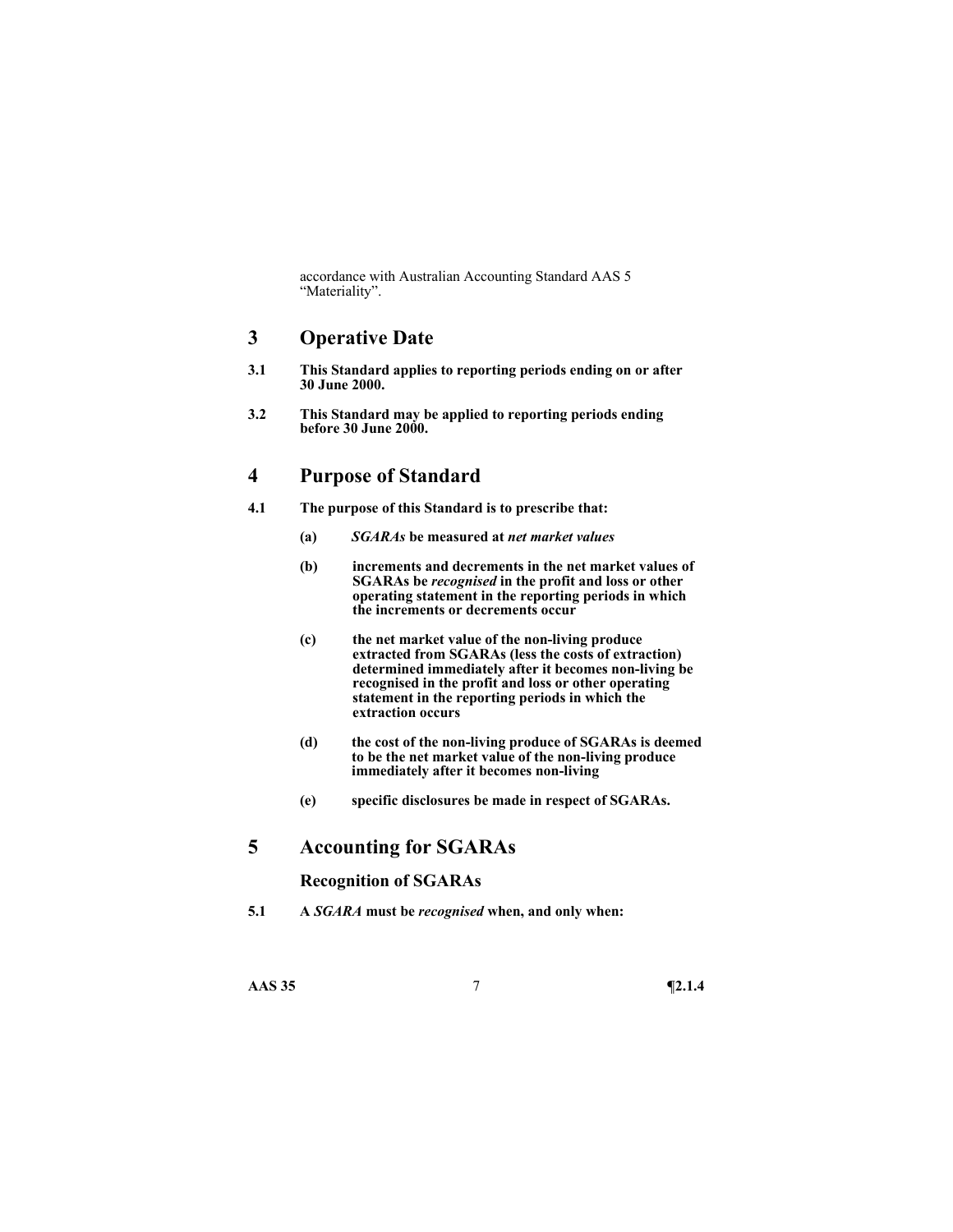accordance with Australian Accounting Standard AAS 5 "Materiality".

### **3 Operative Date**

- **3.1 This Standard applies to reporting periods ending on or after 30 June 2000.**
- **3.2 This Standard may be applied to reporting periods ending before 30 June 2000.**

# **4 Purpose of Standard**

- **4.1 The purpose of this Standard is to prescribe that:** 
	- **(a)** *SGARAs* **be measured at** *net market values*
	- **(b) increments and decrements in the net market values of SGARAs be** *recognised* **in the profit and loss or other operating statement in the reporting periods in which the increments or decrements occur**
	- **(c) the net market value of the non-living produce**  extracted from SGARAs (less the costs of extraction) **determined immediately after it becomes non-living be recognised in the profit and loss or other operating statement in the reporting periods in which the extraction occurs**
	- **(d) the cost of the non-living produce of SGARAs is deemed to be the net market value of the non-living produce immediately after it becomes non-living**
	- **(e) specific disclosures be made in respect of SGARAs.**

# **5 Accounting for SGARAs**

### **Recognition of SGARAs**

**5.1 A** *SGARA* **must be** *recognised* **when, and only when:** 

**AAS 35** 7 **¶2.1.4**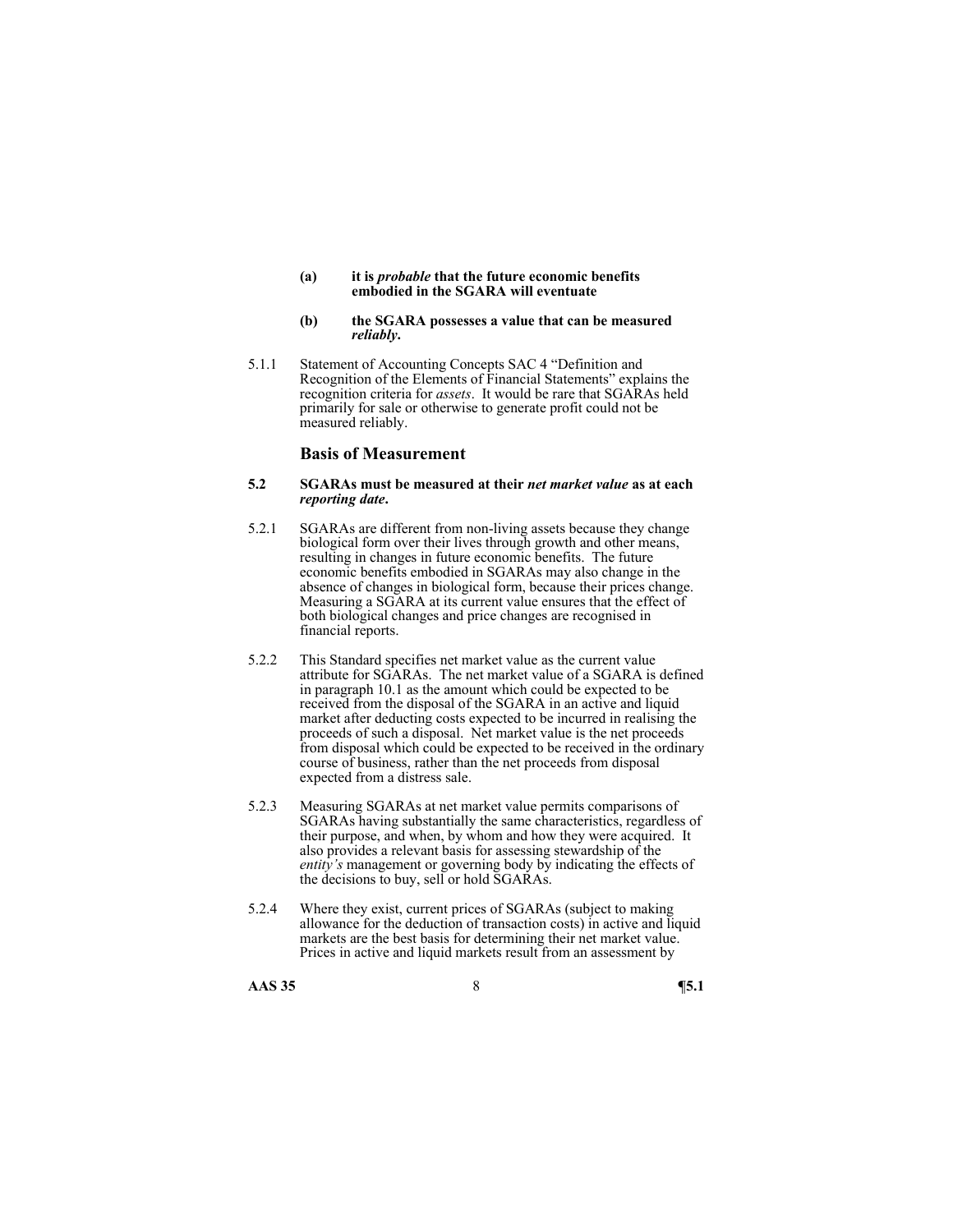- **(a) it is** *probable* **that the future economic benefits embodied in the SGARA will eventuate**
- **(b) the SGARA possesses a value that can be measured**  *reliably***.**
- 5.1.1 Statement of Accounting Concepts SAC 4 "Definition and Recognition of the Elements of Financial Statements" explains the recognition criteria for *assets*. It would be rare that SGARAs held primarily for sale or otherwise to generate profit could not be measured reliably.

### **Basis of Measurement**

#### **5.2 SGARAs must be measured at their** *net market value* **as at each**  *reporting date***.**

- 5.2.1 SGARAs are different from non-living assets because they change biological form over their lives through growth and other means, resulting in changes in future economic benefits. The future economic benefits embodied in SGARAs may also change in the absence of changes in biological form, because their prices change. Measuring a SGARA at its current value ensures that the effect of both biological changes and price changes are recognised in financial reports.
- 5.2.2 This Standard specifies net market value as the current value attribute for SGARAs. The net market value of a SGARA is defined in paragraph 10.1 as the amount which could be expected to be received from the disposal of the SGARA in an active and liquid market after deducting costs expected to be incurred in realising the proceeds of such a disposal. Net market value is the net proceeds from disposal which could be expected to be received in the ordinary course of business, rather than the net proceeds from disposal expected from a distress sale.
- 5.2.3 Measuring SGARAs at net market value permits comparisons of SGARAs having substantially the same characteristics, regardless of their purpose, and when, by whom and how they were acquired. It also provides a relevant basis for assessing stewardship of the *entity's* management or governing body by indicating the effects of the decisions to buy, sell or hold SGARAs.
- 5.2.4 Where they exist, current prices of SGARAs (subject to making allowance for the deduction of transaction costs) in active and liquid markets are the best basis for determining their net market value. Prices in active and liquid markets result from an assessment by

**AAS 35** 8 **¶5.1**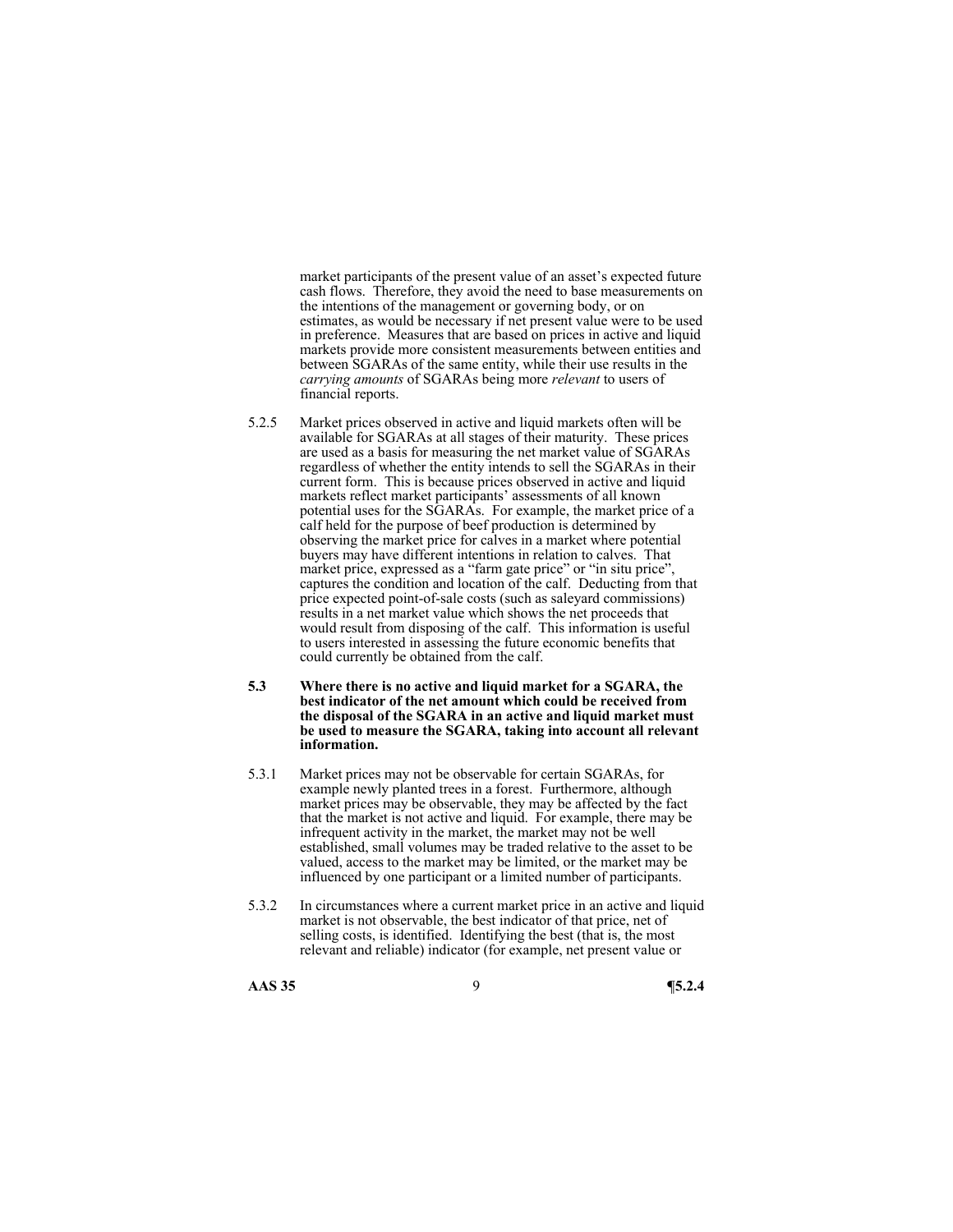market participants of the present value of an asset's expected future cash flows. Therefore, they avoid the need to base measurements on the intentions of the management or governing body, or on estimates, as would be necessary if net present value were to be used in preference. Measures that are based on prices in active and liquid markets provide more consistent measurements between entities and between SGARAs of the same entity, while their use results in the *carrying amounts* of SGARAs being more *relevant* to users of financial reports.

- 5.2.5 Market prices observed in active and liquid markets often will be available for SGARAs at all stages of their maturity. These prices are used as a basis for measuring the net market value of SGARAs regardless of whether the entity intends to sell the SGARAs in their current form. This is because prices observed in active and liquid markets reflect market participants' assessments of all known potential uses for the SGARAs. For example, the market price of a calf held for the purpose of beef production is determined by observing the market price for calves in a market where potential buyers may have different intentions in relation to calves. That market price, expressed as a "farm gate price" or "in situ price", captures the condition and location of the calf. Deducting from that price expected point-of-sale costs (such as saleyard commissions) results in a net market value which shows the net proceeds that would result from disposing of the calf. This information is useful to users interested in assessing the future economic benefits that could currently be obtained from the calf.
- **5.3 Where there is no active and liquid market for a SGARA, the best indicator of the net amount which could be received from the disposal of the SGARA in an active and liquid market must be used to measure the SGARA, taking into account all relevant information.**
- 5.3.1 Market prices may not be observable for certain SGARAs, for example newly planted trees in a forest. Furthermore, although market prices may be observable, they may be affected by the fact that the market is not active and liquid. For example, there may be infrequent activity in the market, the market may not be well established, small volumes may be traded relative to the asset to be valued, access to the market may be limited, or the market may be influenced by one participant or a limited number of participants.
- 5.3.2 In circumstances where a current market price in an active and liquid market is not observable, the best indicator of that price, net of selling costs, is identified. Identifying the best (that is, the most relevant and reliable) indicator (for example, net present value or

#### **AAS 35** 9 **¶5.2.4**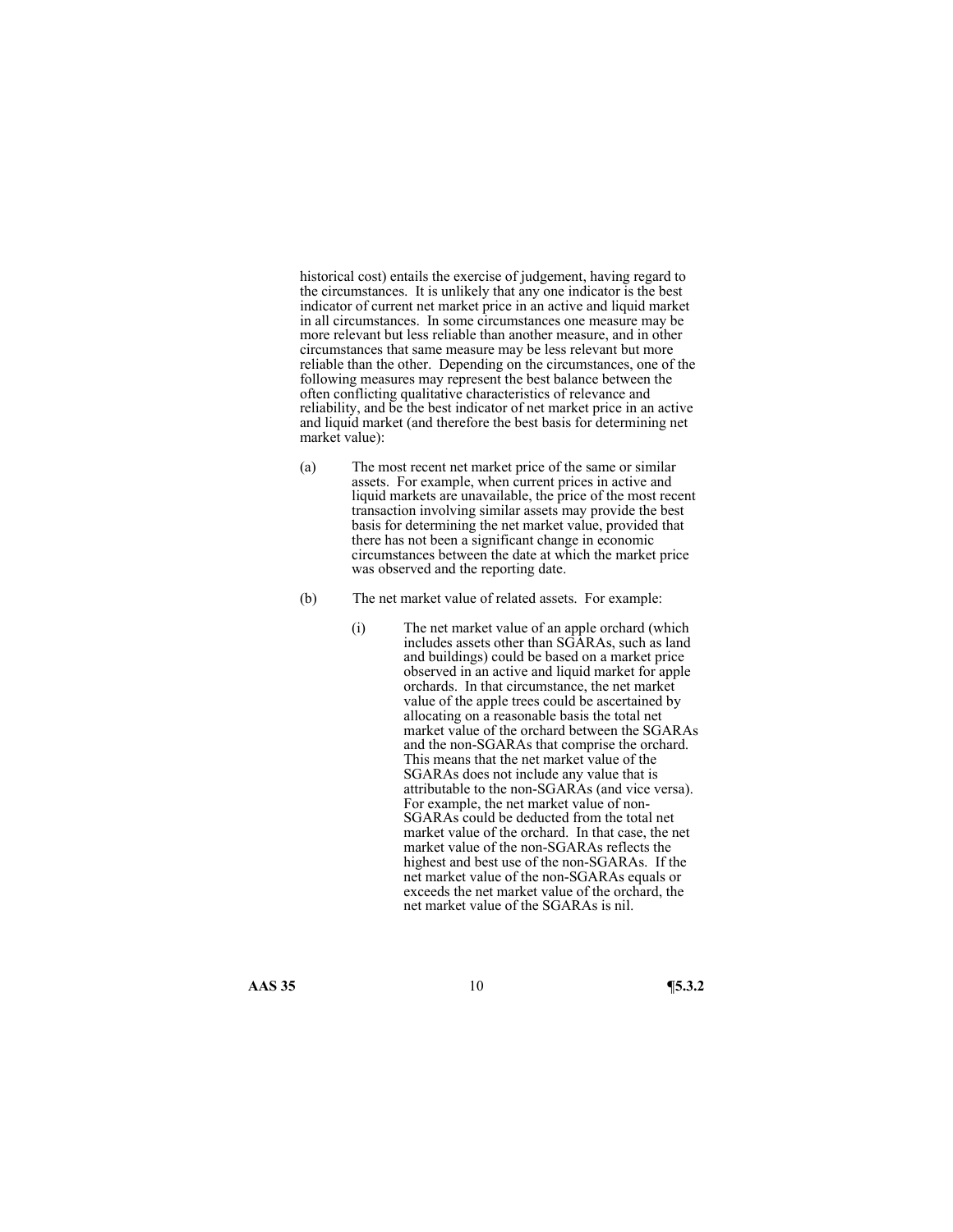historical cost) entails the exercise of judgement, having regard to the circumstances. It is unlikely that any one indicator is the best indicator of current net market price in an active and liquid market in all circumstances. In some circumstances one measure may be more relevant but less reliable than another measure, and in other circumstances that same measure may be less relevant but more reliable than the other. Depending on the circumstances, one of the following measures may represent the best balance between the often conflicting qualitative characteristics of relevance and reliability, and be the best indicator of net market price in an active and liquid market (and therefore the best basis for determining net market value):

- (a) The most recent net market price of the same or similar assets. For example, when current prices in active and liquid markets are unavailable, the price of the most recent transaction involving similar assets may provide the best basis for determining the net market value, provided that there has not been a significant change in economic circumstances between the date at which the market price was observed and the reporting date.
- (b) The net market value of related assets. For example:
	- (i) The net market value of an apple orchard (which includes assets other than SGARAs, such as land and buildings) could be based on a market price observed in an active and liquid market for apple orchards. In that circumstance, the net market value of the apple trees could be ascertained by allocating on a reasonable basis the total net market value of the orchard between the SGARAs and the non-SGARAs that comprise the orchard. This means that the net market value of the SGARAs does not include any value that is attributable to the non-SGARAs (and vice versa). For example, the net market value of non-SGARAs could be deducted from the total net market value of the orchard. In that case, the net market value of the non-SGARAs reflects the highest and best use of the non-SGARAs. If the net market value of the non-SGARAs equals or exceeds the net market value of the orchard, the net market value of the SGARAs is nil.

**AAS 35** 10 **¶5.3.2**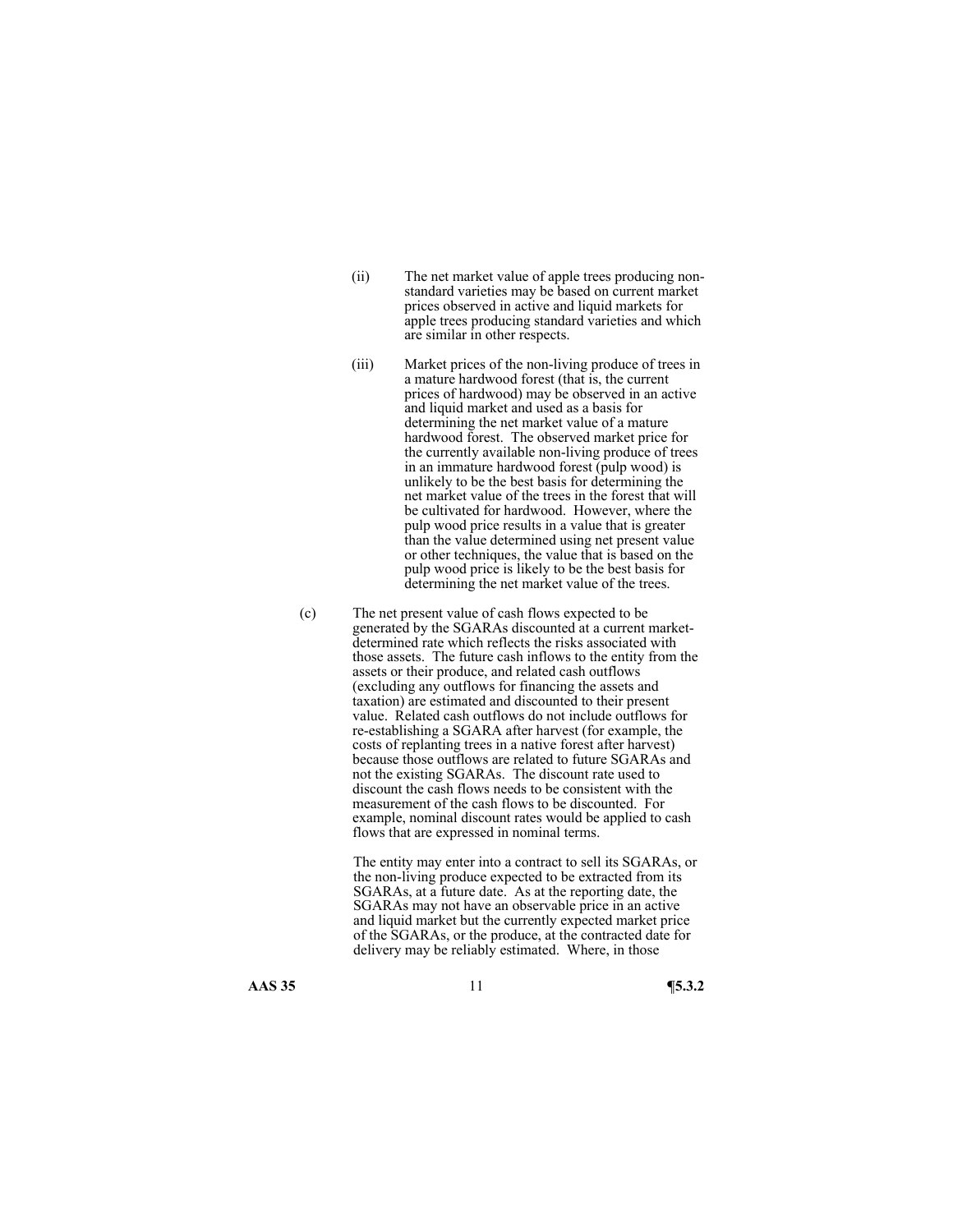- (ii) The net market value of apple trees producing nonstandard varieties may be based on current market prices observed in active and liquid markets for apple trees producing standard varieties and which are similar in other respects.
- (iii) Market prices of the non-living produce of trees in a mature hardwood forest (that is, the current prices of hardwood) may be observed in an active and liquid market and used as a basis for determining the net market value of a mature hardwood forest. The observed market price for the currently available non-living produce of trees in an immature hardwood forest (pulp wood) is unlikely to be the best basis for determining the net market value of the trees in the forest that will be cultivated for hardwood. However, where the pulp wood price results in a value that is greater than the value determined using net present value or other techniques, the value that is based on the pulp wood price is likely to be the best basis for determining the net market value of the trees.
- (c) The net present value of cash flows expected to be generated by the SGARAs discounted at a current marketdetermined rate which reflects the risks associated with those assets. The future cash inflows to the entity from the assets or their produce, and related cash outflows (excluding any outflows for financing the assets and taxation) are estimated and discounted to their present value. Related cash outflows do not include outflows for re-establishing a SGARA after harvest (for example, the costs of replanting trees in a native forest after harvest) because those outflows are related to future SGARAs and not the existing SGARAs. The discount rate used to discount the cash flows needs to be consistent with the measurement of the cash flows to be discounted. For example, nominal discount rates would be applied to cash flows that are expressed in nominal terms.

The entity may enter into a contract to sell its SGARAs, or the non-living produce expected to be extracted from its SGARAs, at a future date. As at the reporting date, the SGARAs may not have an observable price in an active and liquid market but the currently expected market price of the SGARAs, or the produce, at the contracted date for delivery may be reliably estimated. Where, in those

**AAS 35** 11 **¶5.3.2**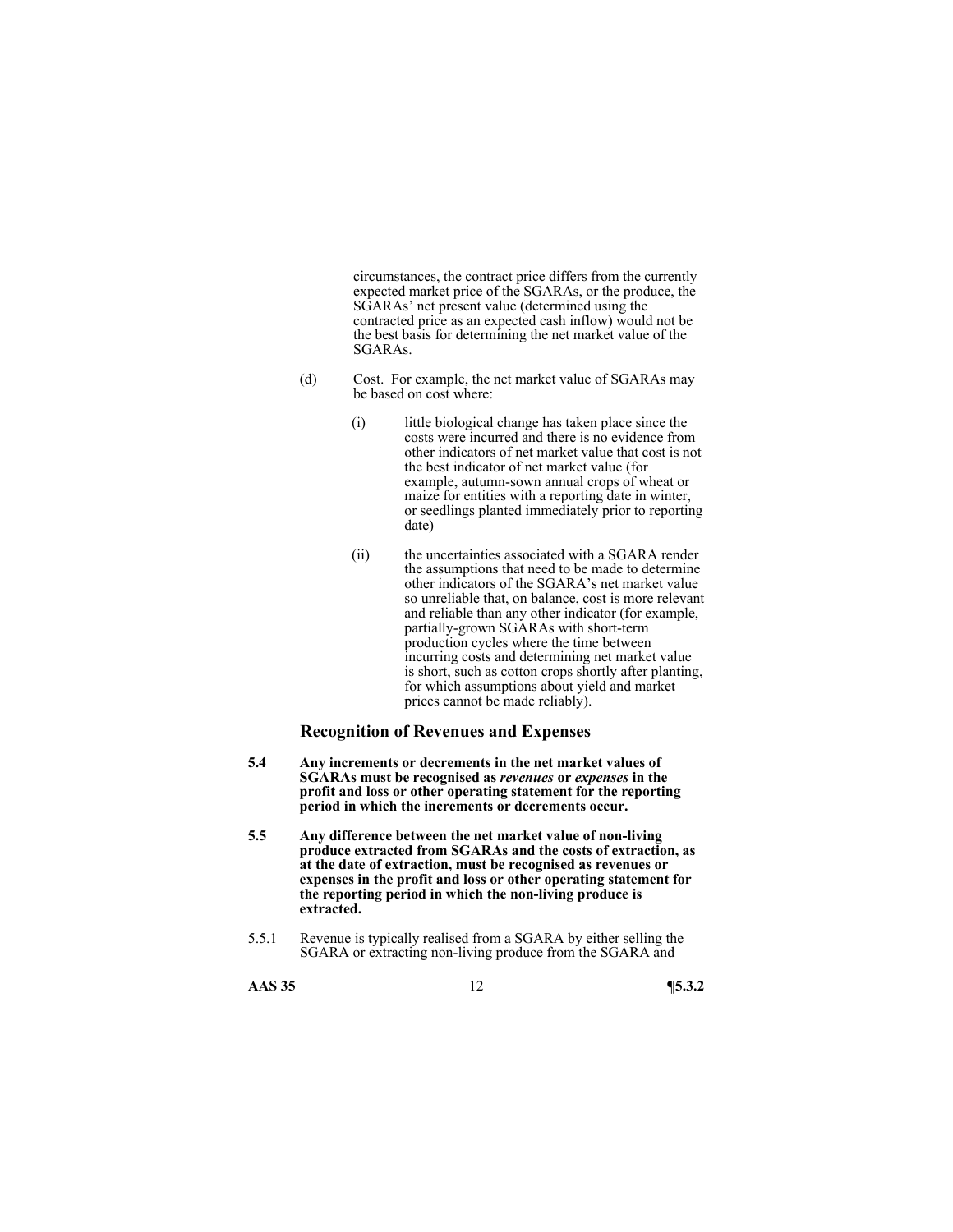circumstances, the contract price differs from the currently expected market price of the SGARAs, or the produce, the SGARAs' net present value (determined using the contracted price as an expected cash inflow) would not be the best basis for determining the net market value of the SGARAs.

- (d) Cost. For example, the net market value of SGARAs may be based on cost where:
	- (i) little biological change has taken place since the costs were incurred and there is no evidence from other indicators of net market value that cost is not the best indicator of net market value (for example, autumn-sown annual crops of wheat or maize for entities with a reporting date in winter, or seedlings planted immediately prior to reporting date)
	- (ii) the uncertainties associated with a SGARA render the assumptions that need to be made to determine other indicators of the SGARA's net market value so unreliable that, on balance, cost is more relevant and reliable than any other indicator (for example, partially-grown SGARAs with short-term production cycles where the time between incurring costs and determining net market value is short, such as cotton crops shortly after planting, for which assumptions about yield and market prices cannot be made reliably).

### **Recognition of Revenues and Expenses**

- **5.4 Any increments or decrements in the net market values of SGARAs must be recognised as** *revenues* **or** *expenses* **in the profit and loss or other operating statement for the reporting period in which the increments or decrements occur.**
- **5.5 Any difference between the net market value of non-living produce extracted from SGARAs and the costs of extraction, as at the date of extraction, must be recognised as revenues or expenses in the profit and loss or other operating statement for the reporting period in which the non-living produce is extracted.**
- 5.5.1 Revenue is typically realised from a SGARA by either selling the SGARA or extracting non-living produce from the SGARA and
- **AAS 35** 12 **¶5.3.2**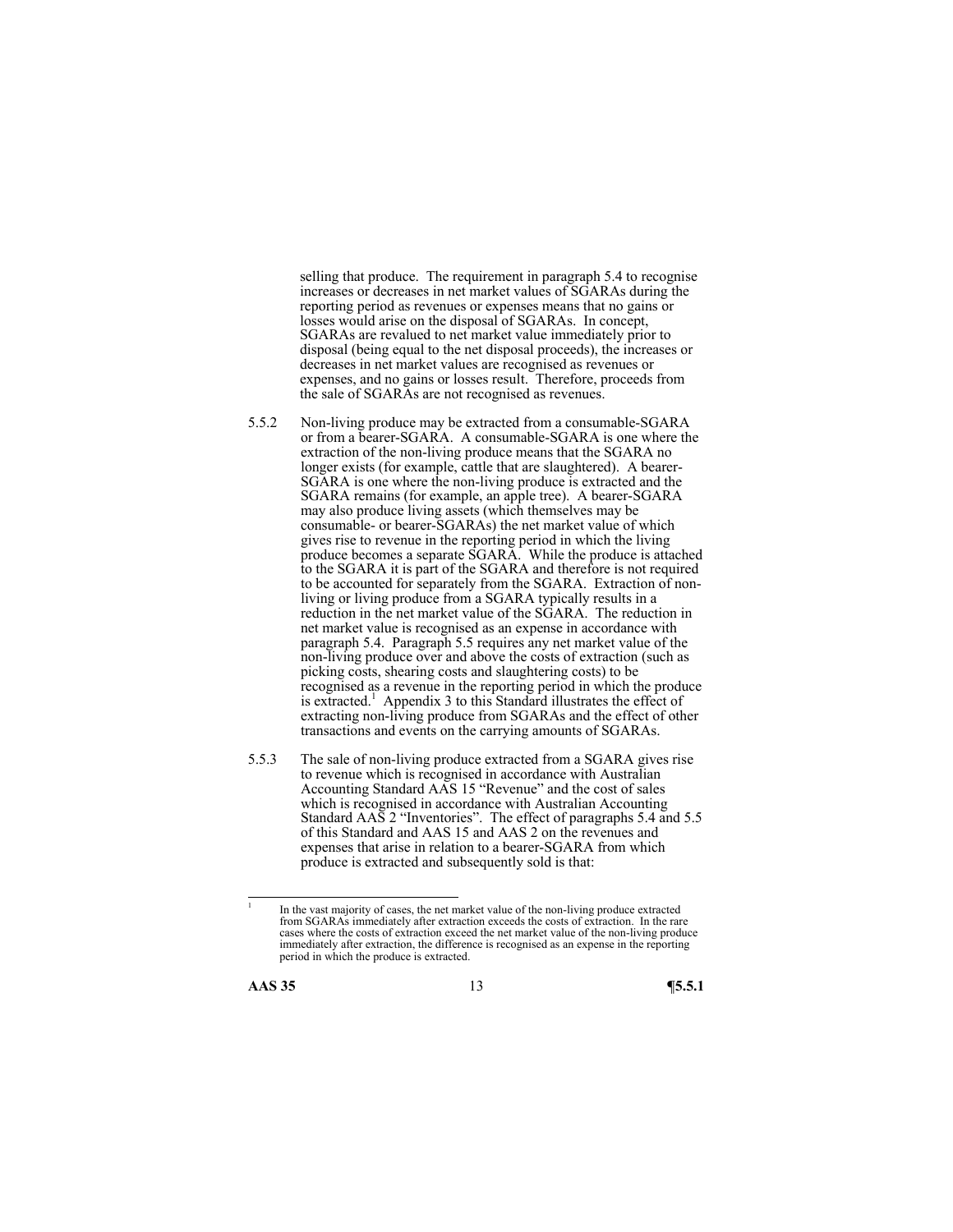selling that produce. The requirement in paragraph 5.4 to recognise increases or decreases in net market values of SGARAs during the reporting period as revenues or expenses means that no gains or losses would arise on the disposal of SGARAs. In concept, SGARAs are revalued to net market value immediately prior to disposal (being equal to the net disposal proceeds), the increases or decreases in net market values are recognised as revenues or expenses, and no gains or losses result. Therefore, proceeds from the sale of SGARAs are not recognised as revenues.

- 5.5.2 Non-living produce may be extracted from a consumable-SGARA or from a bearer-SGARA. A consumable-SGARA is one where the extraction of the non-living produce means that the SGARA no longer exists (for example, cattle that are slaughtered). A bearer-SGARA is one where the non-living produce is extracted and the SGARA remains (for example, an apple tree). A bearer-SGARA may also produce living assets (which themselves may be consumable- or bearer-SGARAs) the net market value of which gives rise to revenue in the reporting period in which the living produce becomes a separate SGARA. While the produce is attached to the SGARA it is part of the SGARA and therefore is not required to be accounted for separately from the SGARA. Extraction of nonliving or living produce from a SGARA typically results in a reduction in the net market value of the SGARA. The reduction in net market value is recognised as an expense in accordance with paragraph 5.4. Paragraph 5.5 requires any net market value of the non-living produce over and above the costs of extraction (such as picking costs, shearing costs and slaughtering costs) to be recognised as a revenue in the reporting period in which the produce is extracted.<sup>1</sup> Appendix 3 to this Standard illustrates the effect of extracting non-living produce from SGARAs and the effect of other transactions and events on the carrying amounts of SGARAs.
- 5.5.3 The sale of non-living produce extracted from a SGARA gives rise to revenue which is recognised in accordance with Australian Accounting Standard AAS 15 "Revenue" and the cost of sales which is recognised in accordance with Australian Accounting Standard AAS 2 "Inventories". The effect of paragraphs 5.4 and 5.5 of this Standard and AAS 15 and AAS 2 on the revenues and expenses that arise in relation to a bearer-SGARA from which produce is extracted and subsequently sold is that:

 $\frac{1}{1}$  In the vast majority of cases, the net market value of the non-living produce extracted from SGARAs immediately after extraction exceeds the costs of extraction. In the rare cases where the costs of extraction exceed the net market value of the non-living produce immediately after extraction, the difference is recognised as an expense in the reporting period in which the produce is extracted.

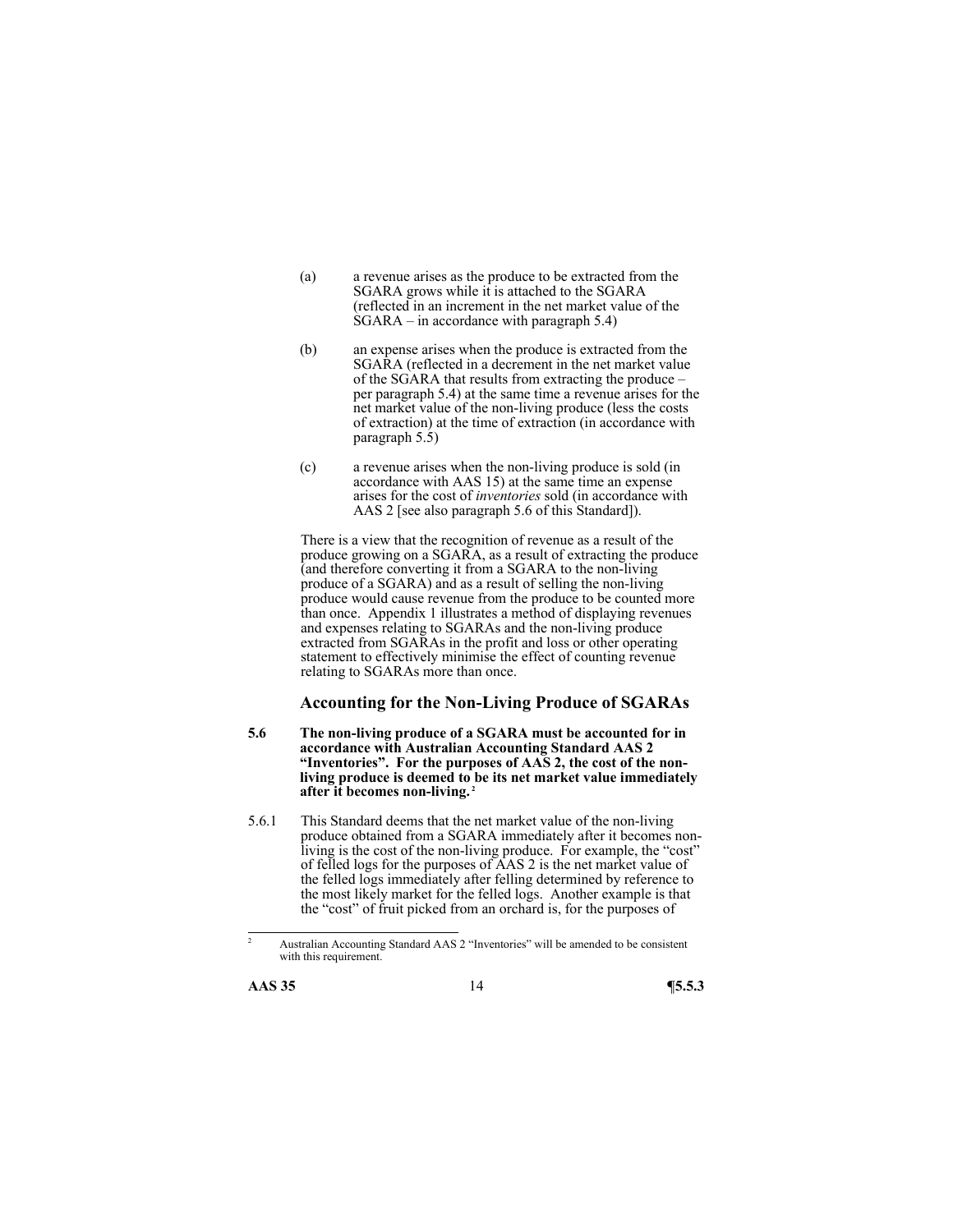- (a) a revenue arises as the produce to be extracted from the SGARA grows while it is attached to the SGARA (reflected in an increment in the net market value of the  $\hat{S}GARA$  – in accordance with paragraph 5.4)
- (b) an expense arises when the produce is extracted from the SGARA (reflected in a decrement in the net market value of the SGARA that results from extracting the produce – per paragraph 5.4) at the same time a revenue arises for the net market value of the non-living produce (less the costs of extraction) at the time of extraction (in accordance with paragraph 5.5)
- (c) a revenue arises when the non-living produce is sold (in accordance with AAS 15) at the same time an expense arises for the cost of *inventories* sold (in accordance with AAS 2 [see also paragraph 5.6 of this Standard]).

There is a view that the recognition of revenue as a result of the produce growing on a SGARA, as a result of extracting the produce (and therefore converting it from a SGARA to the non-living produce of a SGARA) and as a result of selling the non-living produce would cause revenue from the produce to be counted more than once. Appendix 1 illustrates a method of displaying revenues and expenses relating to SGARAs and the non-living produce extracted from SGARAs in the profit and loss or other operating statement to effectively minimise the effect of counting revenue relating to SGARAs more than once.

### **Accounting for the Non-Living Produce of SGARAs**

- **5.6 The non-living produce of a SGARA must be accounted for in accordance with Australian Accounting Standard AAS 2 "Inventories". For the purposes of AAS 2, the cost of the nonliving produce is deemed to be its net market value immediately after it becomes non-living. 2**
- 5.6.1 This Standard deems that the net market value of the non-living produce obtained from a SGARA immediately after it becomes nonliving is the cost of the non-living produce. For example, the "cost" of felled logs for the purposes of AAS 2 is the net market value of the felled logs immediately after felling determined by reference to the most likely market for the felled logs. Another example is that the "cost" of fruit picked from an orchard is, for the purposes of

<sup>2</sup> Australian Accounting Standard AAS 2 "Inventories" will be amended to be consistent with this requirement.

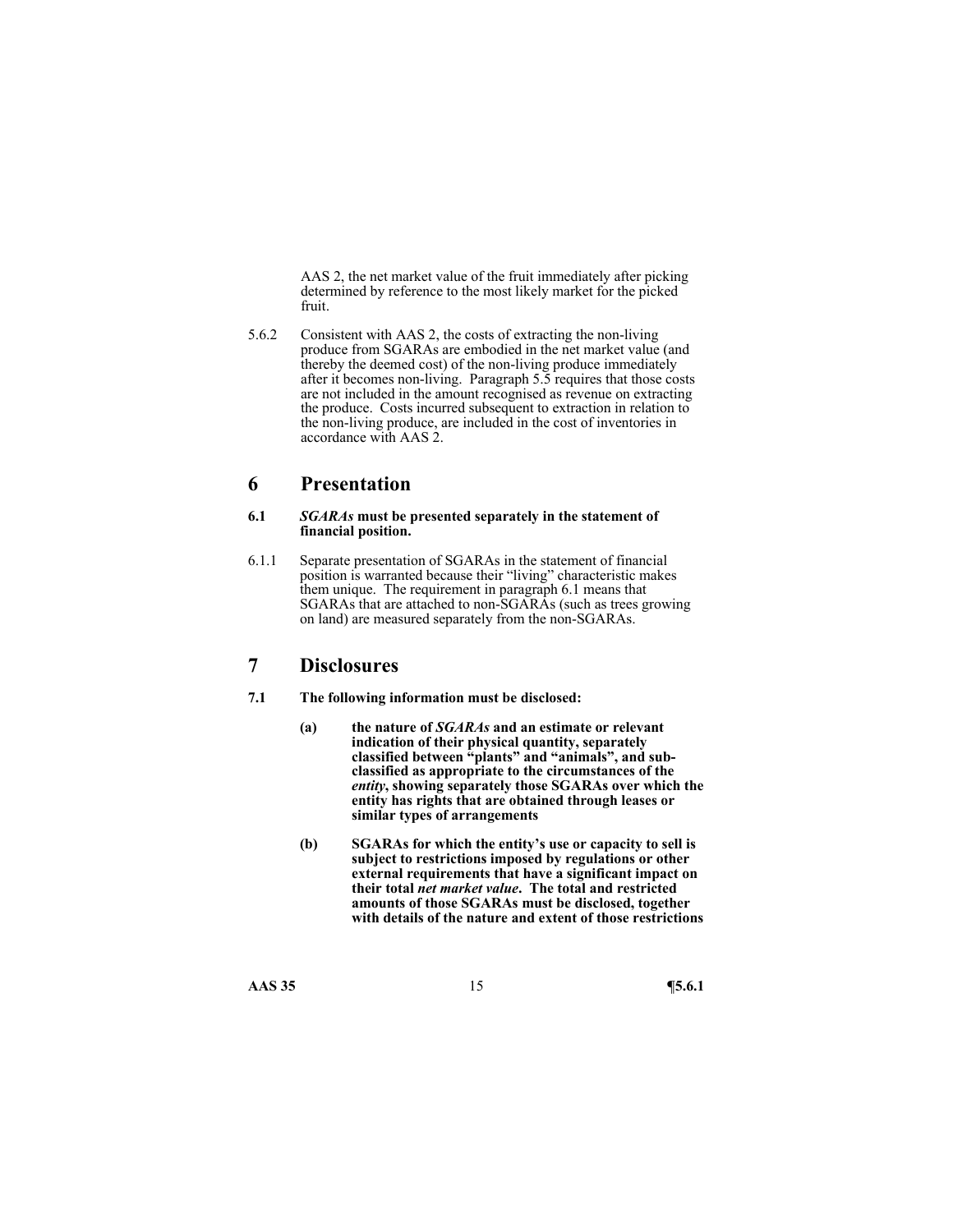AAS 2, the net market value of the fruit immediately after picking determined by reference to the most likely market for the picked fruit.

5.6.2 Consistent with AAS 2, the costs of extracting the non-living produce from SGARAs are embodied in the net market value (and thereby the deemed cost) of the non-living produce immediately after it becomes non-living. Paragraph 5.5 requires that those costs are not included in the amount recognised as revenue on extracting the produce. Costs incurred subsequent to extraction in relation to the non-living produce, are included in the cost of inventories in accordance with AAS 2.

# **6 Presentation**

#### **6.1** *SGARAs* **must be presented separately in the statement of financial position.**

6.1.1 Separate presentation of SGARAs in the statement of financial position is warranted because their "living" characteristic makes them unique. The requirement in paragraph 6.1 means that SGARAs that are attached to non-SGARAs (such as trees growing on land) are measured separately from the non-SGARAs.

### **7 Disclosures**

- **7.1 The following information must be disclosed:** 
	- **(a) the nature of** *SGARAs* **and an estimate or relevant indication of their physical quantity, separately classified between "plants" and "animals", and subclassified as appropriate to the circumstances of the**  *entity***, showing separately those SGARAs over which the entity has rights that are obtained through leases or similar types of arrangements**
	- **(b) SGARAs for which the entity's use or capacity to sell is subject to restrictions imposed by regulations or other external requirements that have a significant impact on their total** *net market value***. The total and restricted amounts of those SGARAs must be disclosed, together with details of the nature and extent of those restrictions**

**AAS 35** 15 **¶5.6.1**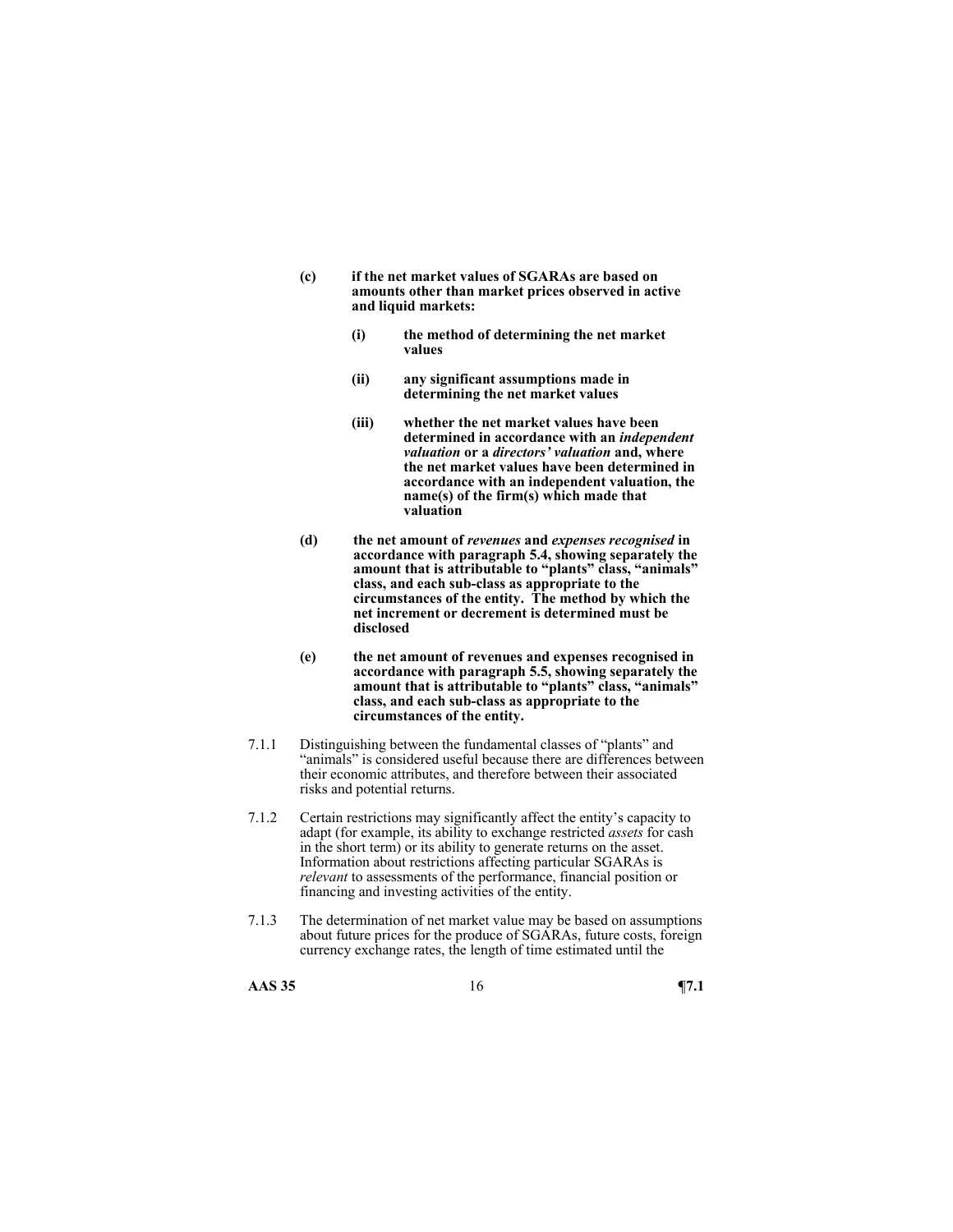- **(c) if the net market values of SGARAs are based on amounts other than market prices observed in active and liquid markets:** 
	- **(i) the method of determining the net market values**
	- **(ii) any significant assumptions made in determining the net market values**
	- **(iii) whether the net market values have been determined in accordance with an** *independent valuation* **or a** *directors' valuation* **and, where the net market values have been determined in accordance with an independent valuation, the name(s) of the firm(s) which made that valuation**
- **(d) the net amount of** *revenues* **and** *expenses recognised* **in accordance with paragraph 5.4, showing separately the amount that is attributable to "plants" class, "animals" class, and each sub-class as appropriate to the circumstances of the entity. The method by which the net increment or decrement is determined must be disclosed**
- **(e) the net amount of revenues and expenses recognised in accordance with paragraph 5.5, showing separately the amount that is attributable to "plants" class, "animals" class, and each sub-class as appropriate to the circumstances of the entity.**
- 7.1.1 Distinguishing between the fundamental classes of "plants" and "animals" is considered useful because there are differences between their economic attributes, and therefore between their associated risks and potential returns.
- 7.1.2 Certain restrictions may significantly affect the entity's capacity to adapt (for example, its ability to exchange restricted *assets* for cash in the short term) or its ability to generate returns on the asset. Information about restrictions affecting particular SGARAs is *relevant* to assessments of the performance, financial position or financing and investing activities of the entity.
- 7.1.3 The determination of net market value may be based on assumptions about future prices for the produce of SGARAs, future costs, foreign currency exchange rates, the length of time estimated until the

**AAS 35** 16 **¶7.1**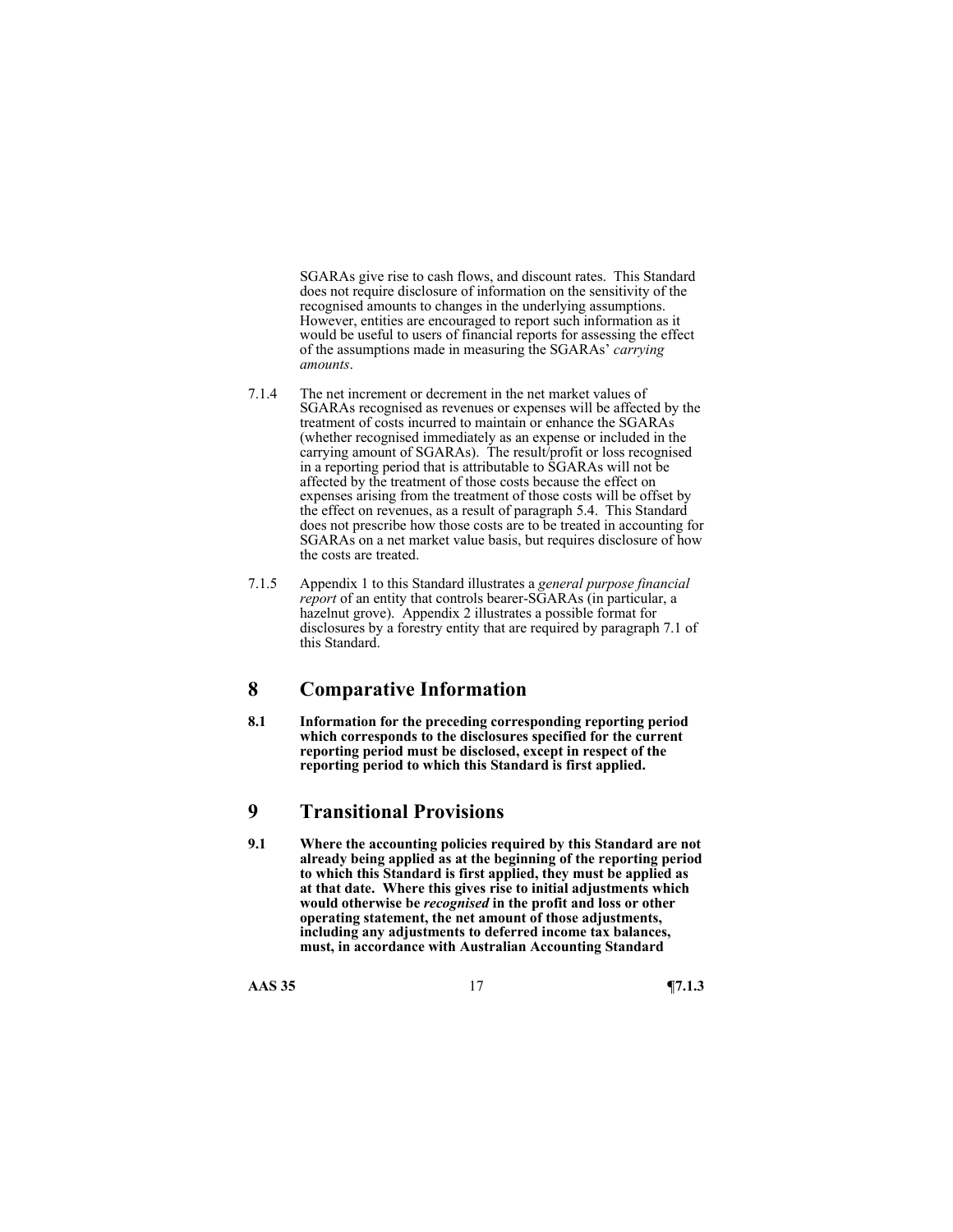SGARAs give rise to cash flows, and discount rates. This Standard does not require disclosure of information on the sensitivity of the recognised amounts to changes in the underlying assumptions. However, entities are encouraged to report such information as it would be useful to users of financial reports for assessing the effect of the assumptions made in measuring the SGARAs' *carrying amounts*.

- 7.1.4 The net increment or decrement in the net market values of SGARAs recognised as revenues or expenses will be affected by the treatment of costs incurred to maintain or enhance the SGARAs (whether recognised immediately as an expense or included in the carrying amount of SGARAs). The result/profit or loss recognised in a reporting period that is attributable to SGARAs will not be affected by the treatment of those costs because the effect on expenses arising from the treatment of those costs will be offset by the effect on revenues, as a result of paragraph 5.4. This Standard does not prescribe how those costs are to be treated in accounting for SGARAs on a net market value basis, but requires disclosure of how the costs are treated.
- 7.1.5 Appendix 1 to this Standard illustrates a *general purpose financial report* of an entity that controls bearer-SGARAs (in particular, a hazelnut grove). Appendix 2 illustrates a possible format for disclosures by a forestry entity that are required by paragraph 7.1 of this Standard.

# **8 Comparative Information**

**8.1 Information for the preceding corresponding reporting period which corresponds to the disclosures specified for the current reporting period must be disclosed, except in respect of the reporting period to which this Standard is first applied.** 

# **9 Transitional Provisions**

**9.1 Where the accounting policies required by this Standard are not already being applied as at the beginning of the reporting period to which this Standard is first applied, they must be applied as at that date. Where this gives rise to initial adjustments which would otherwise be** *recognised* **in the profit and loss or other operating statement, the net amount of those adjustments, including any adjustments to deferred income tax balances, must, in accordance with Australian Accounting Standard** 

**AAS 35** 17 **¶7.1.3**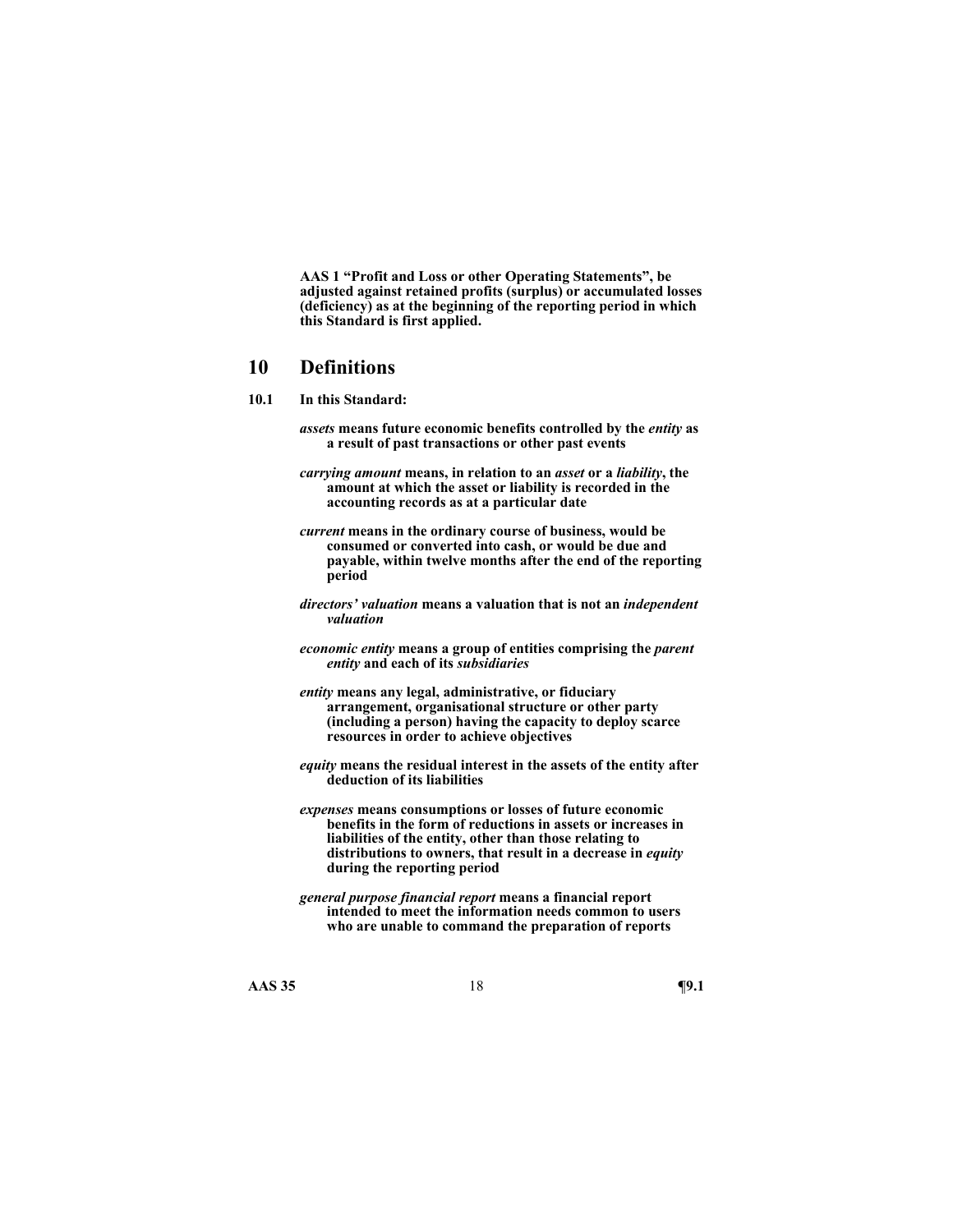**AAS 1 "Profit and Loss or other Operating Statements", be adjusted against retained profits (surplus) or accumulated losses (deficiency) as at the beginning of the reporting period in which this Standard is first applied.** 

### **10 Definitions**

- **10.1 In this Standard:** 
	- *assets* **means future economic benefits controlled by the** *entity* **as a result of past transactions or other past events**
	- *carrying amount* **means, in relation to an** *asset* **or a** *liability***, the amount at which the asset or liability is recorded in the accounting records as at a particular date**
	- *current* **means in the ordinary course of business, would be consumed or converted into cash, or would be due and payable, within twelve months after the end of the reporting period**
	- *directors' valuation* **means a valuation that is not an** *independent valuation*
	- *economic entity* **means a group of entities comprising the** *parent entity* **and each of its** *subsidiaries*
	- *entity* **means any legal, administrative, or fiduciary arrangement, organisational structure or other party (including a person) having the capacity to deploy scarce resources in order to achieve objectives**
	- *equity* **means the residual interest in the assets of the entity after deduction of its liabilities**
	- *expenses* **means consumptions or losses of future economic benefits in the form of reductions in assets or increases in liabilities of the entity, other than those relating to distributions to owners, that result in a decrease in** *equity*  **during the reporting period**
	- *general purpose financial report* **means a financial report intended to meet the information needs common to users who are unable to command the preparation of reports**

**AAS 35** 18 **¶9.1**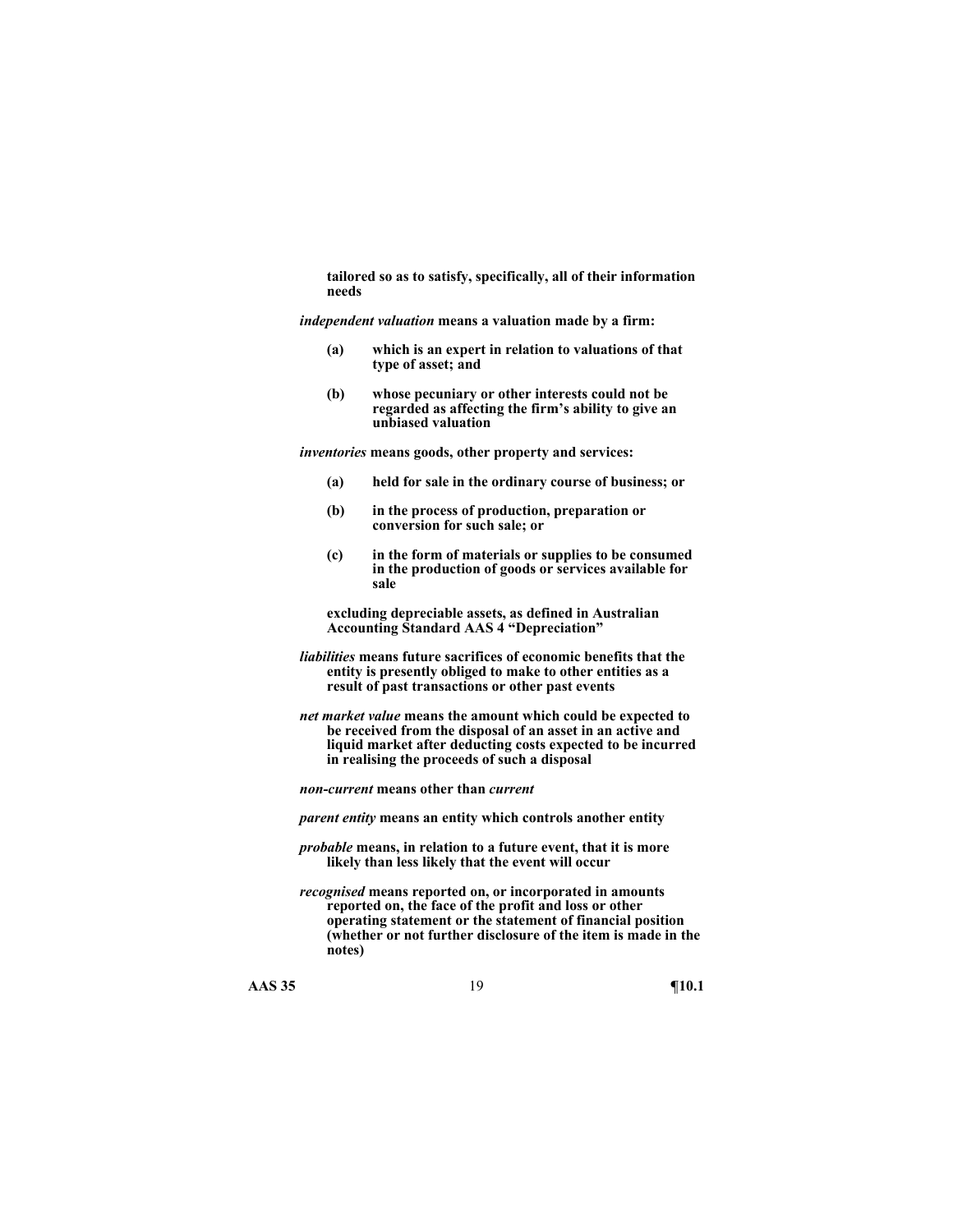**tailored so as to satisfy, specifically, all of their information needs** 

*independent valuation* **means a valuation made by a firm:** 

- **(a) which is an expert in relation to valuations of that type of asset; and**
- **(b) whose pecuniary or other interests could not be regarded as affecting the firm's ability to give an unbiased valuation**

*inventories* **means goods, other property and services:** 

- **(a) held for sale in the ordinary course of business; or**
- **(b) in the process of production, preparation or conversion for such sale; or**
- **(c) in the form of materials or supplies to be consumed in the production of goods or services available for sale**

**excluding depreciable assets, as defined in Australian Accounting Standard AAS 4 "Depreciation"** 

- *liabilities* **means future sacrifices of economic benefits that the entity is presently obliged to make to other entities as a result of past transactions or other past events**
- *net market value* **means the amount which could be expected to be received from the disposal of an asset in an active and liquid market after deducting costs expected to be incurred in realising the proceeds of such a disposal**

*non-current* **means other than** *current* 

*parent entity* **means an entity which controls another entity** 

- *probable* **means, in relation to a future event, that it is more likely than less likely that the event will occur**
- *recognised* **means reported on, or incorporated in amounts reported on, the face of the profit and loss or other operating statement or the statement of financial position (whether or not further disclosure of the item is made in the notes)**

**AAS 35** 19 **¶10.1**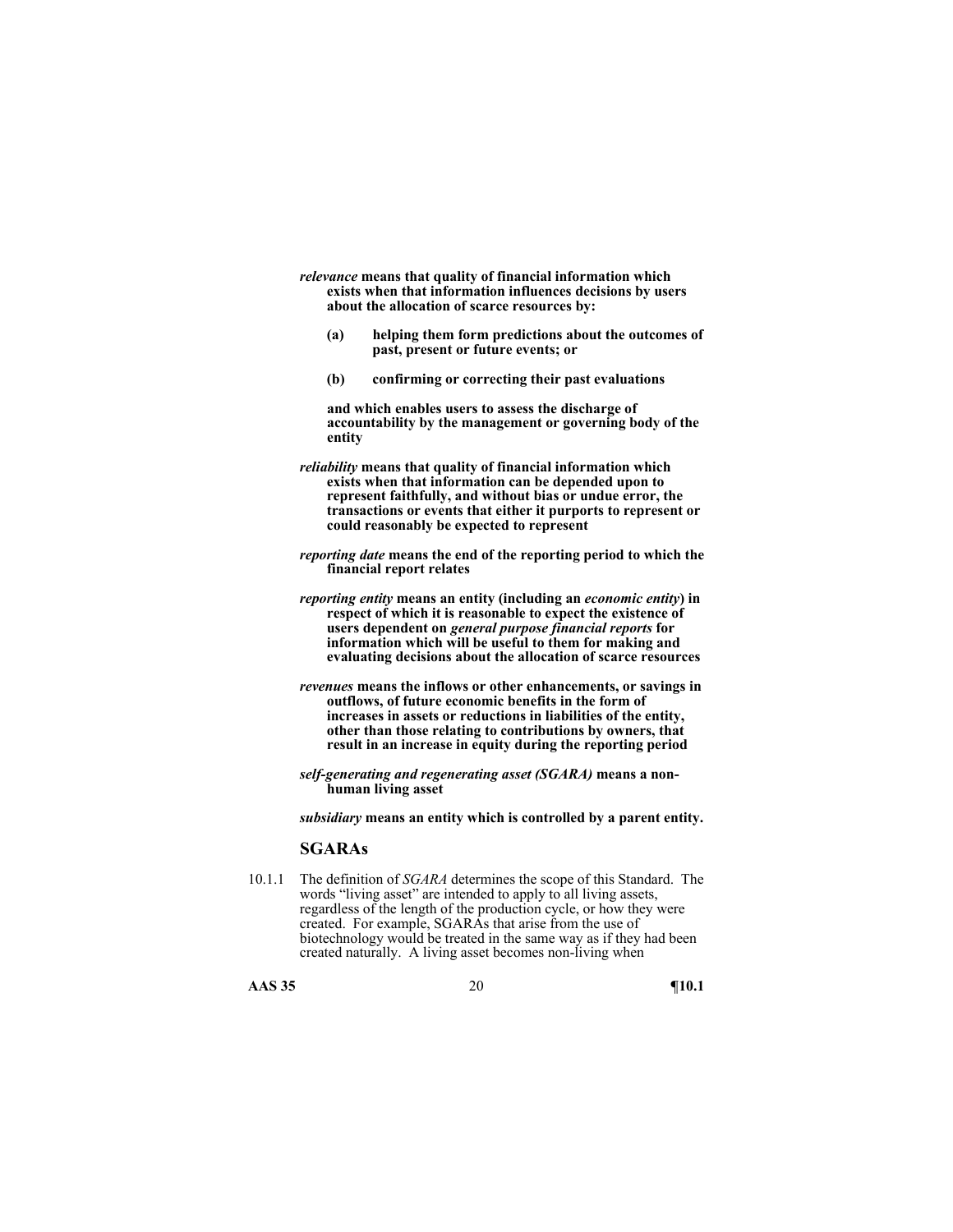- *relevance* **means that quality of financial information which exists when that information influences decisions by users about the allocation of scarce resources by:** 
	- **(a) helping them form predictions about the outcomes of past, present or future events; or**
	- **(b) confirming or correcting their past evaluations**

**and which enables users to assess the discharge of accountability by the management or governing body of the entity** 

- *reliability* **means that quality of financial information which exists when that information can be depended upon to represent faithfully, and without bias or undue error, the transactions or events that either it purports to represent or could reasonably be expected to represent**
- *reporting date* **means the end of the reporting period to which the financial report relates**
- *reporting entity* **means an entity (including an** *economic entity***) in respect of which it is reasonable to expect the existence of users dependent on** *general purpose financial reports* **for information which will be useful to them for making and evaluating decisions about the allocation of scarce resources**
- *revenues* **means the inflows or other enhancements, or savings in outflows, of future economic benefits in the form of increases in assets or reductions in liabilities of the entity, other than those relating to contributions by owners, that result in an increase in equity during the reporting period**
- *self-generating and regenerating asset (SGARA)* **means a nonhuman living asset**

*subsidiary* **means an entity which is controlled by a parent entity.** 

### **SGARAs**

10.1.1 The definition of *SGARA* determines the scope of this Standard. The words "living asset" are intended to apply to all living assets, regardless of the length of the production cycle, or how they were created. For example, SGARAs that arise from the use of biotechnology would be treated in the same way as if they had been created naturally. A living asset becomes non-living when

**AAS 35** 20 **¶10.1**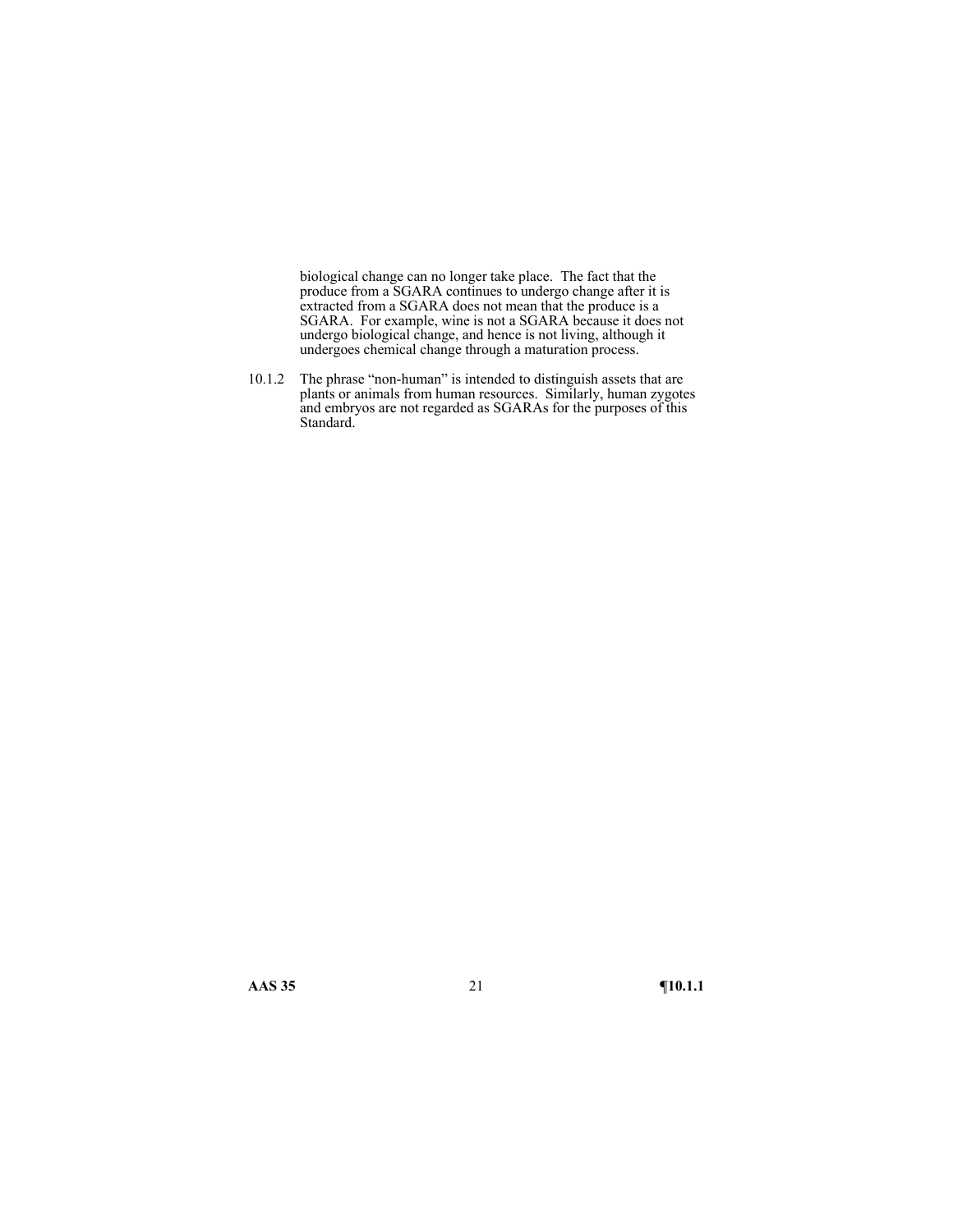biological change can no longer take place. The fact that the produce from a SGARA continues to undergo change after it is extracted from a SGARA does not mean that the produce is a SGARA. For example, wine is not a SGARA because it does not undergo biological change, and hence is not living, although it undergoes chemical change through a maturation process.

10.1.2 The phrase "non-human" is intended to distinguish assets that are plants or animals from human resources. Similarly, human zygotes and embryos are not regarded as SGARAs for the purposes of this Standard.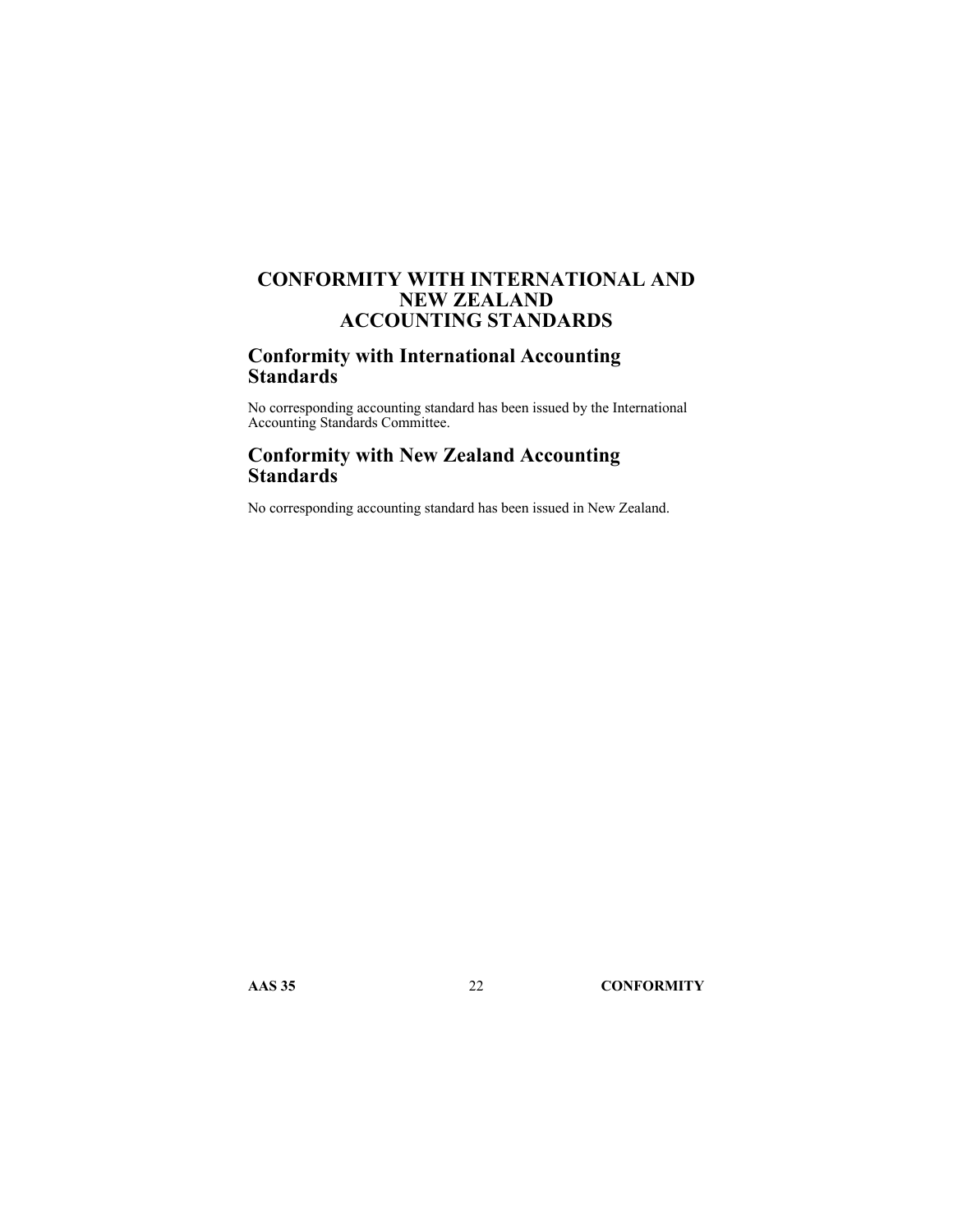# **CONFORMITY WITH INTERNATIONAL AND NEW ZEALAND ACCOUNTING STANDARDS**

# **Conformity with International Accounting Standards**

No corresponding accounting standard has been issued by the International Accounting Standards Committee.

# **Conformity with New Zealand Accounting Standards**

No corresponding accounting standard has been issued in New Zealand.

**AAS 35** 22 **CONFORMITY**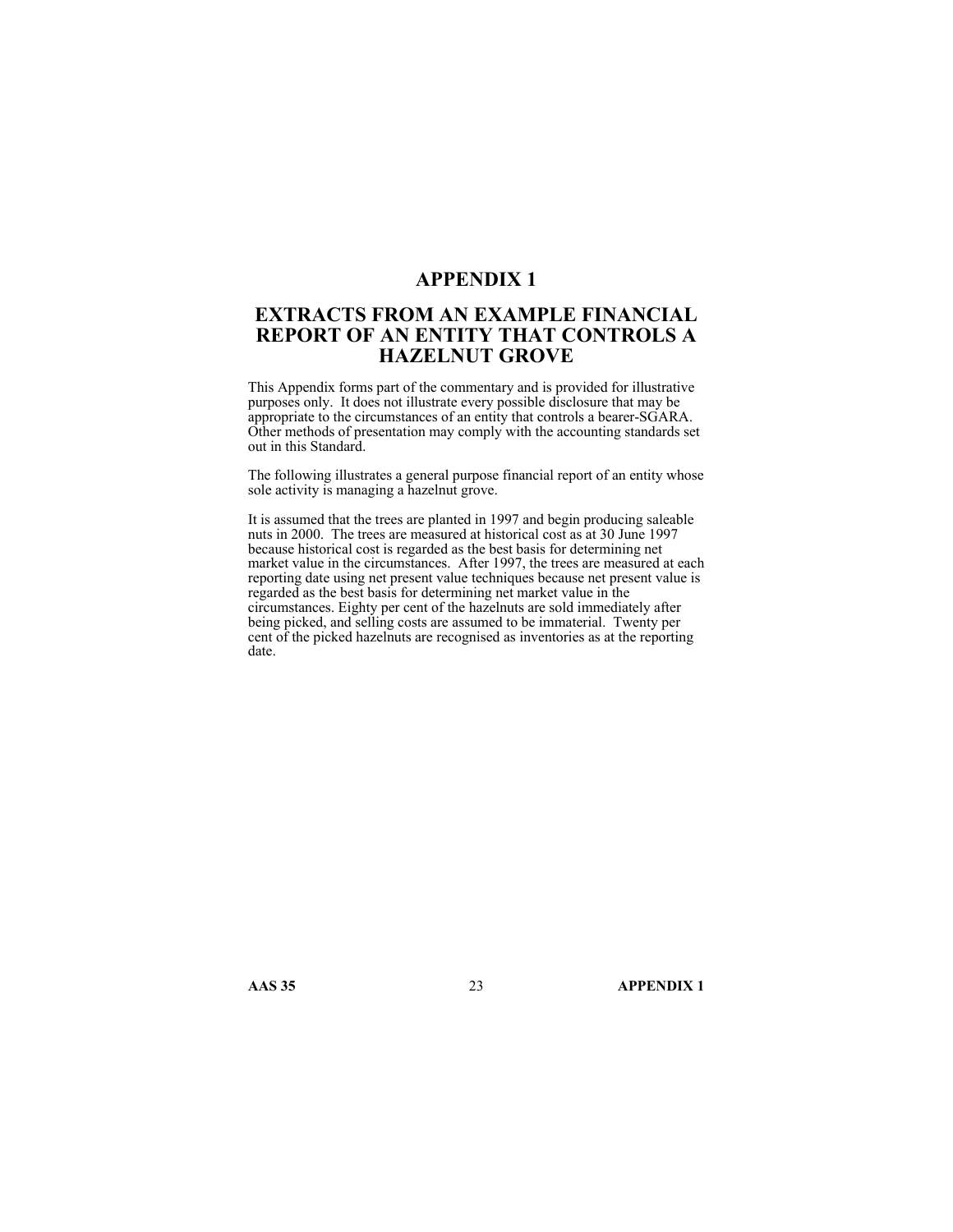### **APPENDIX 1**

# **EXTRACTS FROM AN EXAMPLE FINANCIAL REPORT OF AN ENTITY THAT CONTROLS A HAZELNUT GROVE**

This Appendix forms part of the commentary and is provided for illustrative purposes only. It does not illustrate every possible disclosure that may be appropriate to the circumstances of an entity that controls a bearer-SGARA. Other methods of presentation may comply with the accounting standards set out in this Standard.

The following illustrates a general purpose financial report of an entity whose sole activity is managing a hazelnut grove.

It is assumed that the trees are planted in 1997 and begin producing saleable nuts in 2000. The trees are measured at historical cost as at 30 June 1997 because historical cost is regarded as the best basis for determining net market value in the circumstances. After 1997, the trees are measured at each reporting date using net present value techniques because net present value is regarded as the best basis for determining net market value in the circumstances. Eighty per cent of the hazelnuts are sold immediately after being picked, and selling costs are assumed to be immaterial. Twenty per cent of the picked hazelnuts are recognised as inventories as at the reporting date.

**AAS 35** 23 **APPENDIX 1**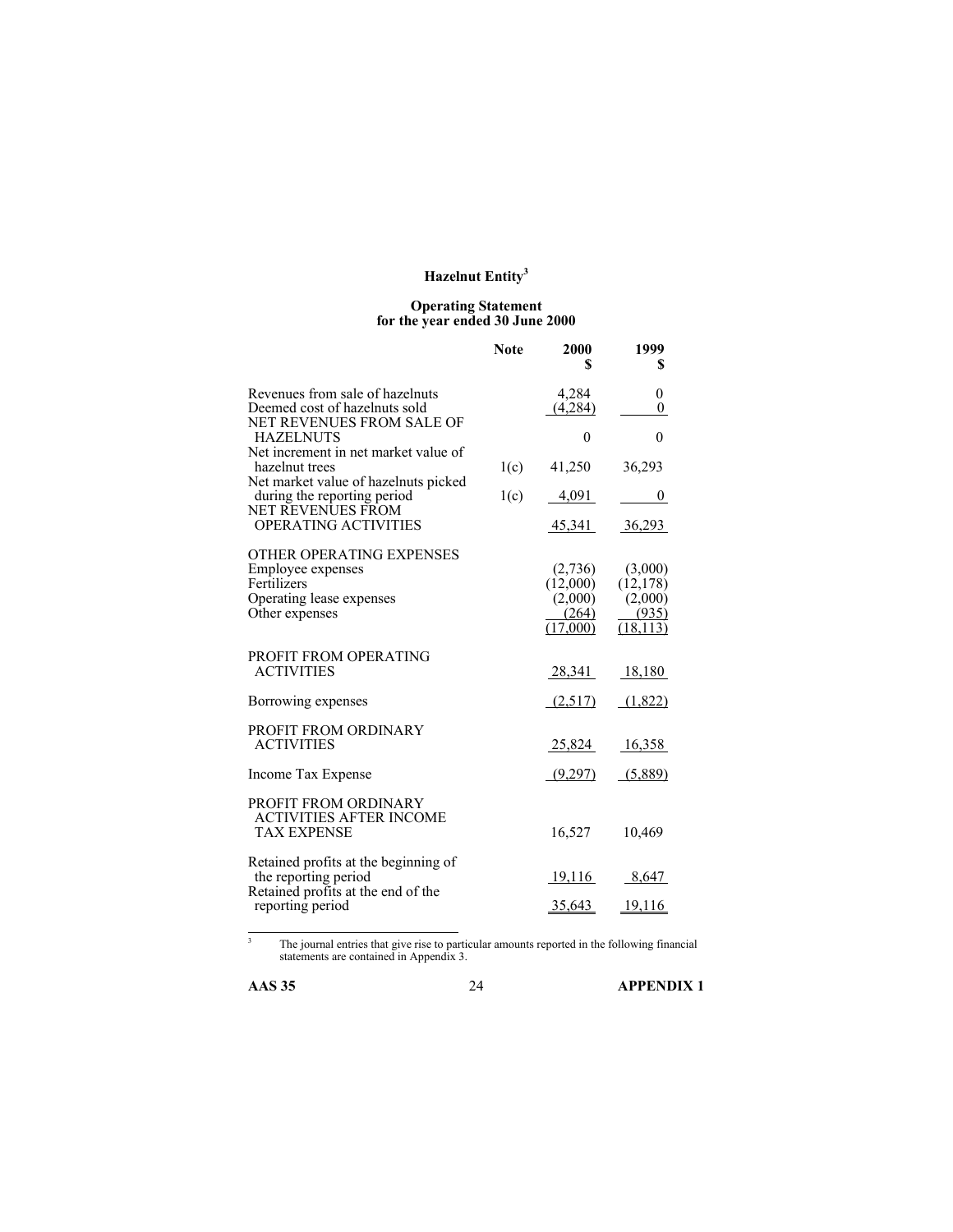#### **Operating Statement for the year ended 30 June 2000**

|                                                                                                            | <b>Note</b> | 2000<br>S                                           | 1999<br>S                                             |
|------------------------------------------------------------------------------------------------------------|-------------|-----------------------------------------------------|-------------------------------------------------------|
| Revenues from sale of hazelnuts<br>Deemed cost of hazelnuts sold<br>NET REVENUES FROM SALE OF              |             | 4,284<br>(4,284)                                    | $\theta$<br>$\overline{0}$                            |
| <b>HAZELNUTS</b>                                                                                           |             | $\theta$                                            | $\theta$                                              |
| Net increment in net market value of<br>hazelnut trees                                                     | 1(c)        | 41,250                                              | 36,293                                                |
| Net market value of hazelnuts picked<br>during the reporting period<br>NET REVENUES FROM                   | 1(c)        | 4,091                                               | 0                                                     |
| <b>OPERATING ACTIVITIES</b>                                                                                |             | 45,341                                              | <u>36,293</u>                                         |
| OTHER OPERATING EXPENSES<br>Employee expenses<br>Fertilizers<br>Operating lease expenses<br>Other expenses |             | (2,736)<br>(12,000)<br>(2,000)<br>(264)<br>(17.000) | (3,000)<br>(12, 178)<br>(2,000)<br>(935)<br>(18, 113) |
| PROFIT FROM OPERATING<br><b>ACTIVITIES</b>                                                                 |             | 28,341                                              | 18,180                                                |
| Borrowing expenses                                                                                         |             | (2,517)                                             | (1,822)                                               |
| PROFIT FROM ORDINARY<br><b>ACTIVITIES</b>                                                                  |             | 25,824                                              | 16,358                                                |
| Income Tax Expense                                                                                         |             | (9,297)                                             | (5,889)                                               |
| PROFIT FROM ORDINARY<br><b>ACTIVITIES AFTER INCOME</b><br><b>TAX EXPENSE</b>                               |             | 16,527                                              | 10,469                                                |
| Retained profits at the beginning of<br>the reporting period                                               |             | <u>19,116</u>                                       | 8,647                                                 |
| Retained profits at the end of the<br>reporting period                                                     |             | 35,643                                              | 19,116                                                |
|                                                                                                            |             |                                                     |                                                       |

The journal entries that give rise to particular amounts reported in the following financial statements are contained in Appendix 3.

 $\frac{1}{3}$ 

**AAS 35** 24 **APPENDIX 1**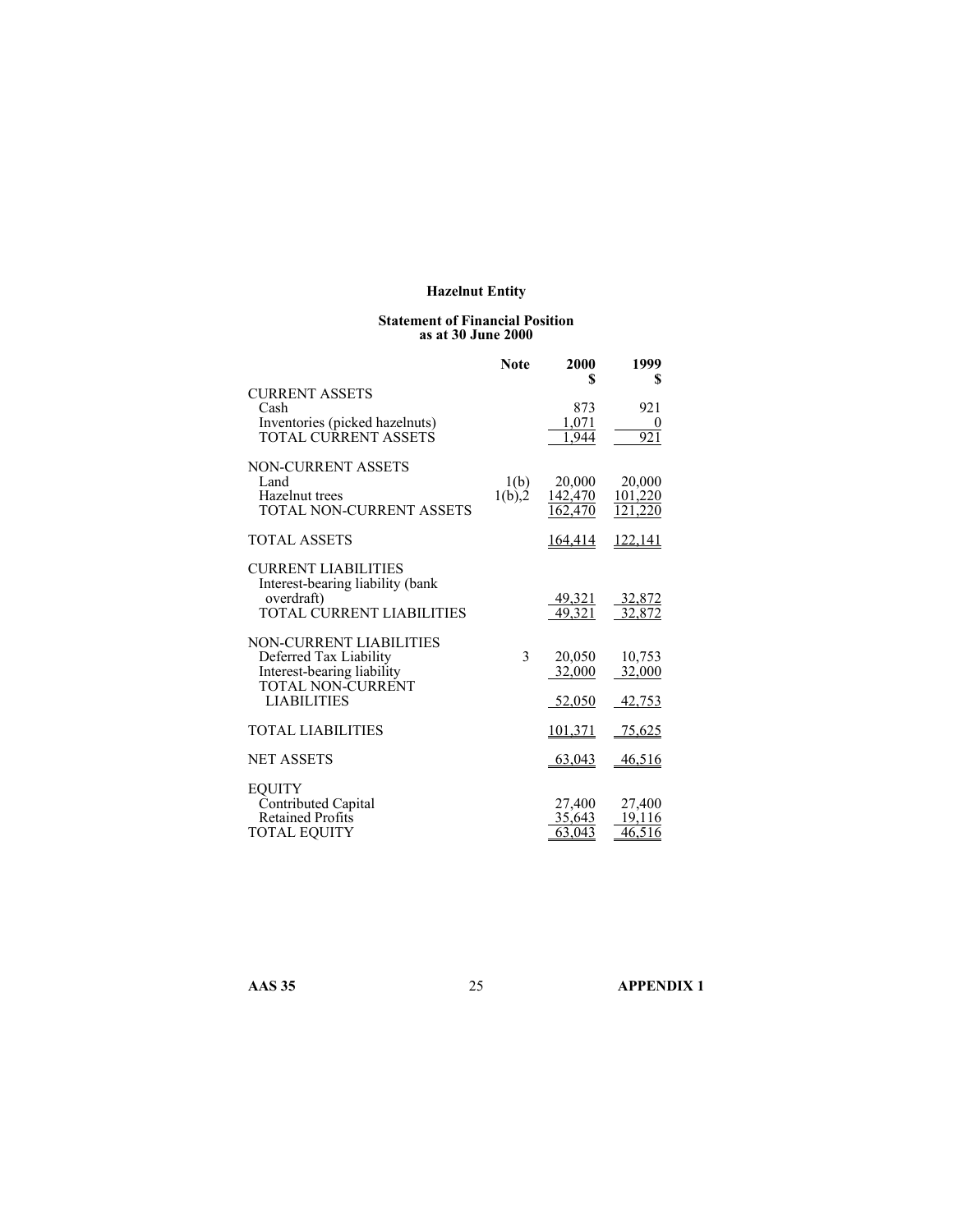#### **Statement of Financial Position as at 30 June 2000**

|                                                                                                                                   | <b>Note</b>        | 2000<br>S                    | 1999<br>S                         |
|-----------------------------------------------------------------------------------------------------------------------------------|--------------------|------------------------------|-----------------------------------|
| <b>CURRENT ASSETS</b><br>Cash<br>Inventories (picked hazelnuts)<br>TOTAL CURRENT ASSETS                                           |                    | 873<br>1.071<br>944          | 921<br>921                        |
| <b>NON-CURRENT ASSETS</b><br>Land<br>Hazelnut trees<br>TOTAL NON-CURRENT ASSETS                                                   | 1(b)<br>$1(b)$ , 2 | 20,000<br>142,470<br>162.470 | 20,000<br>101,220<br>121,220      |
| <b>TOTAL ASSETS</b>                                                                                                               |                    | 164,414                      | <u>122,141</u>                    |
| <b>CURRENT LIABILITIES</b><br>Interest-bearing liability (bank<br>overdraft)<br><b>TOTAL CURRENT LIABILITIES</b>                  |                    | $\frac{49,321}{49,321}$      | $\frac{32,872}{32,872}$           |
| <b>NON-CURRENT LIABILITIES</b><br>Deferred Tax Liability<br>Interest-bearing liability<br>TOTAL NON-CURRENT<br><b>LIABILITIES</b> | 3                  | 20,050<br>32,000<br>52,050   | 10,753<br>32,000<br>42,753        |
| <b>TOTAL LIABILITIES</b>                                                                                                          |                    | 101,371                      | 75,625                            |
| <b>NET ASSETS</b>                                                                                                                 |                    | 63,043                       | 46,516                            |
| <b>EQUITY</b><br>Contributed Capital<br><b>Retained Profits</b><br><b>TOTAL EQUITY</b>                                            |                    | 27,400<br>35,643<br>63,043   | 27,400<br>19.116<br><u>46,516</u> |

**AAS 35** 25 **APPENDIX 1**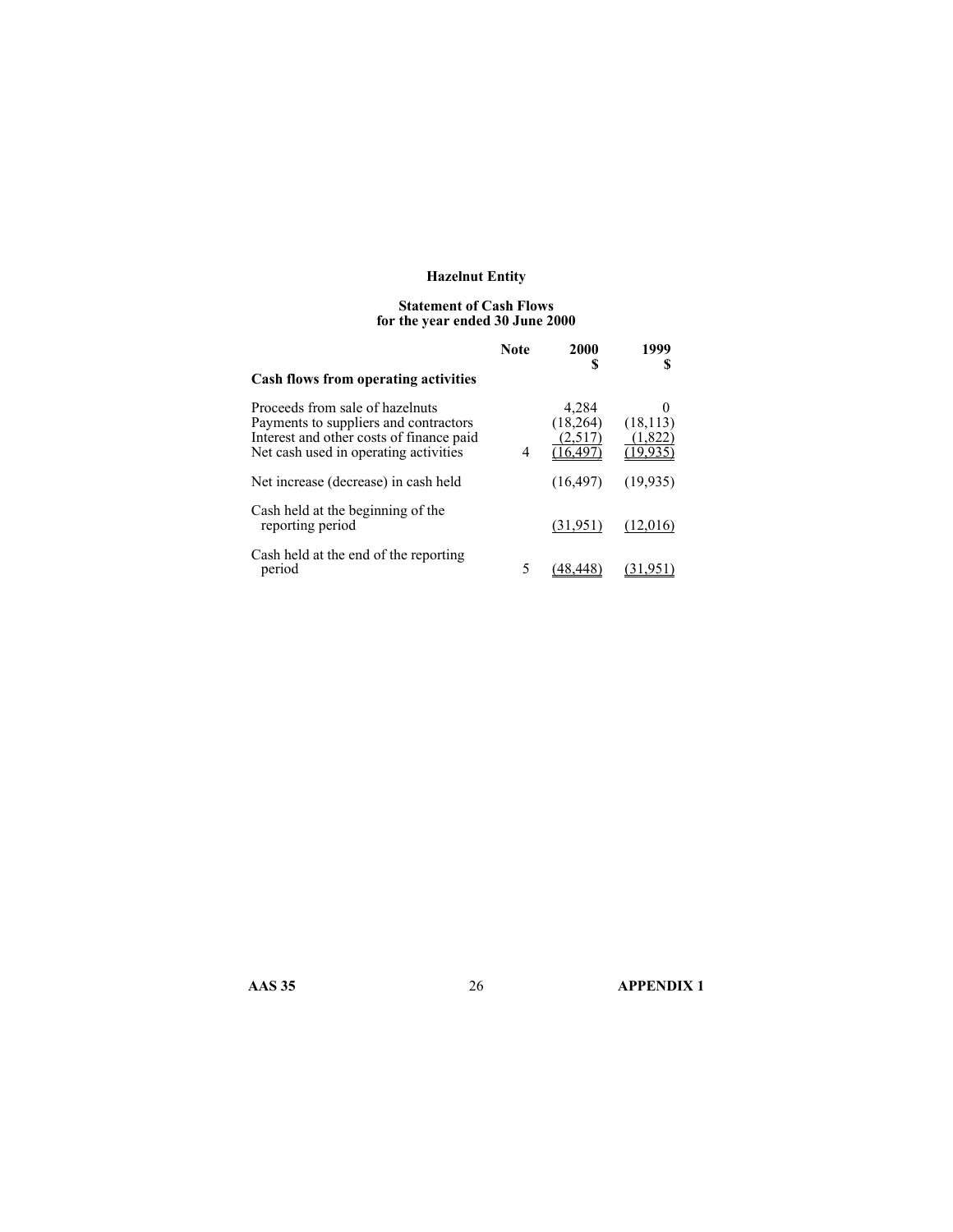#### **Statement of Cash Flows for the year ended 30 June 2000**

|                                                                                                                                                               | <b>Note</b> | 2000<br>S                   | 1999                 |
|---------------------------------------------------------------------------------------------------------------------------------------------------------------|-------------|-----------------------------|----------------------|
| Cash flows from operating activities                                                                                                                          |             |                             |                      |
| Proceeds from sale of hazelnuts<br>Payments to suppliers and contractors<br>Interest and other costs of finance paid<br>Net cash used in operating activities | 4           | 4,284<br>(18,264)<br>(2.517 | (18, 113)<br>(1,822) |
| Net increase (decrease) in cash held                                                                                                                          |             | (16, 497)                   | (19, 935)            |
| Cash held at the beginning of the<br>reporting period                                                                                                         |             | (31,951)                    | (12.016)             |
| Cash held at the end of the reporting<br>period                                                                                                               | 5           |                             |                      |

**AAS 35** 26 **APPENDIX 1**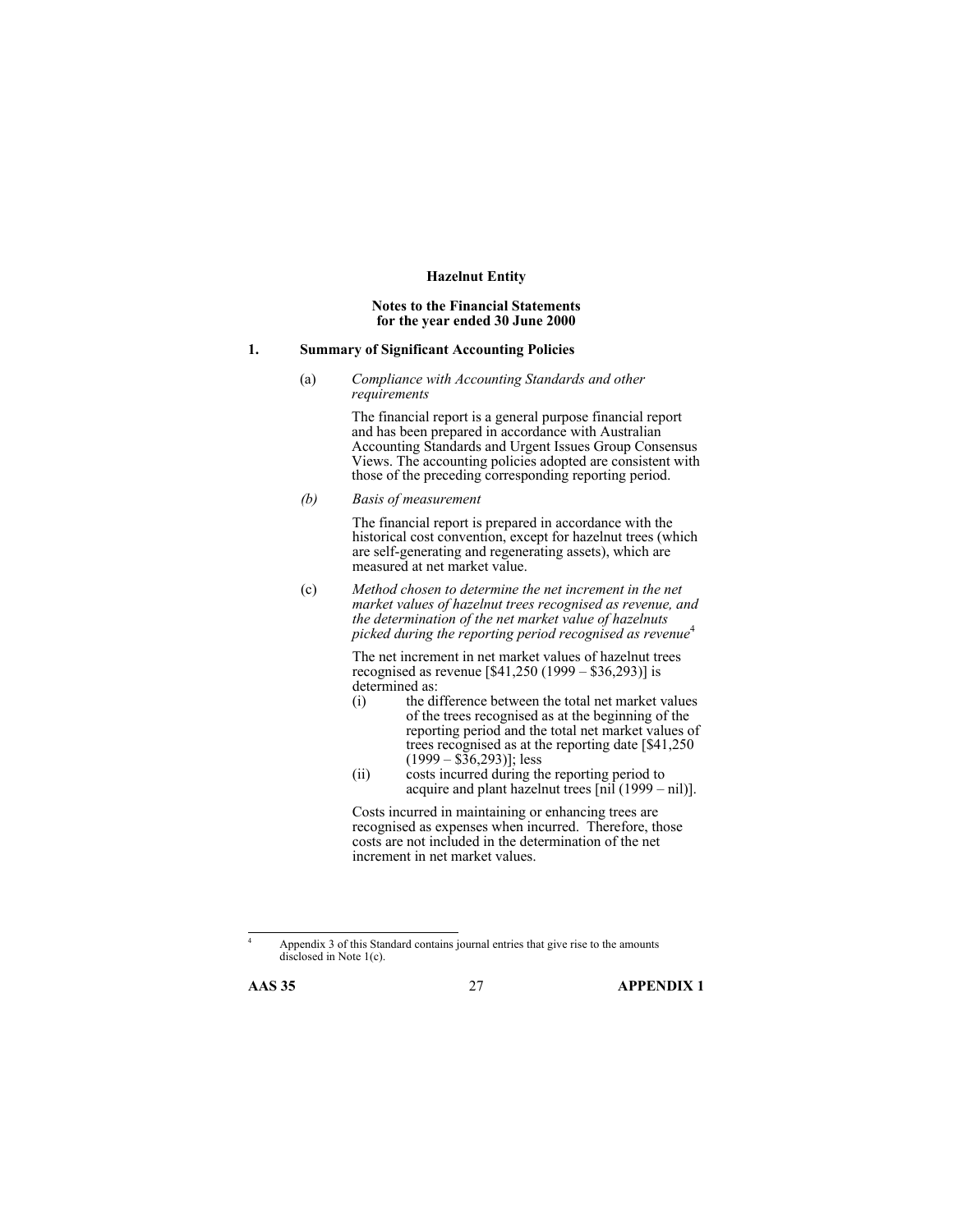### **Notes to the Financial Statements for the year ended 30 June 2000**

#### **1. Summary of Significant Accounting Policies**

(a) *Compliance with Accounting Standards and other requirements*

> The financial report is a general purpose financial report and has been prepared in accordance with Australian Accounting Standards and Urgent Issues Group Consensus Views. The accounting policies adopted are consistent with those of the preceding corresponding reporting period.

*(b) Basis of measurement* 

The financial report is prepared in accordance with the historical cost convention, except for hazelnut trees (which are self-generating and regenerating assets), which are measured at net market value.

(c) *Method chosen to determine the net increment in the net market values of hazelnut trees recognised as revenue, and the determination of the net market value of hazelnuts picked during the reporting period recognised as revenue*<sup>4</sup>

> The net increment in net market values of hazelnut trees recognised as revenue [\$41,250 (1999 – \$36,293)] is determined as:

- (i) the difference between the total net market values of the trees recognised as at the beginning of the reporting period and the total net market values of trees recognised as at the reporting date [\$41,250  $(1999 - $36,293)$ ; less
- (ii) costs incurred during the reporting period to acquire and plant hazelnut trees  $\left[\text{nil}\left(1999 - \text{nil}\right)\right]$ .

Costs incurred in maintaining or enhancing trees are recognised as expenses when incurred. Therefore, those costs are not included in the determination of the net increment in net market values.

Appendix 3 of this Standard contains journal entries that give rise to the amounts disclosed in Note 1(c).



 4

**AAS 35** 27 **APPENDIX 1**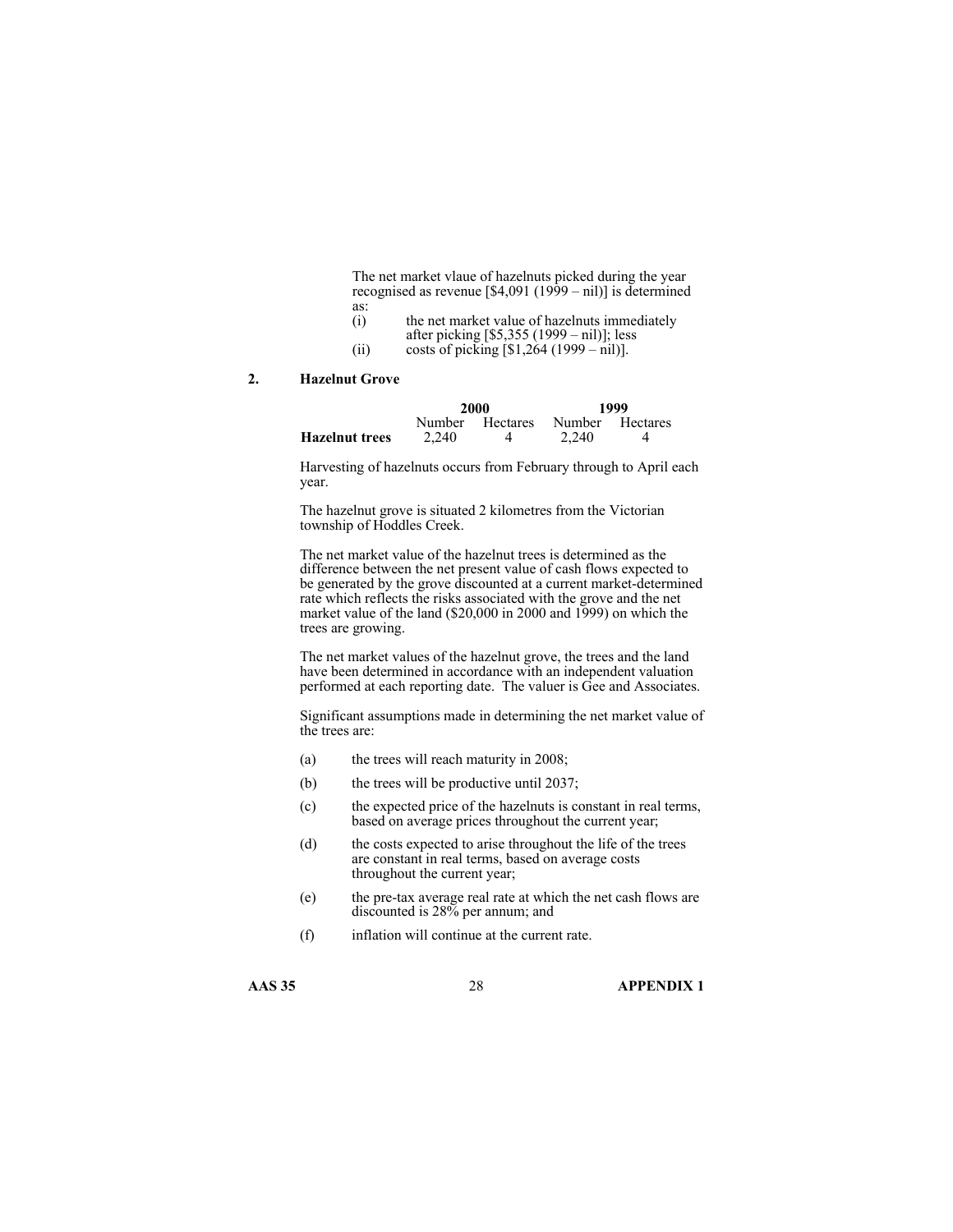The net market vlaue of hazelnuts picked during the year recognised as revenue [\$4,091 (1999 – nil)] is determined as:

- (i) the net market value of hazelnuts immediately
- after picking [\$5,355 (1999 nil)]; less
- (ii) costs of picking  $[$1,264 (1999 nil)].$

### **2. Hazelnut Grove**

|                       |       | 2000            |                 | 1999 |
|-----------------------|-------|-----------------|-----------------|------|
|                       |       | Number Hectares | Number Hectares |      |
| <b>Hazelnut trees</b> | 2.240 |                 | 2.240           |      |

Harvesting of hazelnuts occurs from February through to April each year.

The hazelnut grove is situated 2 kilometres from the Victorian township of Hoddles Creek.

The net market value of the hazelnut trees is determined as the difference between the net present value of cash flows expected to be generated by the grove discounted at a current market-determined rate which reflects the risks associated with the grove and the net market value of the land (\$20,000 in 2000 and 1999) on which the trees are growing.

The net market values of the hazelnut grove, the trees and the land have been determined in accordance with an independent valuation performed at each reporting date. The valuer is Gee and Associates.

Significant assumptions made in determining the net market value of the trees are:

- (a) the trees will reach maturity in 2008;
- (b) the trees will be productive until 2037;
- (c) the expected price of the hazelnuts is constant in real terms, based on average prices throughout the current year;
- (d) the costs expected to arise throughout the life of the trees are constant in real terms, based on average costs throughout the current year;
- (e) the pre-tax average real rate at which the net cash flows are discounted is 28% per annum; and
- (f) inflation will continue at the current rate.

**AAS 35** 28 **APPENDIX 1**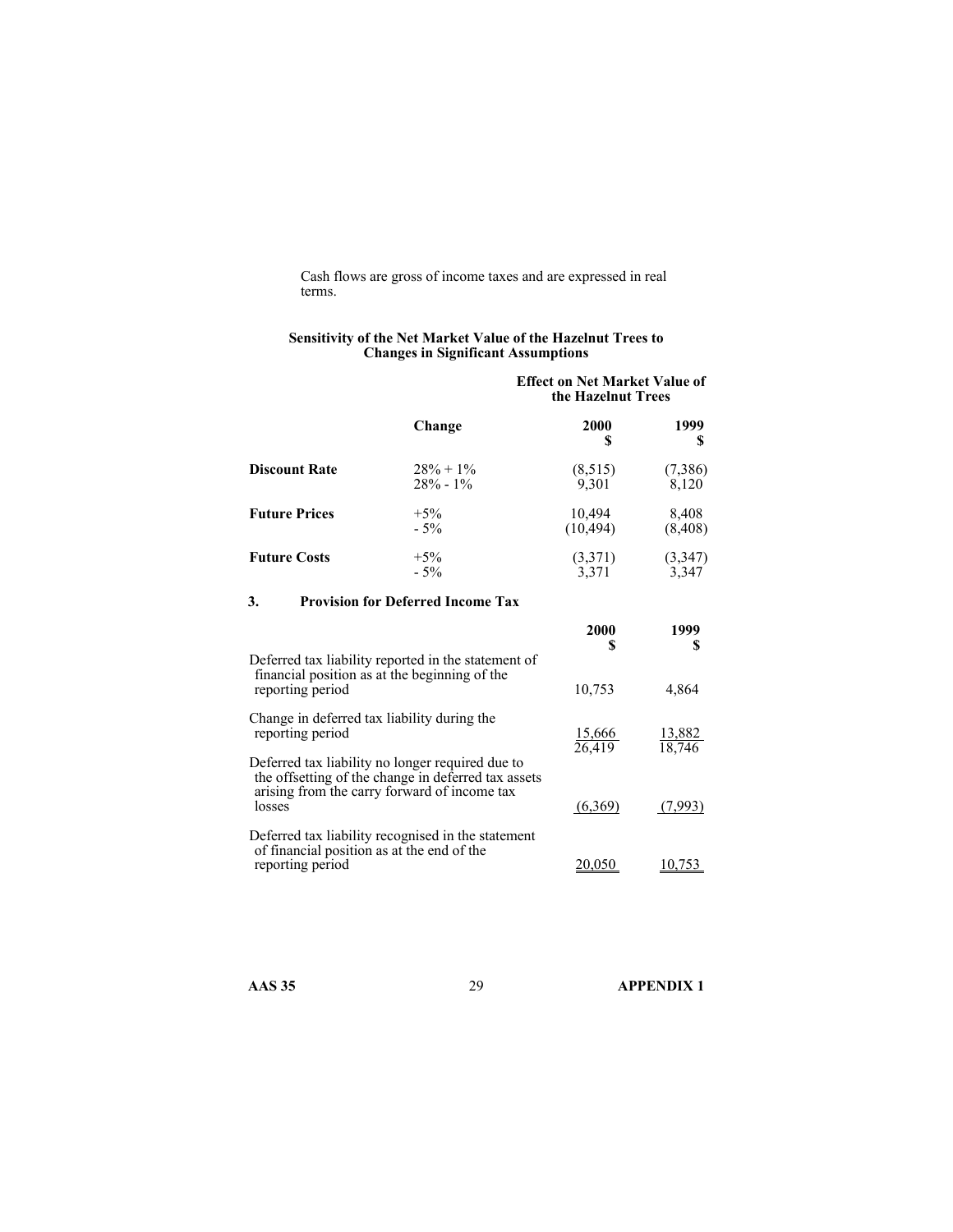Cash flows are gross of income taxes and are expressed in real terms.

#### **Sensitivity of the Net Market Value of the Hazelnut Trees to Changes in Significant Assumptions**

|                      |              | <b>Effect on Net Market Value of</b><br>the Hazelnut Trees |           |
|----------------------|--------------|------------------------------------------------------------|-----------|
|                      | Change       | 2000<br>S                                                  | 1999<br>S |
| <b>Discount Rate</b> | $28\% + 1\%$ | (8, 515)                                                   | (7,386)   |
|                      | $28\% - 1\%$ | 9,301                                                      | 8,120     |
| <b>Future Prices</b> | $+5\%$       | 10,494                                                     | 8,408     |
|                      | $-5\%$       | (10, 494)                                                  | (8, 408)  |
| <b>Future Costs</b>  | $+5\%$       | (3,371)                                                    | (3,347)   |
|                      | $-5%$        | 3.371                                                      | 3,347     |

### **3. Provision for Deferred Income Tax**

|                                                                                                                                                                   | 2000                    | 1999                    |
|-------------------------------------------------------------------------------------------------------------------------------------------------------------------|-------------------------|-------------------------|
| Deferred tax liability reported in the statement of<br>financial position as at the beginning of the<br>reporting period                                          | 10,753                  | 4,864                   |
| Change in deferred tax liability during the<br>reporting period                                                                                                   | $\frac{15,666}{26,419}$ | $\frac{13,882}{18,746}$ |
| Deferred tax liability no longer required due to<br>the offsetting of the change in deferred tax assets<br>arising from the carry forward of income tax<br>losses | (6,369)                 | 7.993                   |
| Deferred tax liability recognised in the statement<br>of financial position as at the end of the<br>reporting period                                              |                         |                         |

**AAS 35** 29 **APPENDIX 1**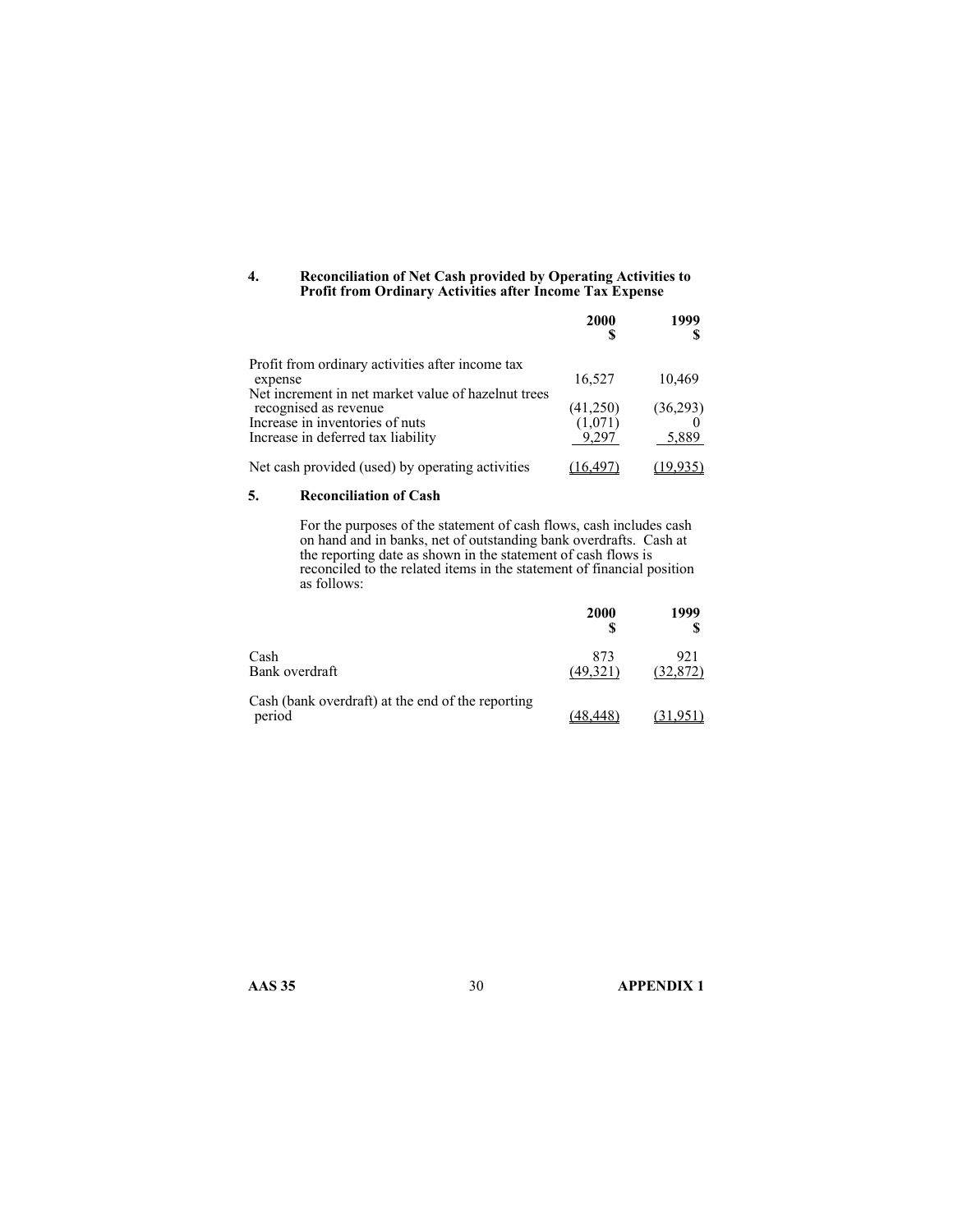#### **4. Reconciliation of Net Cash provided by Operating Activities to Profit from Ordinary Activities after Income Tax Expense**

|                                                     | <b>2000</b> | 1999     |
|-----------------------------------------------------|-------------|----------|
| Profit from ordinary activities after income tax    |             |          |
| expense                                             | 16,527      | 10,469   |
| Net increment in net market value of hazelnut trees |             |          |
| recognised as revenue                               | (41,250)    | (36,293) |
| Increase in inventories of nuts                     | (1,071)     |          |
| Increase in deferred tax liability                  | 9.297       | 5,889    |
| Net cash provided (used) by operating activities    | 16.49       | (19,935) |

#### **5. Reconciliation of Cash**

For the purposes of the statement of cash flows, cash includes cash on hand and in banks, net of outstanding bank overdrafts. Cash at the reporting date as shown in the statement of cash flows is reconciled to the related items in the statement of financial position as follows:

|                                                             | <b>2000</b>     | 1999             |
|-------------------------------------------------------------|-----------------|------------------|
| Cash<br>Bank overdraft                                      | 873<br>(49.321) | 921<br>(32, 872) |
| Cash (bank overdraft) at the end of the reporting<br>period |                 |                  |

**AAS 35** 30 **APPENDIX 1**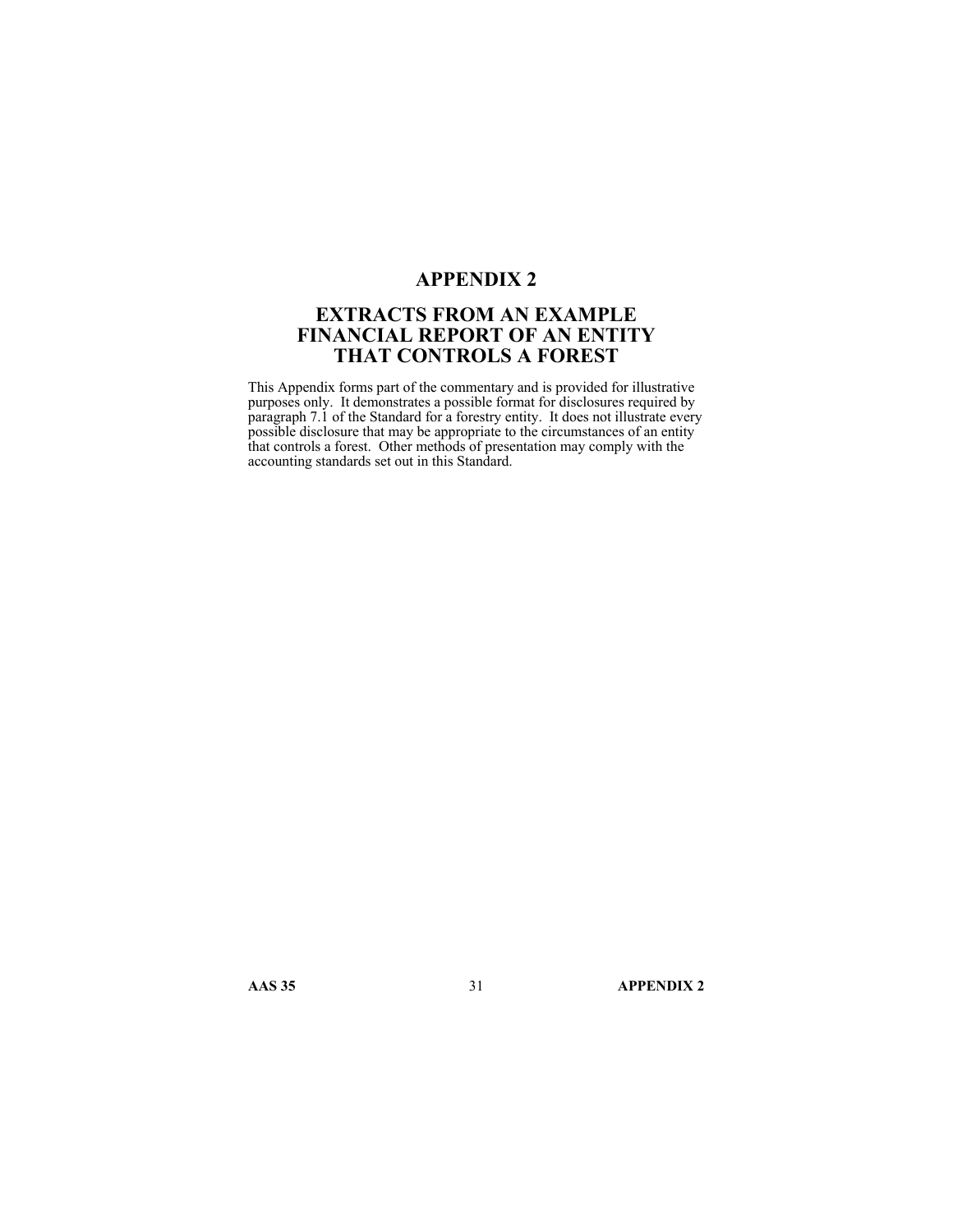# **APPENDIX 2**

# **EXTRACTS FROM AN EXAMPLE FINANCIAL REPORT OF AN ENTITY THAT CONTROLS A FOREST**

This Appendix forms part of the commentary and is provided for illustrative purposes only. It demonstrates a possible format for disclosures required by paragraph 7.1 of the Standard for a forestry entity. It does not illustrate every possible disclosure that may be appropriate to the circumstances of an entity that controls a forest. Other methods of presentation may comply with the accounting standards set out in this Standard.

**AAS 35** 31 **APPENDIX 2**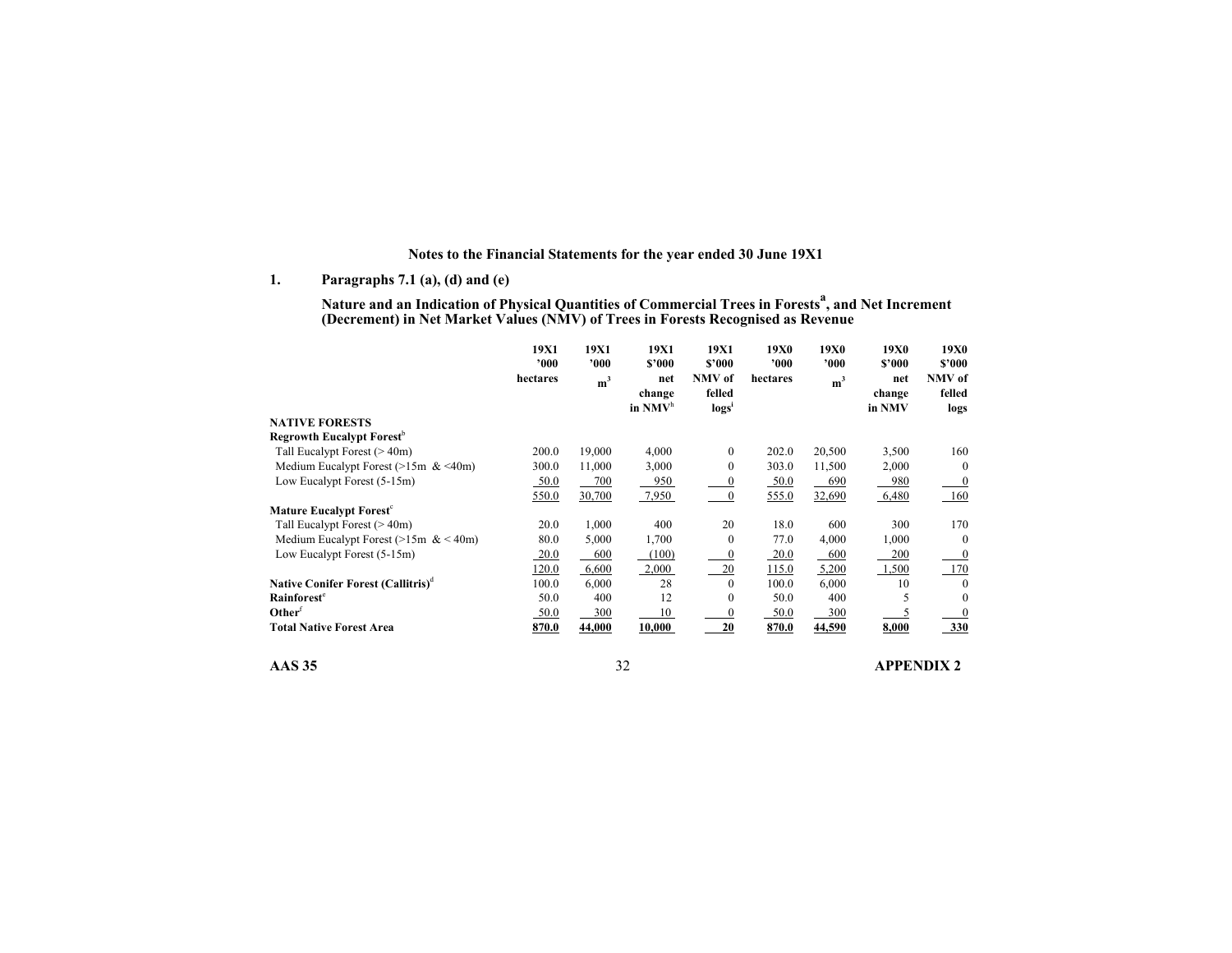### **Notes to the Financial Statements for the year ended 30 June 19X1**

**1. Paragraphs 7.1 (a), (d) and (e)** 

**Nature and an Indication of Physical Quantities of Commercial Trees in Forestsa, and Net Increment (Decrement) in Net Market Values (NMV) of Trees in Forests Recognised as Revenue**

|                                                | 19X1<br>000 | 19X1<br>'000'  | 19X1<br>\$2000                       | 19X1<br>\$'000            | <b>19X0</b><br>$^{\prime}000$ | 19X0<br>'000   | 19X0<br>\$'000          | 19X0<br>\$'000           |
|------------------------------------------------|-------------|----------------|--------------------------------------|---------------------------|-------------------------------|----------------|-------------------------|--------------------------|
|                                                | hectares    | m <sup>3</sup> | net<br>change<br>in NMV <sup>h</sup> | NMV of<br>felled<br>log s | hectares                      | m <sup>3</sup> | net<br>change<br>in NMV | NMV of<br>felled<br>logs |
| <b>NATIVE FORESTS</b>                          |             |                |                                      |                           |                               |                |                         |                          |
| Regrowth Eucalypt Forest <sup>b</sup>          |             |                |                                      |                           |                               |                |                         |                          |
| Tall Eucalypt Forest $(> 40m)$                 | 200.0       | 19,000         | 4,000                                | $\mathbf{0}$              | 202.0                         | 20,500         | 3,500                   | 160                      |
| Medium Eucalypt Forest ( $>15m$ & $<40m$ )     | 300.0       | 11,000         | 3,000                                | $\boldsymbol{0}$          | 303.0                         | 11,500         | 2,000                   | $\mathbf{0}$             |
| Low Eucalypt Forest (5-15m)                    | 50.0        | 700            | 950                                  |                           | 50.0                          | 690            | 980                     | $\boldsymbol{0}$         |
|                                                | 550.0       | 30,700         | 7,950                                | $\mathbf{0}$              | 555.0                         | 32,690         | 6,480                   | 160                      |
| <b>Mature Eucalypt Forest<sup>c</sup></b>      |             |                |                                      |                           |                               |                |                         |                          |
| Tall Eucalypt Forest $(> 40m)$                 | 20.0        | 1,000          | 400                                  | 20                        | 18.0                          | 600            | 300                     | 170                      |
| Medium Eucalypt Forest (>15m & < 40m)          | 80.0        | 5,000          | 1,700                                | $\Omega$                  | 77.0                          | 4,000          | 1,000                   | $\bf{0}$                 |
| Low Eucalypt Forest (5-15m)                    | 20.0        | 600            | (100)                                |                           | 20.0                          | 600            | 200                     | $\boldsymbol{0}$         |
|                                                | 120.0       | 6,600          | 2,000                                | 20                        | 115.0                         | 5,200          | 1,500                   | 170                      |
| Native Conifer Forest (Callitris) <sup>d</sup> | 100.0       | 6,000          | 28                                   | $\Omega$                  | 100.0                         | 6,000          | 10                      | $\mathbf{0}$             |
| Rainforest <sup>e</sup>                        | 50.0        | 400            | 12                                   | $\theta$                  | 50.0                          | 400            | 5                       | $\bf{0}$                 |
| Other <sup>†</sup>                             | 50.0        | 300            | 10                                   |                           | 50.0                          | 300            |                         | $\boldsymbol{0}$         |
| <b>Total Native Forest Area</b>                | 870.0       | 44,000         | 10,000                               | 20                        | 870.0                         | 44,590         | 8,000                   | 330                      |

**AAS 35** 32 **APPENDIX 2**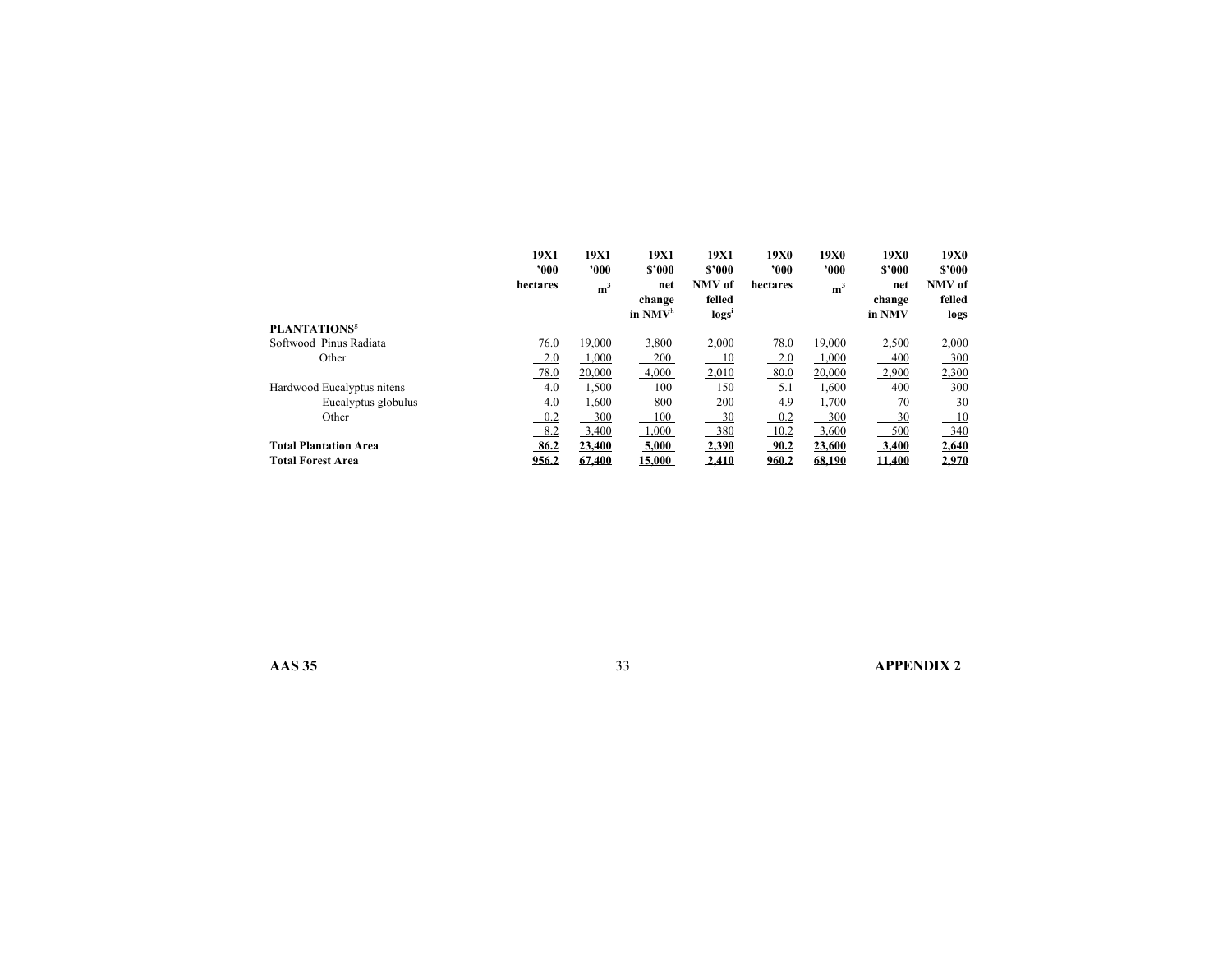|                                | 19X1     | 19X1           | 19X1      | 19X1   | <b>19X0</b>    | <b>19X0</b>    | 19X0   | 19X0   |
|--------------------------------|----------|----------------|-----------|--------|----------------|----------------|--------|--------|
|                                | 000'     | 000'           | \$2000    | \$2000 | $^{\prime}000$ | 000'           | \$2000 | \$2000 |
|                                | hectares | m <sup>3</sup> | net       | NMV of | hectares       | m <sup>3</sup> | net    | NMV of |
|                                |          |                | change    | felled |                |                | change | felled |
|                                |          |                | in $NMVh$ | logsi  |                |                | in NMV | logs   |
| <b>PLANTATIONS<sup>8</sup></b> |          |                |           |        |                |                |        |        |
| Softwood Pinus Radiata         | 76.0     | 19,000         | 3,800     | 2,000  | 78.0           | 19,000         | 2,500  | 2,000  |
| Other                          | 2.0      | 1,000          | 200       | 10     | 2.0            | 1,000          | 400    | 300    |
|                                | 78.0     | 20,000         | 4,000     | 2,010  | 80.0           | 20,000         | 2,900  | 2,300  |
| Hardwood Eucalyptus nitens     | 4.0      | 1,500          | 100       | 150    | 5.1            | 1.600          | 400    | 300    |
| Eucalyptus globulus            | 4.0      | 1,600          | 800       | 200    | 4.9            | 1,700          | 70     | 30     |
| Other                          | 0.2      | 300            | 100       | 30     | 0.2            | 300            | 30     | 10     |
|                                | 8.2      | 3,400          | 1,000     | 380    | 10.2           | 3,600          | 500    | 340    |
| <b>Total Plantation Area</b>   | 86.2     | 23,400         | 5,000     | 2,390  | 90.2           | 23,600         | 3,400  | 2,640  |
| <b>Total Forest Area</b>       | 956.2    | 67.400         | 15.000    | 2,410  | 960.2          | 68,190         | 11.400 | 2,970  |

**AAS 35** 33 **APPENDIX 2**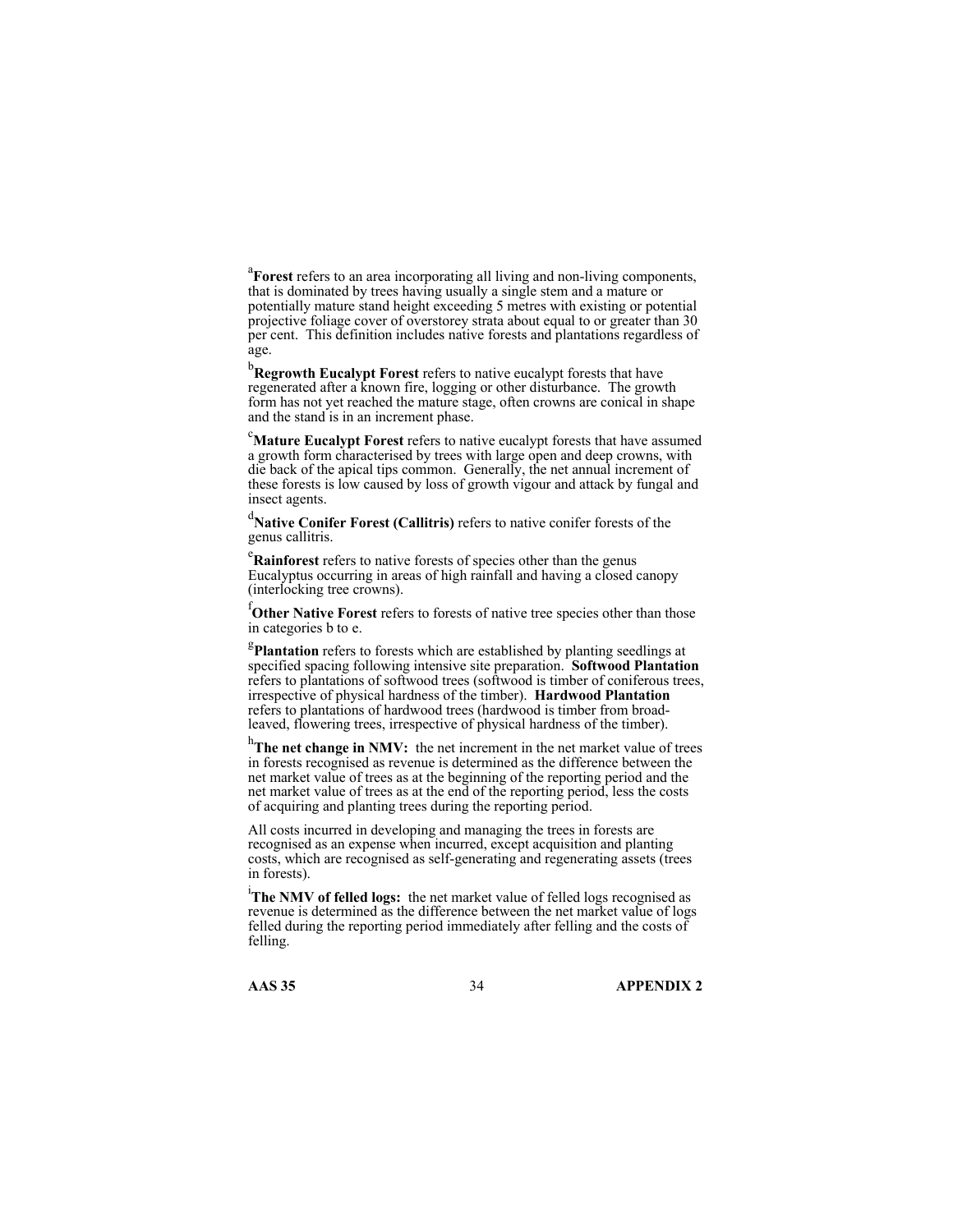<sup>a</sup>Forest refers to an area incorporating all living and non-living components, that is dominated by trees having usually a single stem and a mature or potentially mature stand height exceeding 5 metres with existing or potential projective foliage cover of overstorey strata about equal to or greater than 30 per cent. This definition includes native forests and plantations regardless of age.

b **Regrowth Eucalypt Forest** refers to native eucalypt forests that have regenerated after a known fire, logging or other disturbance. The growth form has not yet reached the mature stage, often crowns are conical in shape and the stand is in an increment phase.

c **Mature Eucalypt Forest** refers to native eucalypt forests that have assumed a growth form characterised by trees with large open and deep crowns, with die back of the apical tips common. Generally, the net annual increment of these forests is low caused by loss of growth vigour and attack by fungal and insect agents.

d **Native Conifer Forest (Callitris)** refers to native conifer forests of the genus callitris.

e **Rainforest** refers to native forests of species other than the genus Eucalyptus occurring in areas of high rainfall and having a closed canopy (interlocking tree crowns).

f **Other Native Forest** refers to forests of native tree species other than those in categories b to e.

<sup>g</sup>Plantation refers to forests which are established by planting seedlings at specified spacing following intensive site preparation. **Softwood Plantation**  refers to plantations of softwood trees (softwood is timber of coniferous trees, irrespective of physical hardness of the timber). **Hardwood Plantation**  refers to plantations of hardwood trees (hardwood is timber from broadleaved, flowering trees, irrespective of physical hardness of the timber).

h<sub>The net change in NMV: the net increment in the net market value of trees</sub> in forests recognised as revenue is determined as the difference between the net market value of trees as at the beginning of the reporting period and the net market value of trees as at the end of the reporting period, less the costs of acquiring and planting trees during the reporting period.

All costs incurred in developing and managing the trees in forests are recognised as an expense when incurred, except acquisition and planting costs, which are recognised as self-generating and regenerating assets (trees in forests).

i **The NMV of felled logs:** the net market value of felled logs recognised as revenue is determined as the difference between the net market value of logs felled during the reporting period immediately after felling and the costs of felling.

**AAS 35** 34 **APPENDIX 2**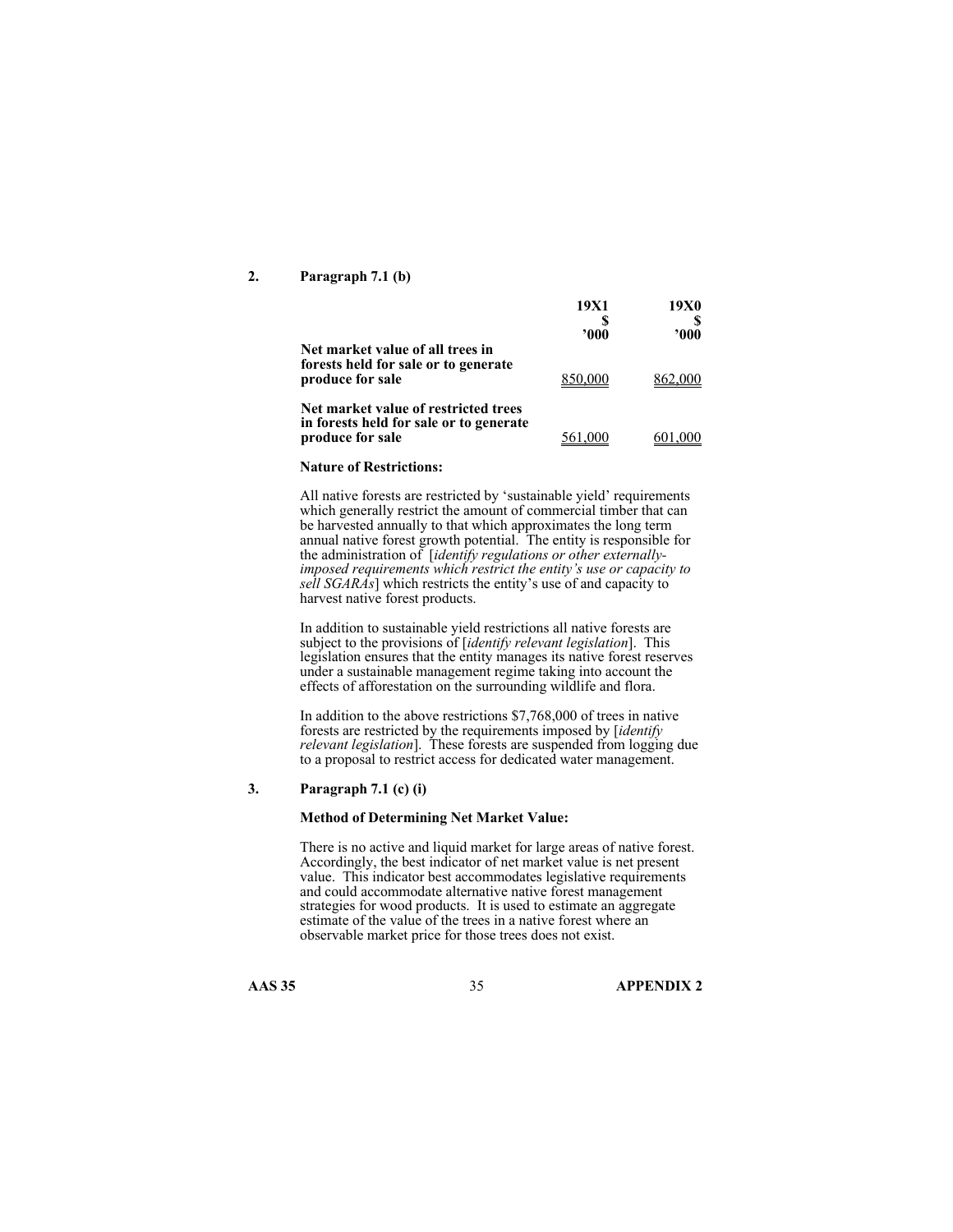#### **2. Paragraph 7.1 (b)**

|                                                                                                     | 19X1<br>2000 | 19X0<br>2000 |
|-----------------------------------------------------------------------------------------------------|--------------|--------------|
| Net market value of all trees in<br>forests held for sale or to generate<br>produce for sale        |              |              |
| Net market value of restricted trees<br>in forests held for sale or to generate<br>produce for sale |              |              |

#### **Nature of Restrictions:**

All native forests are restricted by 'sustainable yield' requirements which generally restrict the amount of commercial timber that can be harvested annually to that which approximates the long term annual native forest growth potential. The entity is responsible for the administration of [*identify regulations or other externallyimposed requirements which restrict the entity's use or capacity to sell SGARAs*] which restricts the entity's use of and capacity to harvest native forest products.

In addition to sustainable yield restrictions all native forests are subject to the provisions of [*identify relevant legislation*]. This legislation ensures that the entity manages its native forest reserves under a sustainable management regime taking into account the effects of afforestation on the surrounding wildlife and flora.

In addition to the above restrictions \$7,768,000 of trees in native forests are restricted by the requirements imposed by [*identify relevant legislation*]. These forests are suspended from logging due to a proposal to restrict access for dedicated water management.

#### **3. Paragraph 7.1 (c) (i)**

#### **Method of Determining Net Market Value:**

There is no active and liquid market for large areas of native forest. Accordingly, the best indicator of net market value is net present value. This indicator best accommodates legislative requirements and could accommodate alternative native forest management strategies for wood products. It is used to estimate an aggregate estimate of the value of the trees in a native forest where an observable market price for those trees does not exist.

**AAS 35** 35 **APPENDIX 2**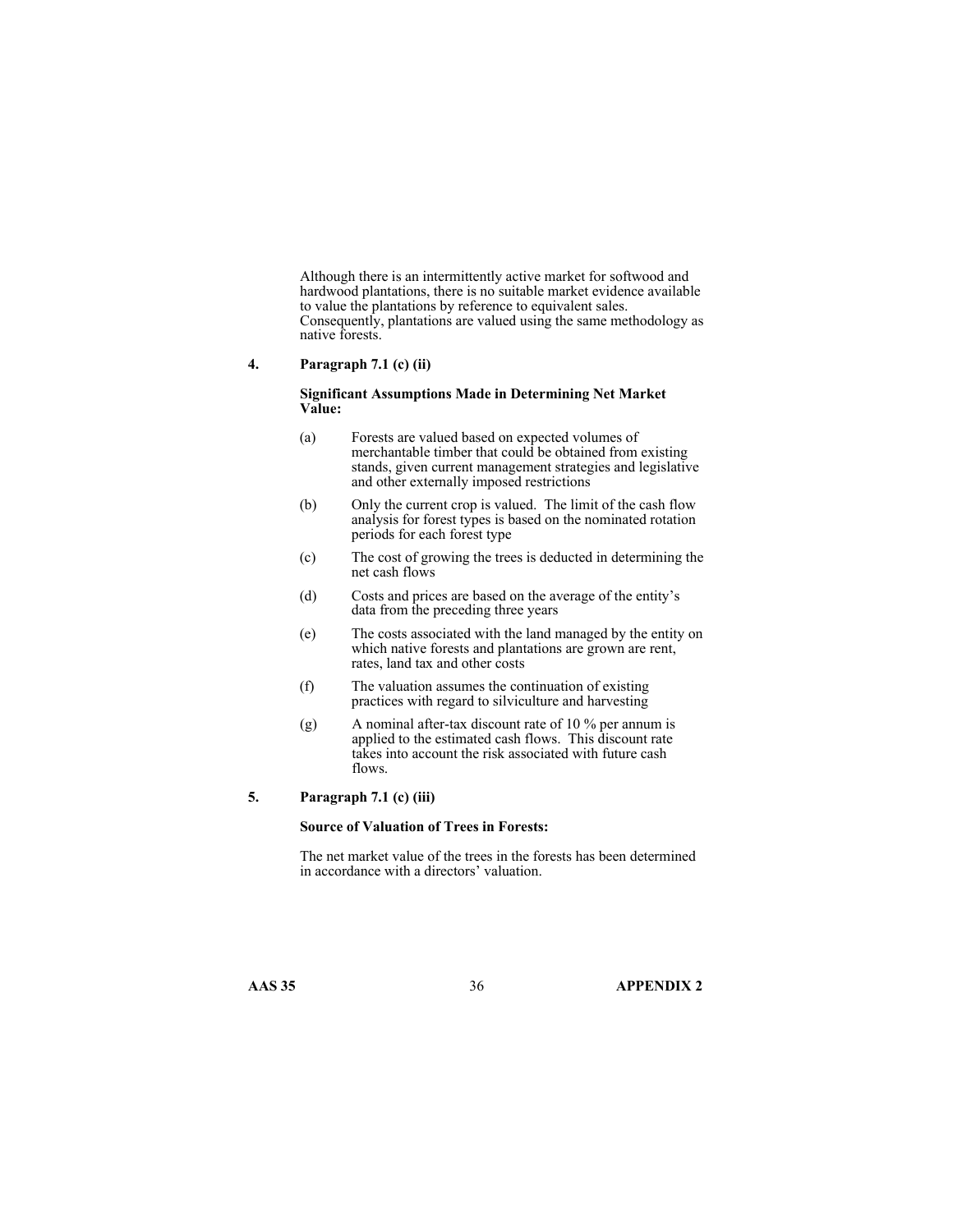Although there is an intermittently active market for softwood and hardwood plantations, there is no suitable market evidence available to value the plantations by reference to equivalent sales. Consequently, plantations are valued using the same methodology as native forests.

#### **4. Paragraph 7.1 (c) (ii)**

#### **Significant Assumptions Made in Determining Net Market Value:**

- (a) Forests are valued based on expected volumes of merchantable timber that could be obtained from existing stands, given current management strategies and legislative and other externally imposed restrictions
- (b) Only the current crop is valued. The limit of the cash flow analysis for forest types is based on the nominated rotation periods for each forest type
- (c) The cost of growing the trees is deducted in determining the net cash flows
- (d) Costs and prices are based on the average of the entity's data from the preceding three years
- (e) The costs associated with the land managed by the entity on which native forests and plantations are grown are rent, rates, land tax and other costs
- (f) The valuation assumes the continuation of existing practices with regard to silviculture and harvesting
- (g) A nominal after-tax discount rate of 10 % per annum is applied to the estimated cash flows. This discount rate takes into account the risk associated with future cash flows.

# **5. Paragraph 7.1 (c) (iii)**

#### **Source of Valuation of Trees in Forests:**

The net market value of the trees in the forests has been determined in accordance with a directors' valuation.

**AAS 35** 36 **APPENDIX 2**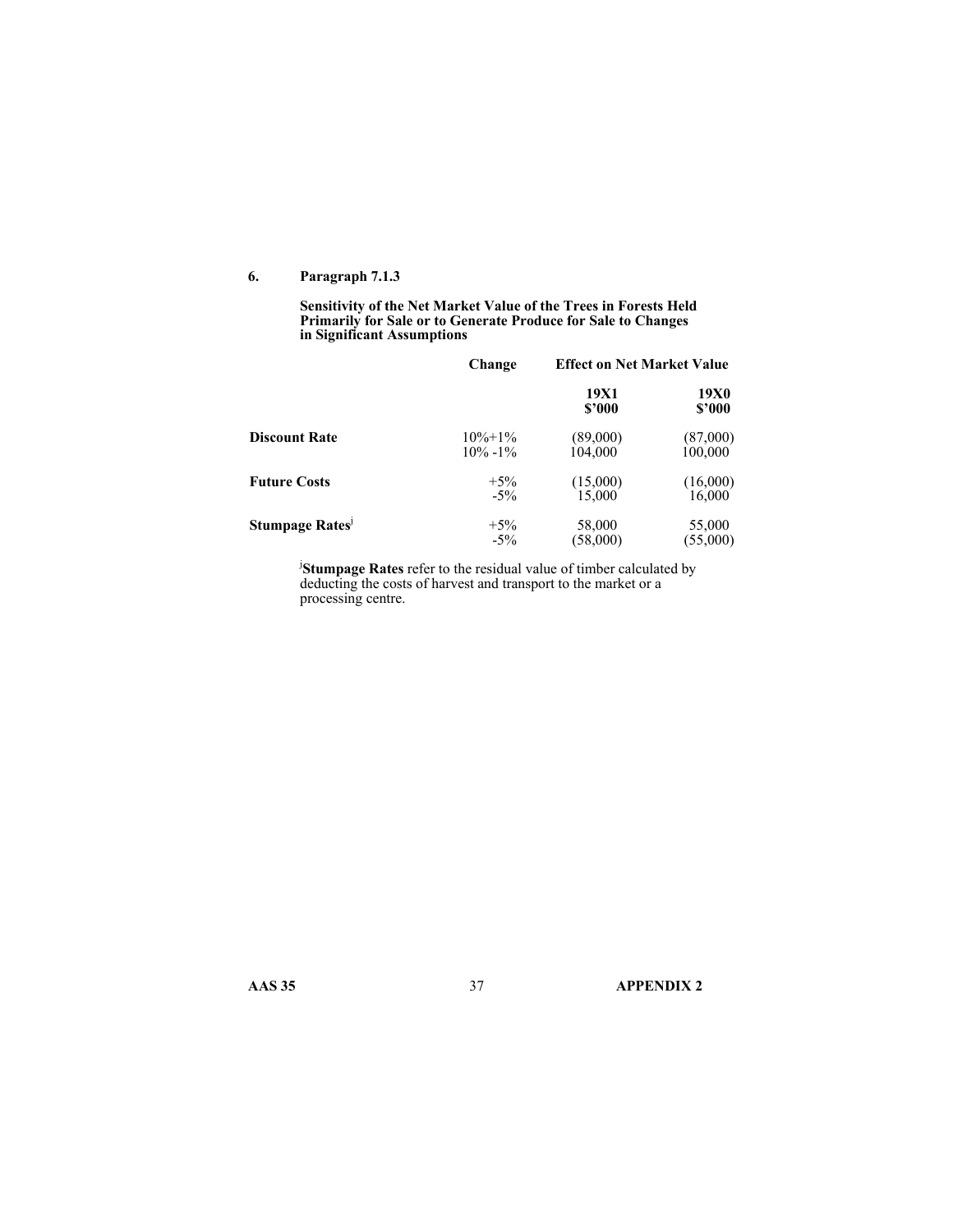### **6. Paragraph 7.1.3**

**Sensitivity of the Net Market Value of the Trees in Forests Held Primarily for Sale or to Generate Produce for Sale to Changes in Significant Assumptions** 

|                      | Change       | <b>Effect on Net Market Value</b> |                |
|----------------------|--------------|-----------------------------------|----------------|
|                      |              | 19X1<br>\$'000                    | 19X0<br>\$2000 |
| <b>Discount Rate</b> | $10\% + 1\%$ | (89,000)                          | (87,000)       |
|                      | $10\% - 1\%$ | 104,000                           | 100,000        |
| <b>Future Costs</b>  | $+5\%$       | (15,000)                          | (16,000)       |
|                      | $-5\%$       | 15.000                            | 16,000         |
| Stumpage Rates       | $+5\%$       | 58,000                            | 55,000         |
|                      | $-5\%$       | (58,000)                          | (55,000)       |

j **Stumpage Rates** refer to the residual value of timber calculated by deducting the costs of harvest and transport to the market or a processing centre.

**AAS 35** 37 **APPENDIX 2**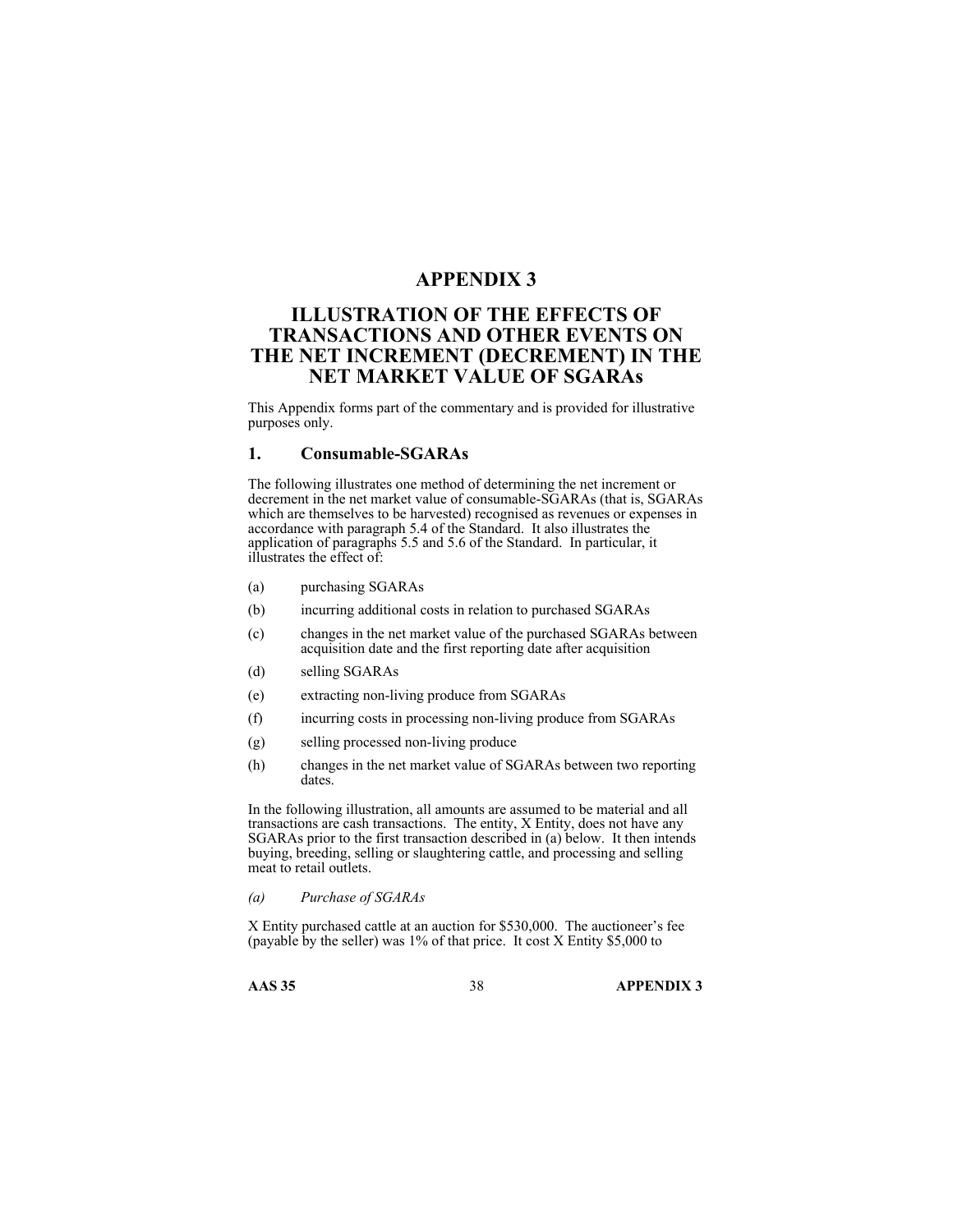# **APPENDIX 3**

# **ILLUSTRATION OF THE EFFECTS OF TRANSACTIONS AND OTHER EVENTS ON THE NET INCREMENT (DECREMENT) IN THE NET MARKET VALUE OF SGARAs**

This Appendix forms part of the commentary and is provided for illustrative purposes only.

### **1. Consumable-SGARAs**

The following illustrates one method of determining the net increment or decrement in the net market value of consumable-SGARAs (that is, SGARAs which are themselves to be harvested) recognised as revenues or expenses in accordance with paragraph 5.4 of the Standard. It also illustrates the application of paragraphs 5.5 and 5.6 of the Standard. In particular, it illustrates the effect of:

- (a) purchasing SGARAs
- (b) incurring additional costs in relation to purchased SGARAs
- (c) changes in the net market value of the purchased SGARAs between acquisition date and the first reporting date after acquisition
- (d) selling SGARAs
- (e) extracting non-living produce from SGARAs
- (f) incurring costs in processing non-living produce from SGARAs
- (g) selling processed non-living produce
- (h) changes in the net market value of SGARAs between two reporting dates.

In the following illustration, all amounts are assumed to be material and all transactions are cash transactions. The entity, X Entity, does not have any SGARAs prior to the first transaction described in (a) below. It then intends buying, breeding, selling or slaughtering cattle, and processing and selling meat to retail outlets.

*(a) Purchase of SGARAs* 

X Entity purchased cattle at an auction for \$530,000. The auctioneer's fee (payable by the seller) was 1% of that price. It cost X Entity \$5,000 to

**AAS 35** 38 **APPENDIX 3**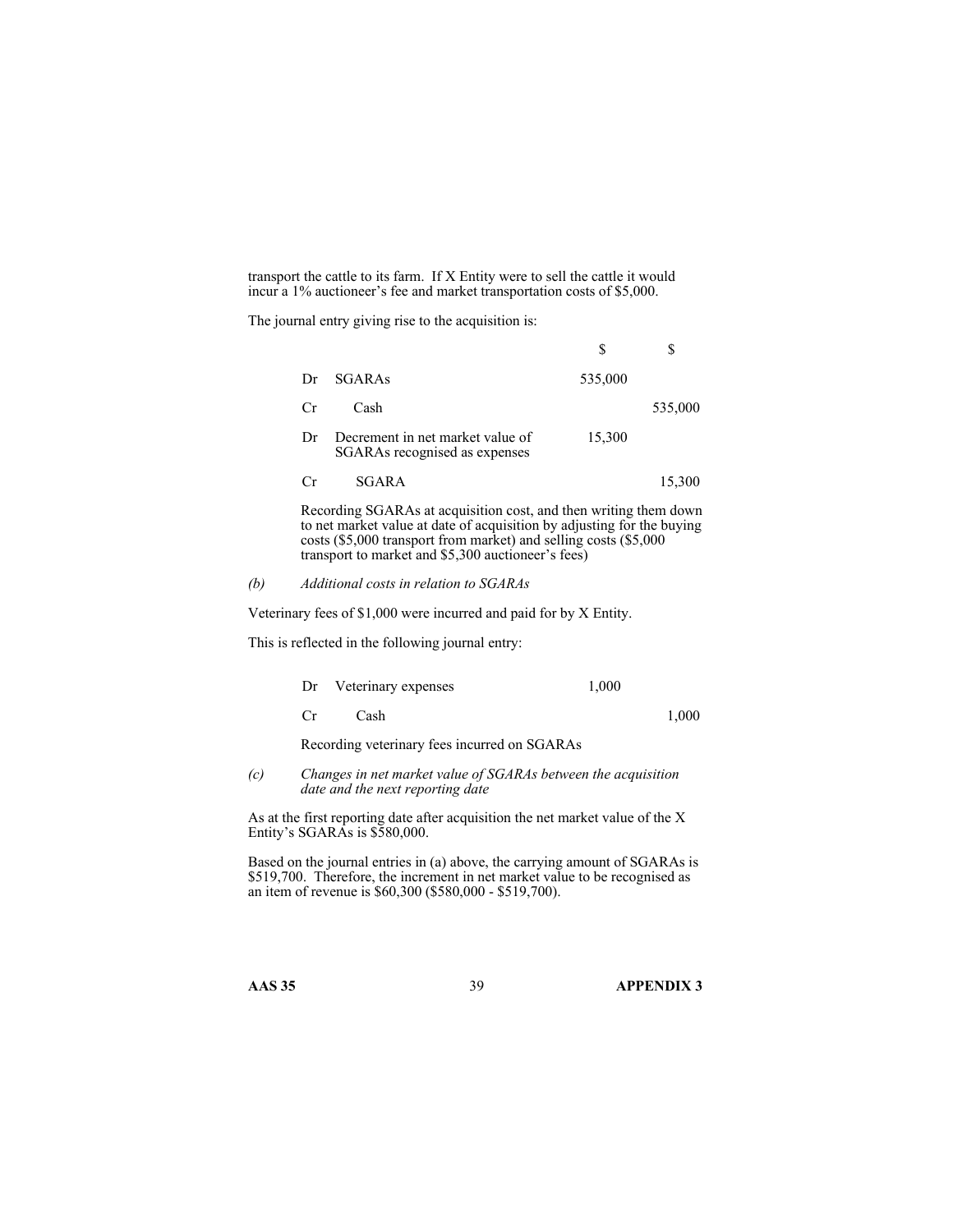transport the cattle to its farm. If X Entity were to sell the cattle it would incur a 1% auctioneer's fee and market transportation costs of \$5,000.

The journal entry giving rise to the acquisition is:

| Dr. | <b>SGARAs</b>                                                     | 535,000 |         |
|-----|-------------------------------------------------------------------|---------|---------|
| Cr  | Cash                                                              |         | 535,000 |
| 1)r | Decrement in net market value of<br>SGARAs recognised as expenses | 15,300  |         |
|     | SGARA                                                             |         | 15,300  |
|     |                                                                   |         |         |

 Recording SGARAs at acquisition cost, and then writing them down to net market value at date of acquisition by adjusting for the buying costs (\$5,000 transport from market) and selling costs (\$5,000 transport to market and \$5,300 auctioneer's fees)

### *(b) Additional costs in relation to SGARAs*

Veterinary fees of \$1,000 were incurred and paid for by X Entity.

This is reflected in the following journal entry:

| Dr                                           | Veterinary expenses | 1.000 |       |  |  |
|----------------------------------------------|---------------------|-------|-------|--|--|
| - Cr                                         | Cash                |       | 1.000 |  |  |
| Recording veterinary fees incurred on SGARAs |                     |       |       |  |  |

*(c) Changes in net market value of SGARAs between the acquisition date and the next reporting date* 

As at the first reporting date after acquisition the net market value of the X Entity's SGARAs is \$580,000.

Based on the journal entries in (a) above, the carrying amount of SGARAs is \$519,700. Therefore, the increment in net market value to be recognised as an item of revenue is \$60,300 (\$580,000 - \$519,700).

**AAS 35** 39 **APPENDIX 3**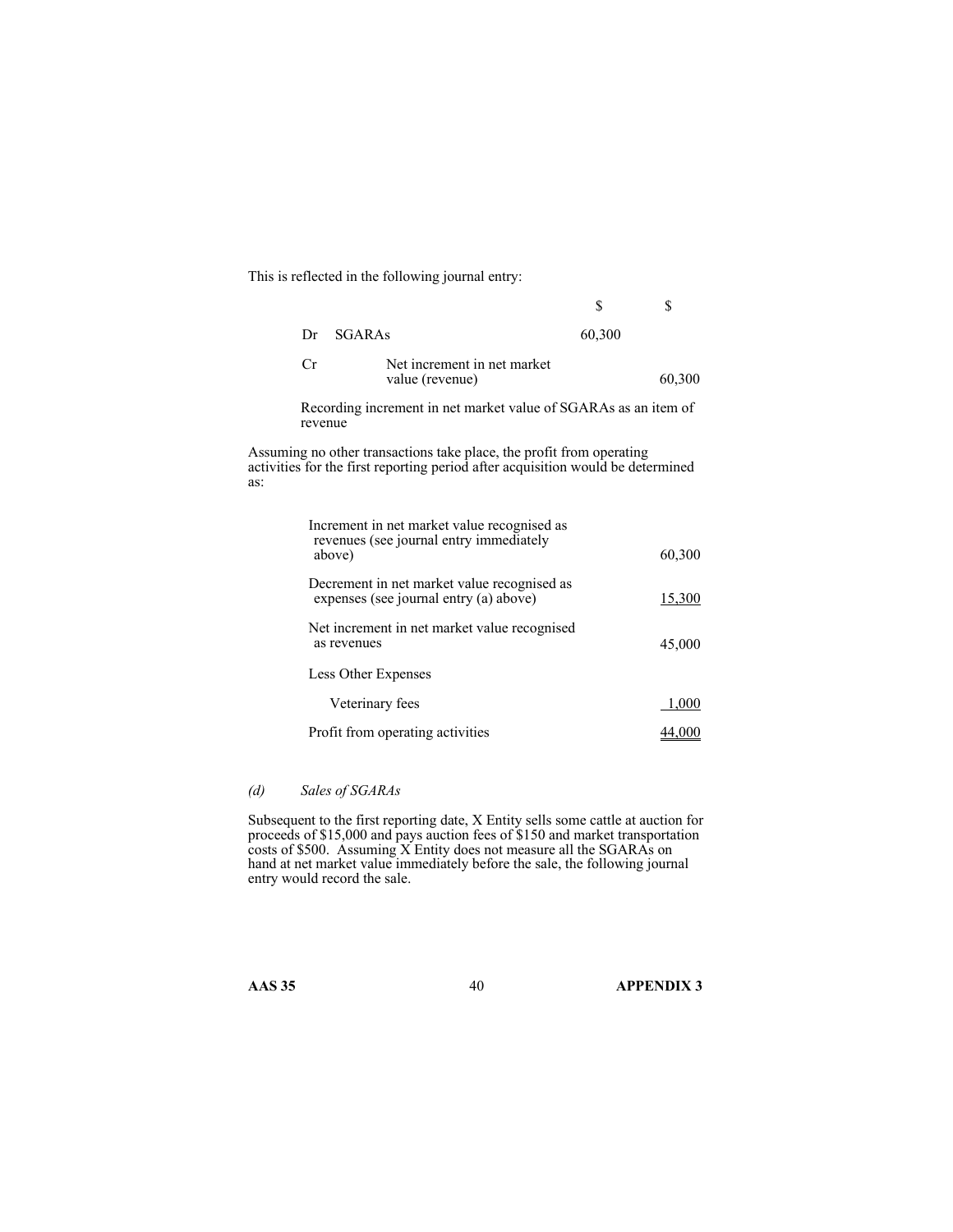This is reflected in the following journal entry:

|     |                                                                                                                                                         | S      | \$            |
|-----|---------------------------------------------------------------------------------------------------------------------------------------------------------|--------|---------------|
| Dr  | <b>SGARAs</b>                                                                                                                                           | 60,300 |               |
| Cr  | Net increment in net market<br>value (revenue)                                                                                                          |        | 60,300        |
|     | Recording increment in net market value of SGARAs as an item of<br>revenue                                                                              |        |               |
| as: | Assuming no other transactions take place, the profit from operating<br>activities for the first reporting period after acquisition would be determined |        |               |
|     | Increment in net market value recognised as<br>revenues (see journal entry immediately<br>above)                                                        |        | 60,300        |
|     | Decrement in net market value recognised as<br>expenses (see journal entry (a) above)                                                                   |        | <u>15,300</u> |
|     | Net increment in net market value recognised<br>as revenues                                                                                             |        | 45,000        |
|     | Less Other Expenses                                                                                                                                     |        |               |
|     | Veterinary fees                                                                                                                                         |        | 1,000         |
|     | Profit from operating activities                                                                                                                        |        | 44,000        |

### *(d) Sales of SGARAs*

Subsequent to the first reporting date, X Entity sells some cattle at auction for proceeds of \$15,000 and pays auction fees of \$150 and market transportation costs of \$500. Assuming  $\overline{X}$  Entity does not measure all the SGARAs on hand at net market value immediately before the sale, the following journal entry would record the sale.

as:

**AAS 35** 40 **APPENDIX 3**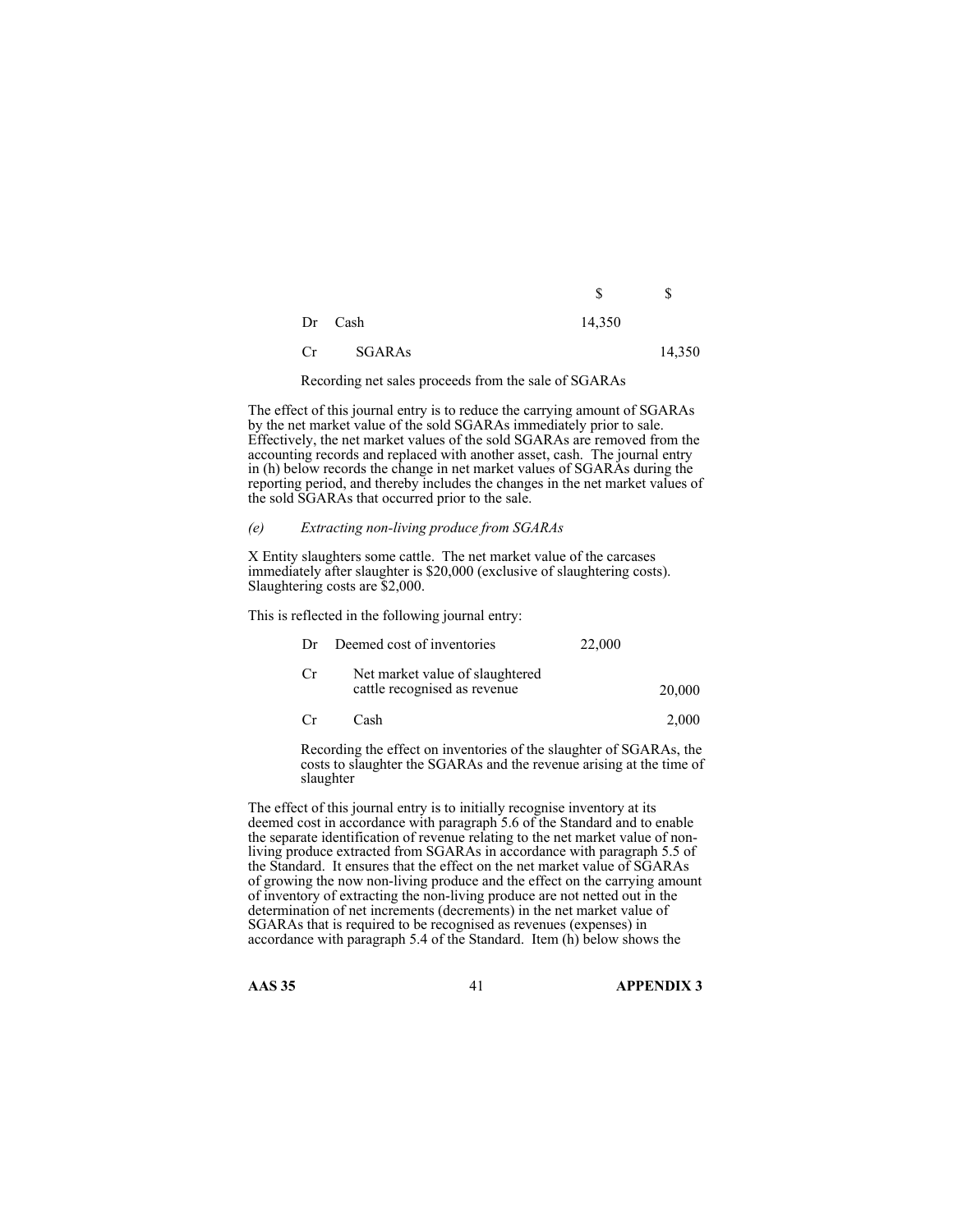|         | S      | S |
|---------|--------|---|
| Dr Cash | 14,350 |   |

Cr SGARAs 14,350

Recording net sales proceeds from the sale of SGARAs

The effect of this journal entry is to reduce the carrying amount of SGARAs by the net market value of the sold SGARAs immediately prior to sale. Effectively, the net market values of the sold SGARAs are removed from the accounting records and replaced with another asset, cash. The journal entry in (h) below records the change in net market values of SGARAs during the reporting period, and thereby includes the changes in the net market values of the sold SGARAs that occurred prior to the sale.

#### *(e) Extracting non-living produce from SGARAs*

X Entity slaughters some cattle. The net market value of the carcases immediately after slaughter is \$20,000 (exclusive of slaughtering costs). Slaughtering costs are \$2,000.

This is reflected in the following journal entry:

| Dr | Deemed cost of inventories                                      | 22,000 |        |
|----|-----------------------------------------------------------------|--------|--------|
| Cr | Net market value of slaughtered<br>cattle recognised as revenue |        | 20,000 |

Cr Cash 2,000

 Recording the effect on inventories of the slaughter of SGARAs, the costs to slaughter the SGARAs and the revenue arising at the time of slaughter

The effect of this journal entry is to initially recognise inventory at its deemed cost in accordance with paragraph 5.6 of the Standard and to enable the separate identification of revenue relating to the net market value of nonliving produce extracted from SGARAs in accordance with paragraph 5.5 of the Standard. It ensures that the effect on the net market value of SGARAs of growing the now non-living produce and the effect on the carrying amount of inventory of extracting the non-living produce are not netted out in the determination of net increments (decrements) in the net market value of SGARAs that is required to be recognised as revenues (expenses) in accordance with paragraph 5.4 of the Standard. Item (h) below shows the

**AAS 35** 41 **APPENDIX 3**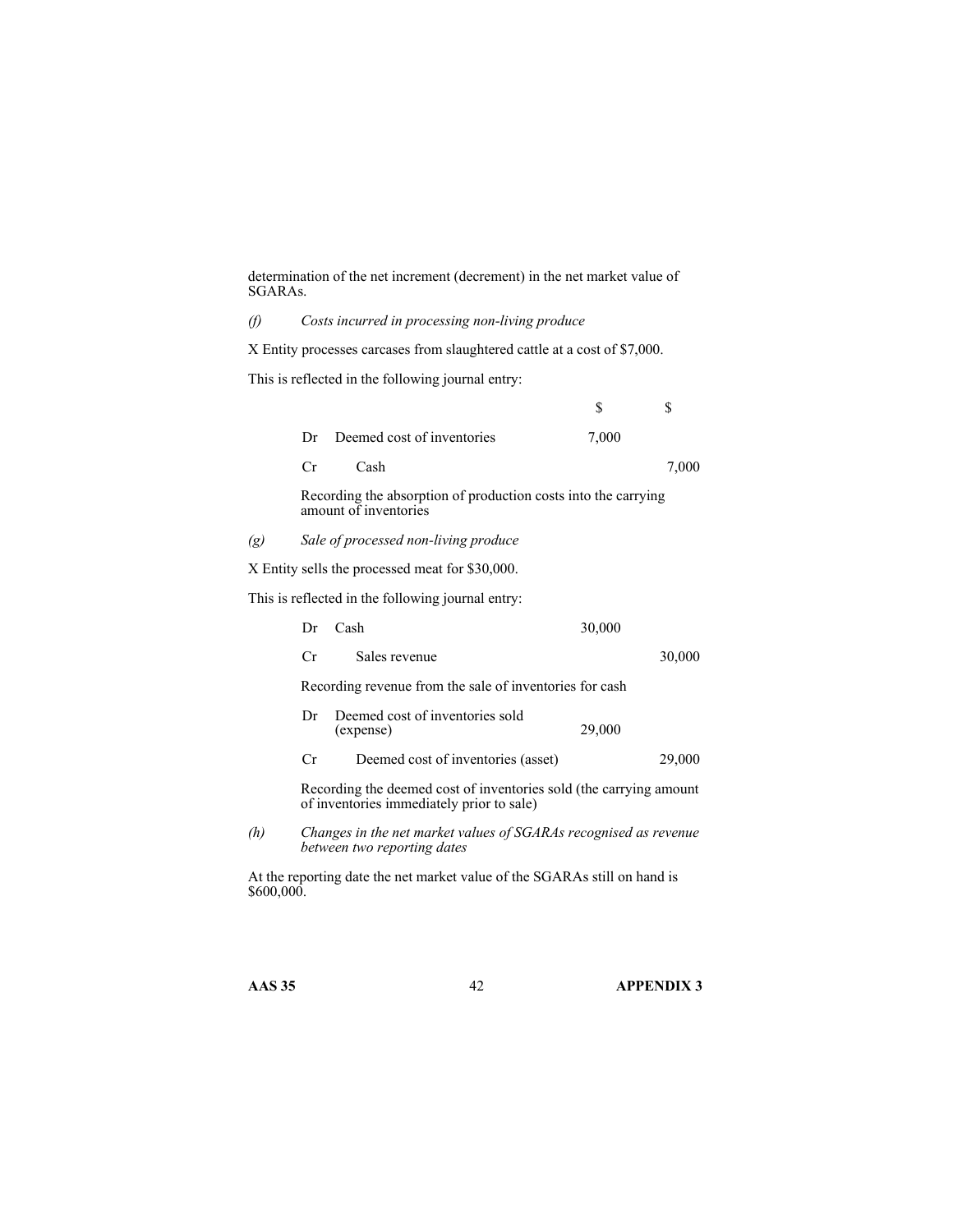determination of the net increment (decrement) in the net market value of SGARAs.

*(f) Costs incurred in processing non-living produce* 

X Entity processes carcases from slaughtered cattle at a cost of \$7,000.

This is reflected in the following journal entry:

|     |     |                                                                                         | \$     | \$     |
|-----|-----|-----------------------------------------------------------------------------------------|--------|--------|
|     | Dr  | Deemed cost of inventories                                                              | 7,000  |        |
|     | Cr  | Cash                                                                                    |        | 7,000  |
|     |     | Recording the absorption of production costs into the carrying<br>amount of inventories |        |        |
| (g) |     | Sale of processed non-living produce                                                    |        |        |
|     |     | X Entity sells the processed meat for \$30,000.                                         |        |        |
|     |     | This is reflected in the following journal entry:                                       |        |        |
|     | Dr  | Cash                                                                                    | 30,000 |        |
|     | Cr. | Sales revenue                                                                           |        | 30,000 |
|     |     | Recording revenue from the sale of inventories for cash                                 |        |        |
|     | Dr  | Deemed cost of inventories sold<br>(expense)                                            | 29,000 |        |
|     | Сr  | Deemed cost of inventories (asset)                                                      |        | 29,000 |

 Recording the deemed cost of inventories sold (the carrying amount of inventories immediately prior to sale)

*(h) Changes in the net market values of SGARAs recognised as revenue between two reporting dates* 

At the reporting date the net market value of the SGARAs still on hand is \$600,000.

**AAS 35** 42 **APPENDIX 3**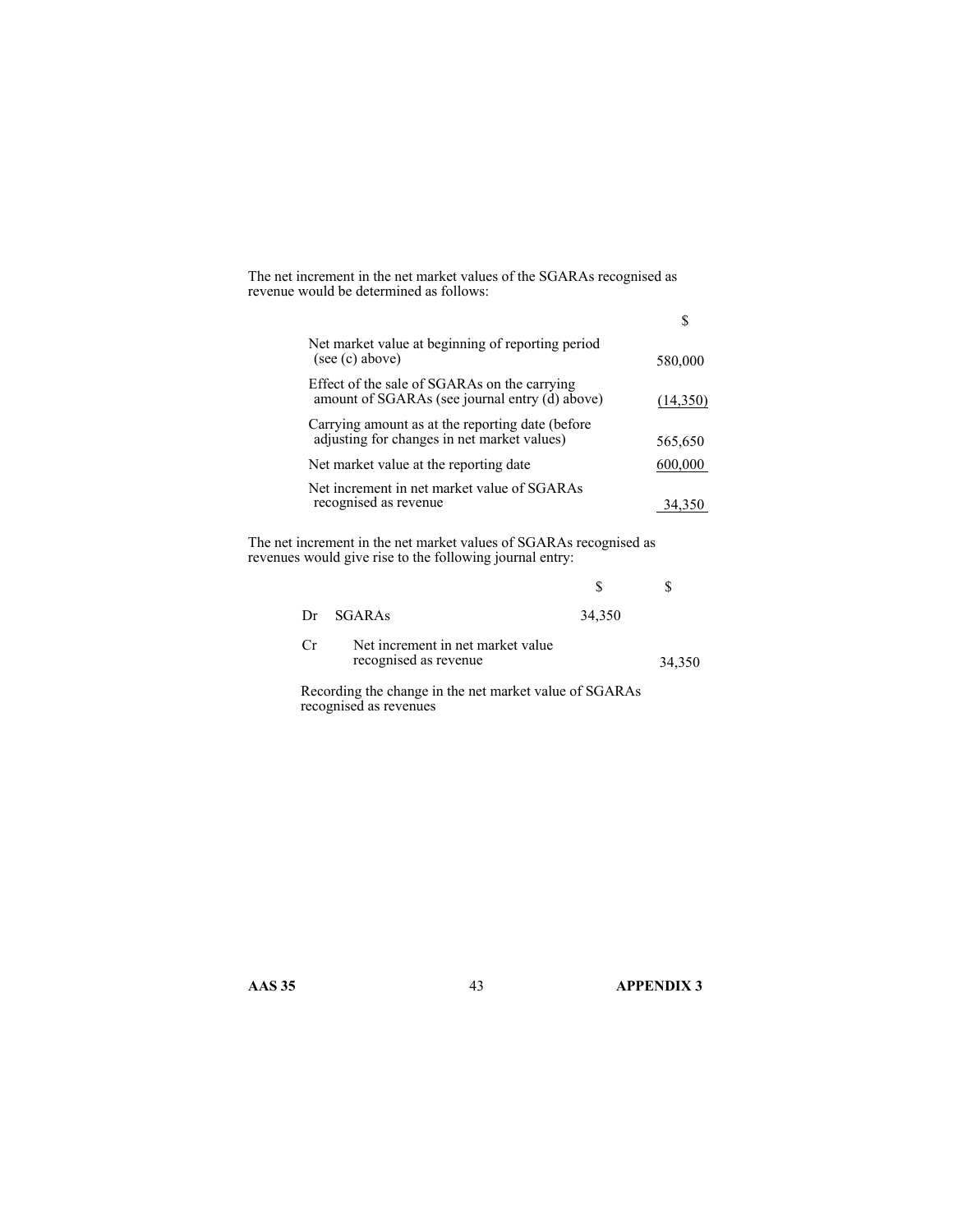The net increment in the net market values of the SGARAs recognised as revenue would be determined as follows:

| Net market value at beginning of reporting period<br>(see (c) above)                            | 580,000  |
|-------------------------------------------------------------------------------------------------|----------|
| Effect of the sale of SGARAs on the carrying<br>amount of SGARAs (see journal entry (d) above)  | (14,350) |
| Carrying amount as at the reporting date (before<br>adjusting for changes in net market values) | 565,650  |
| Net market value at the reporting date                                                          | 600,000  |
| Net increment in net market value of SGARAs<br>recognised as revenue                            | 34.350   |

The net increment in the net market values of SGARAs recognised as revenues would give rise to the following journal entry:

| Dr  | SGARAS                                                     | 34,350                                              |        |
|-----|------------------------------------------------------------|-----------------------------------------------------|--------|
| Cr. | Net increment in net market value<br>recognised as revenue |                                                     | 34,350 |
|     |                                                            | $\alpha$ $\alpha$ $\alpha$ $\beta$ $\alpha$ $\beta$ |        |

 Recording the change in the net market value of SGARAs recognised as revenues

**AAS 35 43 APPENDIX 3**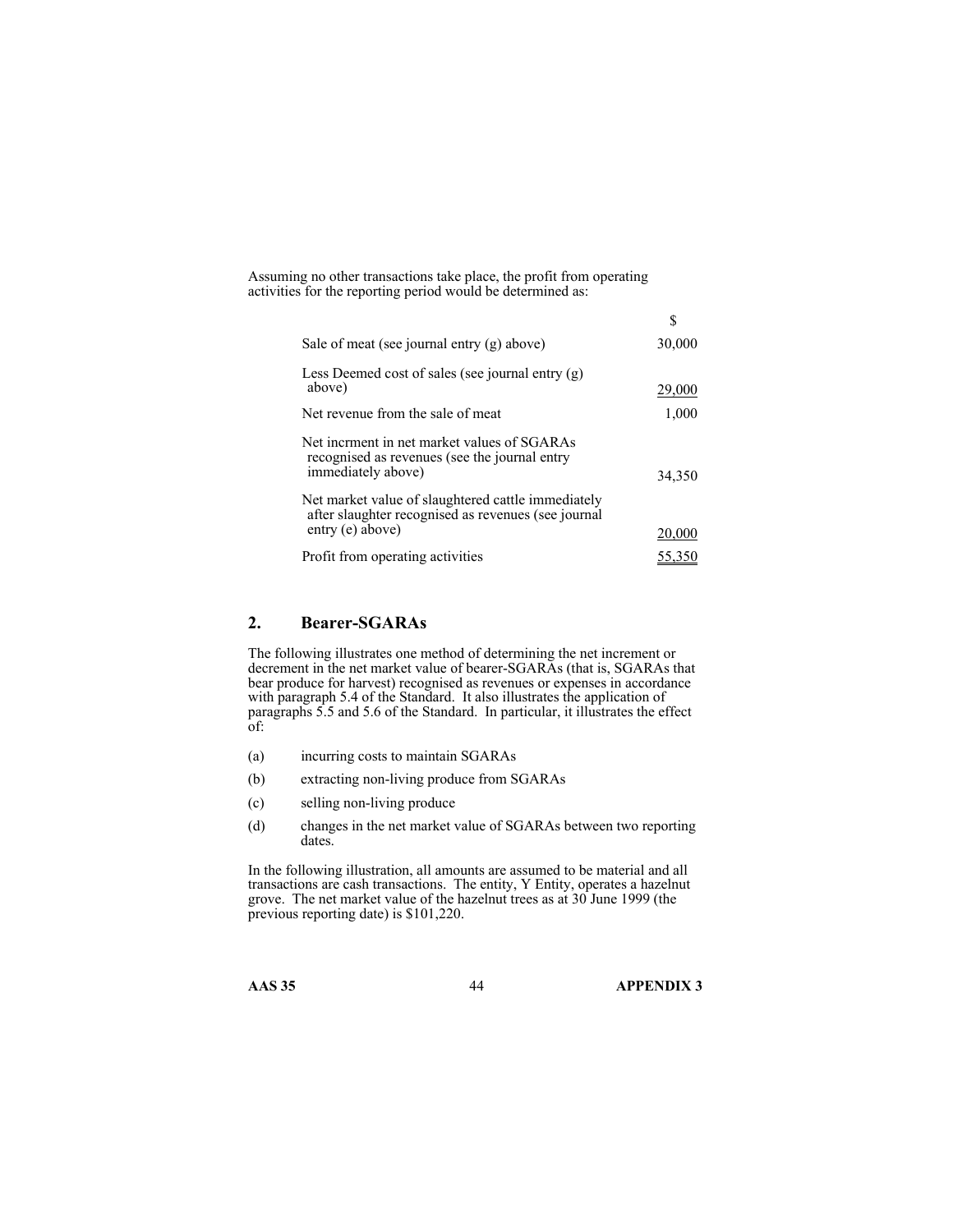Assuming no other transactions take place, the profit from operating activities for the reporting period would be determined as:

|                                                                                                                    | S      |
|--------------------------------------------------------------------------------------------------------------------|--------|
| Sale of meat (see journal entry (g) above)                                                                         | 30,000 |
| Less Deemed cost of sales (see journal entry $(g)$ )<br>above)                                                     | 29,000 |
| Net revenue from the sale of meat                                                                                  | 1,000  |
| Net incrment in net market values of SGARAs<br>recognised as revenues (see the journal entry<br>immediately above) | 34,350 |
| Net market value of slaughtered cattle immediately<br>after slaughter recognised as revenues (see journal          |        |
| entry (e) above)                                                                                                   | 20,000 |
| Profit from operating activities                                                                                   | 55,350 |

### **2. Bearer-SGARAs**

The following illustrates one method of determining the net increment or decrement in the net market value of bearer-SGARAs (that is, SGARAs that bear produce for harvest) recognised as revenues or expenses in accordance with paragraph 5.4 of the Standard. It also illustrates the application of paragraphs 5.5 and 5.6 of the Standard. In particular, it illustrates the effect of:

- (a) incurring costs to maintain SGARAs
- (b) extracting non-living produce from SGARAs
- (c) selling non-living produce
- (d) changes in the net market value of SGARAs between two reporting dates.

In the following illustration, all amounts are assumed to be material and all transactions are cash transactions. The entity, Y Entity, operates a hazelnut grove. The net market value of the hazelnut trees as at 30 June 1999 (the previous reporting date) is \$101,220.

**AAS 35** 44 **APPENDIX 3**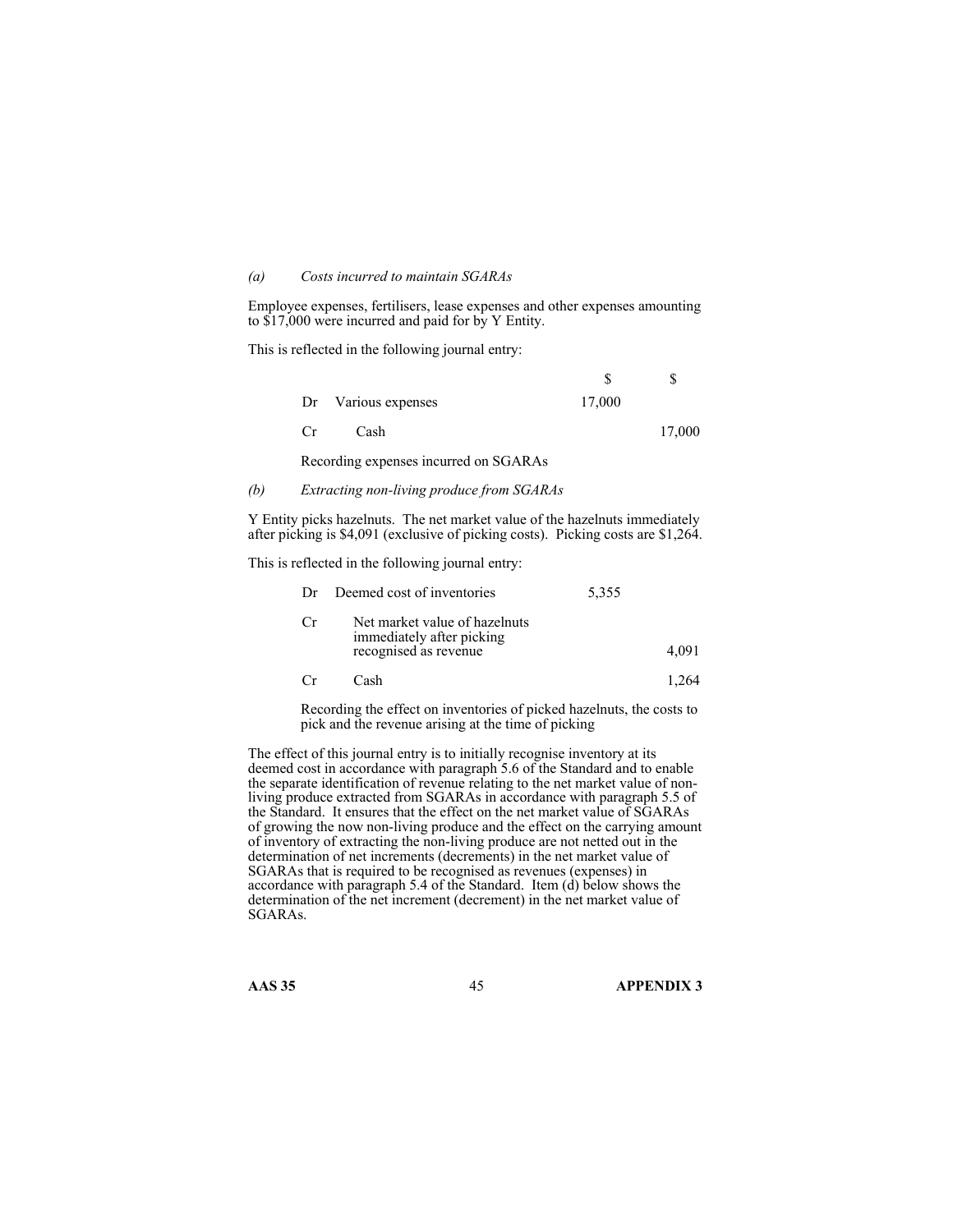#### *(a) Costs incurred to maintain SGARAs*

Employee expenses, fertilisers, lease expenses and other expenses amounting to \$17,000 were incurred and paid for by Y Entity.

This is reflected in the following journal entry:

| Dr Various expenses                   | 17,000 |        |
|---------------------------------------|--------|--------|
| Cash<br>$C_{\rm r}$                   |        | 17,000 |
| Recording expenses incurred on SGARAs |        |        |

#### *(b) Extracting non-living produce from SGARAs*

Y Entity picks hazelnuts. The net market value of the hazelnuts immediately after picking is \$4,091 (exclusive of picking costs). Picking costs are \$1,264.

This is reflected in the following journal entry:

| Dr  | Deemed cost of inventories                                                          | 5,355 |       |
|-----|-------------------------------------------------------------------------------------|-------|-------|
| Cr. | Net market value of hazelnuts<br>immediately after picking<br>recognised as revenue |       | 4.091 |
|     | Cash                                                                                |       |       |

Recording the effect on inventories of picked hazelnuts, the costs to pick and the revenue arising at the time of picking

The effect of this journal entry is to initially recognise inventory at its deemed cost in accordance with paragraph 5.6 of the Standard and to enable the separate identification of revenue relating to the net market value of nonliving produce extracted from SGARAs in accordance with paragraph 5.5 of the Standard. It ensures that the effect on the net market value of SGARAs of growing the now non-living produce and the effect on the carrying amount of inventory of extracting the non-living produce are not netted out in the determination of net increments (decrements) in the net market value of SGARAs that is required to be recognised as revenues (expenses) in accordance with paragraph 5.4 of the Standard. Item  $(d)$  below shows the determination of the net increment (decrement) in the net market value of SGARAs.

**AAS 35** 45 **APPENDIX 3**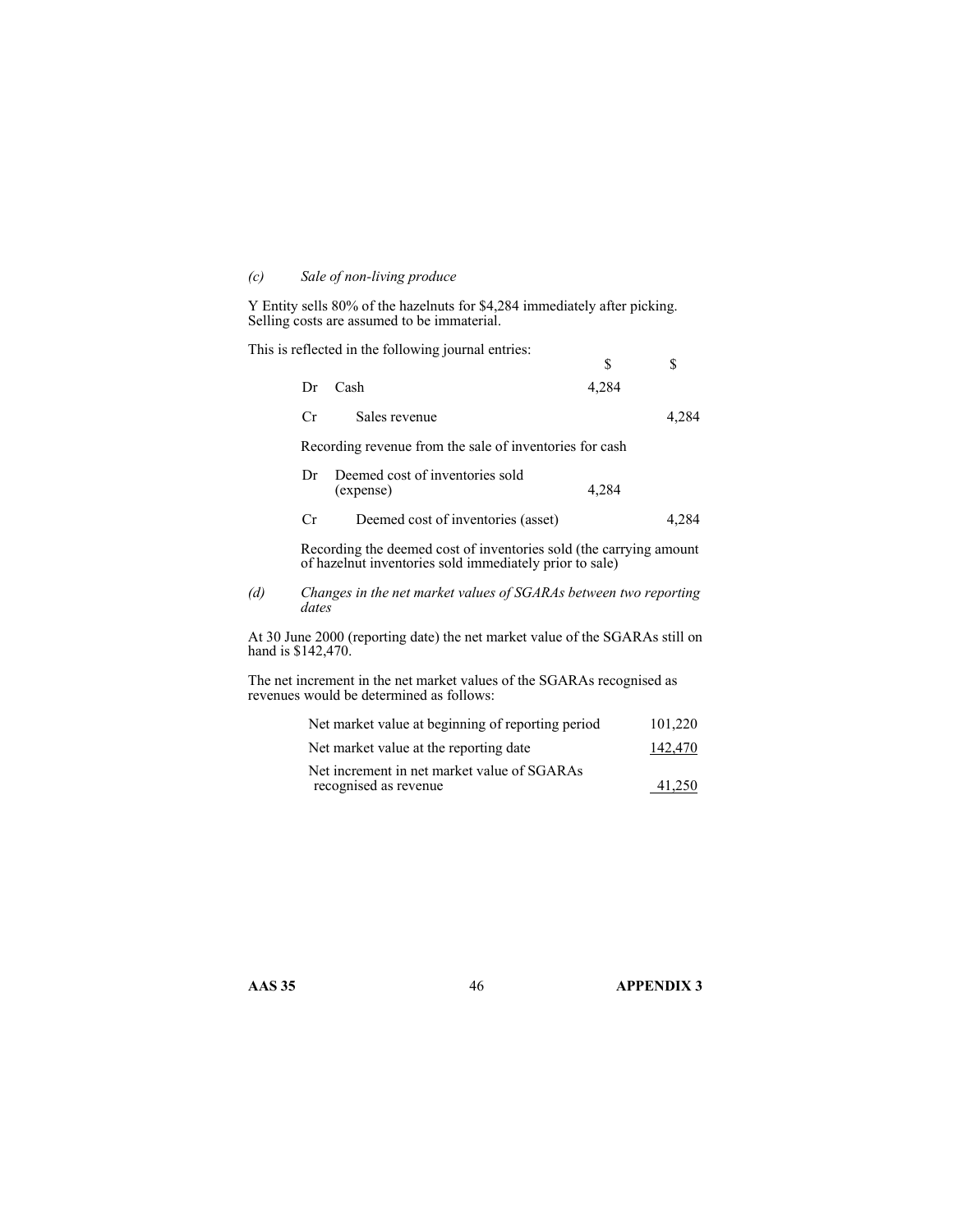### *(c) Sale of non-living produce*

Y Entity sells 80% of the hazelnuts for \$4,284 immediately after picking. Selling costs are assumed to be immaterial.

This is reflected in the following journal entries:

|                    |       |                                                                                                                               | \$    | S       |
|--------------------|-------|-------------------------------------------------------------------------------------------------------------------------------|-------|---------|
|                    | Dr    | Cash                                                                                                                          | 4,284 |         |
|                    | Cr    | Sales revenue                                                                                                                 |       | 4,284   |
|                    |       | Recording revenue from the sale of inventories for cash                                                                       |       |         |
|                    | Dr    | Deemed cost of inventories sold<br>(expense)                                                                                  | 4,284 |         |
|                    | Cr    | Deemed cost of inventories (asset)                                                                                            |       | 4,284   |
|                    |       | Recording the deemed cost of inventories sold (the carrying amount<br>of hazelnut inventories sold immediately prior to sale) |       |         |
| (d)                | dates | Changes in the net market values of SGARAs between two reporting                                                              |       |         |
| hand is \$142,470. |       | At 30 June 2000 (reporting date) the net market value of the SGARAs still on                                                  |       |         |
|                    |       | The net increment in the net market values of the SGARAs recognised as<br>revenues would be determined as follows:            |       |         |
|                    |       | Net market value at beginning of reporting period                                                                             |       | 101,220 |
|                    |       | Net market value at the reporting date                                                                                        |       | 142,470 |

| Net increment in net market value of SGARAs |        |
|---------------------------------------------|--------|
| recognised as revenue                       | 41.250 |

**AAS 35** 46 **APPENDIX 3**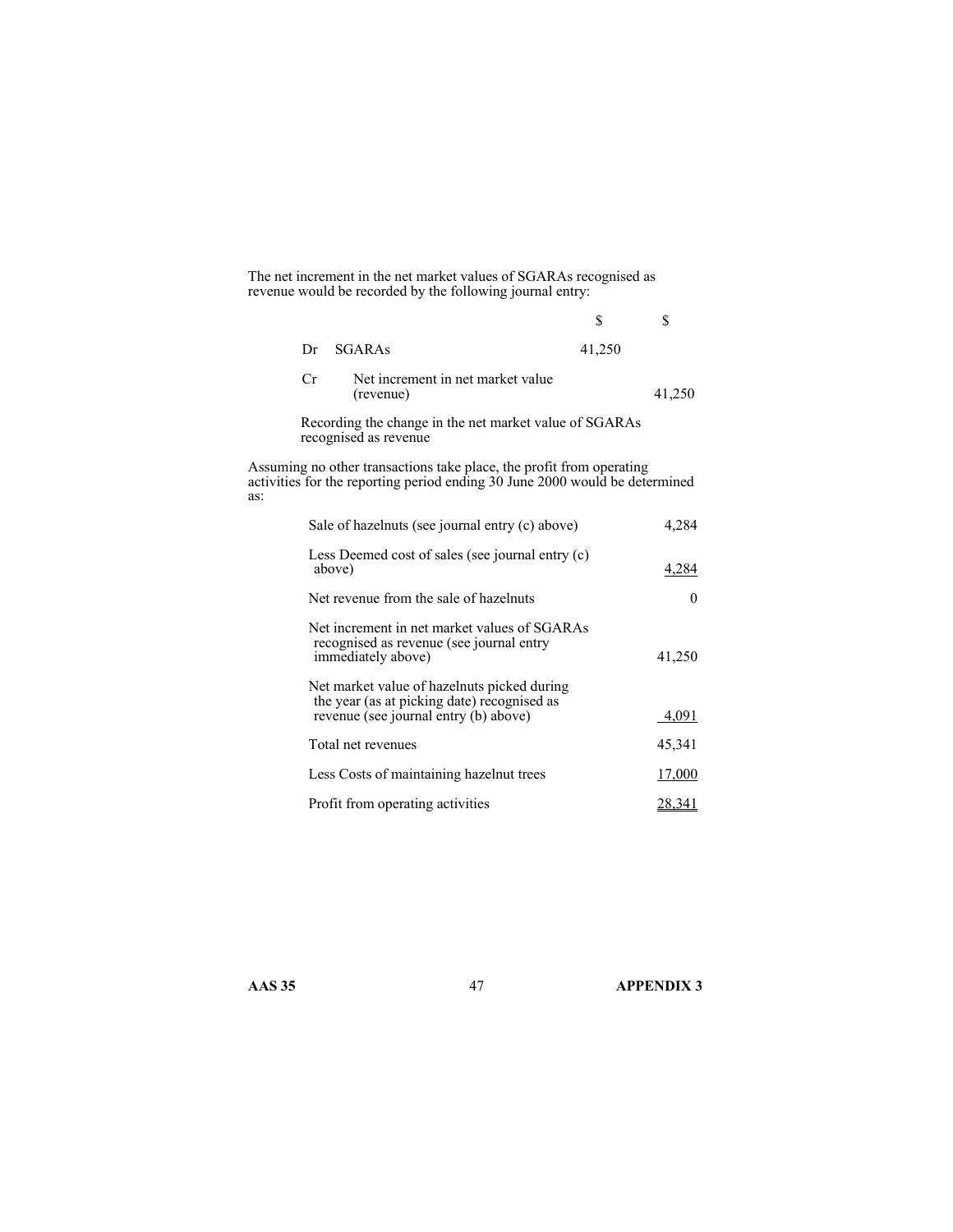The net increment in the net market values of SGARAs recognised as revenue would be recorded by the following journal entry:

|     |        |                                                                                                                                                     | \$     | \$       |
|-----|--------|-----------------------------------------------------------------------------------------------------------------------------------------------------|--------|----------|
|     | Dr     | <b>SGARAS</b>                                                                                                                                       | 41,250 |          |
|     | Cr     | Net increment in net market value<br>(revenue)                                                                                                      |        | 41,250   |
|     |        | Recording the change in the net market value of SGARAs<br>recognised as revenue                                                                     |        |          |
| as: |        | Assuming no other transactions take place, the profit from operating<br>activities for the reporting period ending 30 June 2000 would be determined |        |          |
|     |        | Sale of hazelnuts (see journal entry (c) above)                                                                                                     |        | 4,284    |
|     | above) | Less Deemed cost of sales (see journal entry (c)                                                                                                    |        | 4,284    |
|     |        | Net revenue from the sale of hazelnuts                                                                                                              |        | $\theta$ |
|     |        | Net increment in net market values of SGARAs<br>recognised as revenue (see journal entry<br>immediately above)                                      |        | 41,250   |
|     |        | Net market value of hazelnuts picked during<br>the year (as at picking date) recognised as<br>revenue (see journal entry (b) above)                 |        | 4,091    |
|     |        | Total net revenues                                                                                                                                  |        | 45,341   |
|     |        | Less Costs of maintaining hazelnut trees                                                                                                            |        | 17,000   |
|     |        | Profit from operating activities                                                                                                                    |        | 28,341   |

**AAS 35** 47 **APPENDIX 3**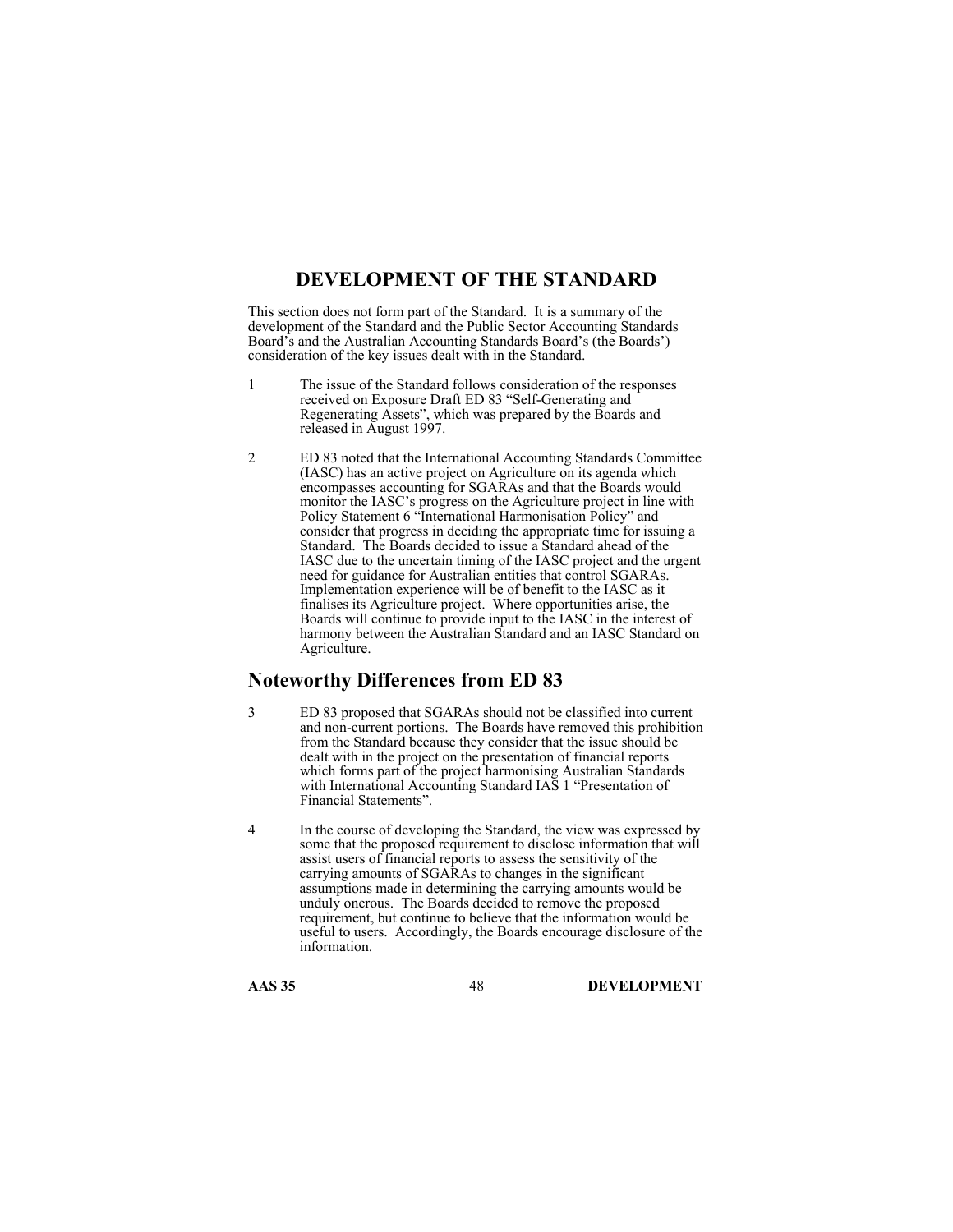# **DEVELOPMENT OF THE STANDARD**

This section does not form part of the Standard. It is a summary of the development of the Standard and the Public Sector Accounting Standards Board's and the Australian Accounting Standards Board's (the Boards') consideration of the key issues dealt with in the Standard.

- 1 The issue of the Standard follows consideration of the responses received on Exposure Draft ED 83 "Self-Generating and Regenerating Assets", which was prepared by the Boards and released in August 1997.
- 2 ED 83 noted that the International Accounting Standards Committee (IASC) has an active project on Agriculture on its agenda which encompasses accounting for SGARAs and that the Boards would monitor the IASC's progress on the Agriculture project in line with Policy Statement 6 "International Harmonisation Policy" and consider that progress in deciding the appropriate time for issuing a Standard. The Boards decided to issue a Standard ahead of the IASC due to the uncertain timing of the IASC project and the urgent need for guidance for Australian entities that control SGARAs. Implementation experience will be of benefit to the IASC as it finalises its Agriculture project. Where opportunities arise, the Boards will continue to provide input to the IASC in the interest of harmony between the Australian Standard and an IASC Standard on Agriculture.

### **Noteworthy Differences from ED 83**

- 3 ED 83 proposed that SGARAs should not be classified into current and non-current portions. The Boards have removed this prohibition from the Standard because they consider that the issue should be dealt with in the project on the presentation of financial reports which forms part of the project harmonising Australian Standards with International Accounting Standard IAS 1 "Presentation of Financial Statements".
- 4 In the course of developing the Standard, the view was expressed by some that the proposed requirement to disclose information that will assist users of financial reports to assess the sensitivity of the carrying amounts of SGARAs to changes in the significant assumptions made in determining the carrying amounts would be unduly onerous. The Boards decided to remove the proposed requirement, but continue to believe that the information would be useful to users. Accordingly, the Boards encourage disclosure of the information.

**AAS 35** 48 **DEVELOPMENT**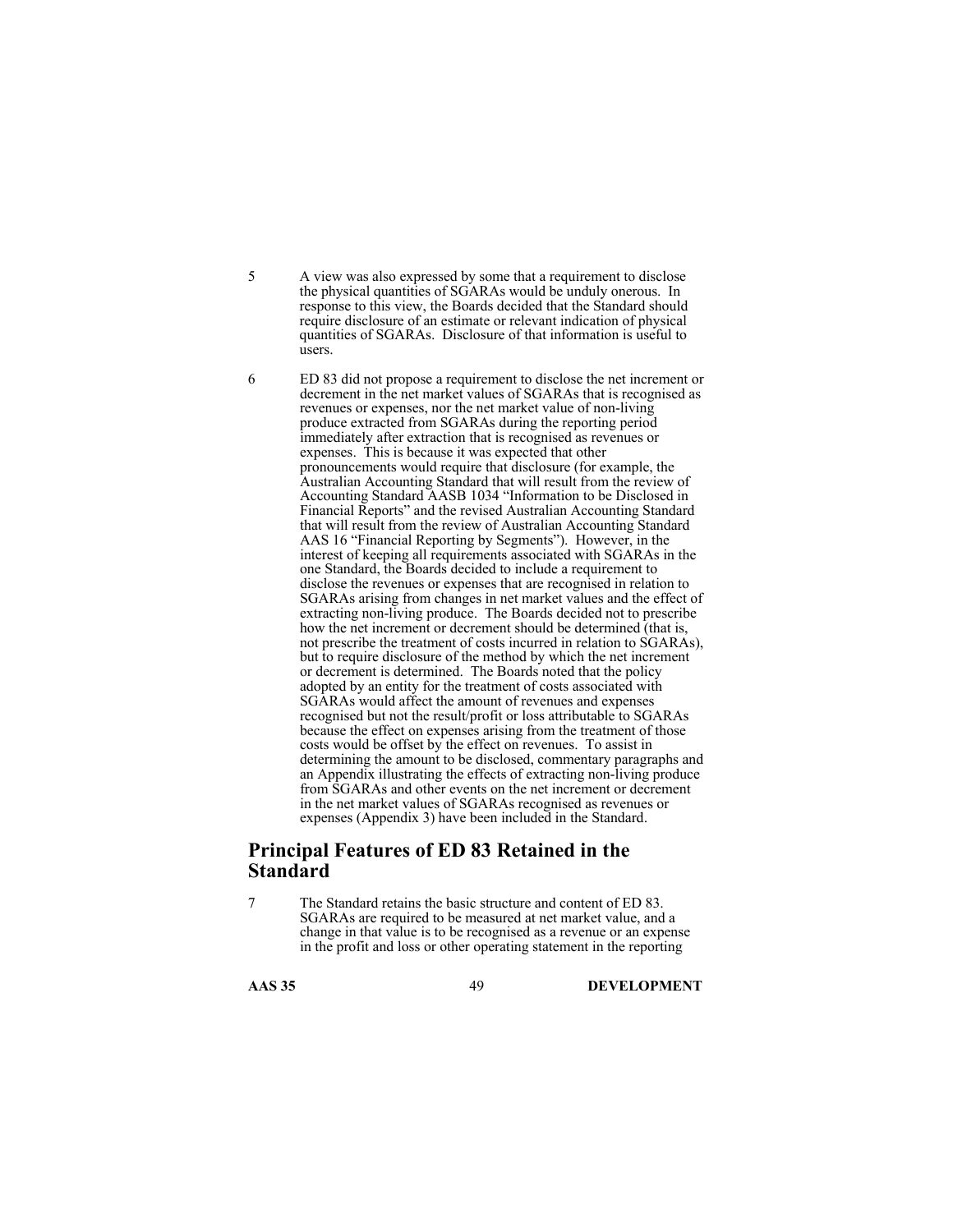- 5 A view was also expressed by some that a requirement to disclose the physical quantities of SGARAs would be unduly onerous. In response to this view, the Boards decided that the Standard should require disclosure of an estimate or relevant indication of physical quantities of SGARAs. Disclosure of that information is useful to users.
- 6 ED 83 did not propose a requirement to disclose the net increment or decrement in the net market values of SGARAs that is recognised as revenues or expenses, nor the net market value of non-living produce extracted from SGARAs during the reporting period immediately after extraction that is recognised as revenues or expenses. This is because it was expected that other pronouncements would require that disclosure (for example, the Australian Accounting Standard that will result from the review of Accounting Standard AASB 1034 "Information to be Disclosed in Financial Reports" and the revised Australian Accounting Standard that will result from the review of Australian Accounting Standard AAS 16 "Financial Reporting by Segments"). However, in the interest of keeping all requirements associated with SGARAs in the one Standard, the Boards decided to include a requirement to disclose the revenues or expenses that are recognised in relation to SGARAs arising from changes in net market values and the effect of extracting non-living produce. The Boards decided not to prescribe how the net increment or decrement should be determined (that is, not prescribe the treatment of costs incurred in relation to SGARAs), but to require disclosure of the method by which the net increment or decrement is determined. The Boards noted that the policy adopted by an entity for the treatment of costs associated with SGARAs would affect the amount of revenues and expenses recognised but not the result/profit or loss attributable to SGARAs because the effect on expenses arising from the treatment of those costs would be offset by the effect on revenues. To assist in determining the amount to be disclosed, commentary paragraphs and an Appendix illustrating the effects of extracting non-living produce from SGARAs and other events on the net increment or decrement in the net market values of SGARAs recognised as revenues or expenses (Appendix 3) have been included in the Standard.

# **Principal Features of ED 83 Retained in the Standard**

7 The Standard retains the basic structure and content of ED 83. SGARAs are required to be measured at net market value, and a change in that value is to be recognised as a revenue or an expense in the profit and loss or other operating statement in the reporting

**AAS 35** 49 **DEVELOPMENT**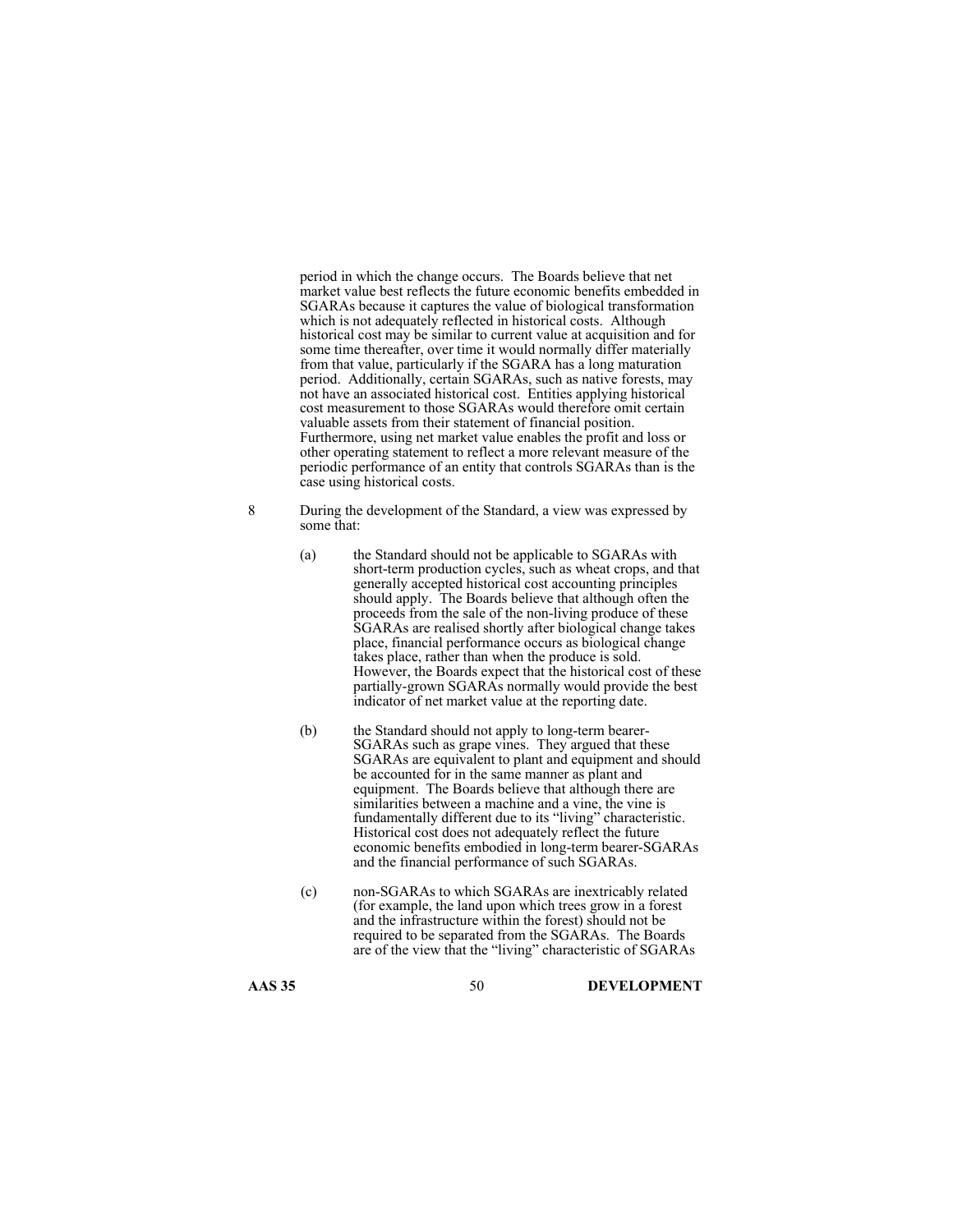period in which the change occurs. The Boards believe that net market value best reflects the future economic benefits embedded in SGARAs because it captures the value of biological transformation which is not adequately reflected in historical costs. Although historical cost may be similar to current value at acquisition and for some time thereafter, over time it would normally differ materially from that value, particularly if the SGARA has a long maturation period. Additionally, certain SGARAs, such as native forests, may not have an associated historical cost. Entities applying historical cost measurement to those SGARAs would therefore omit certain valuable assets from their statement of financial position. Furthermore, using net market value enables the profit and loss or other operating statement to reflect a more relevant measure of the periodic performance of an entity that controls SGARAs than is the case using historical costs.

- 8 During the development of the Standard, a view was expressed by some that:
	- (a) the Standard should not be applicable to SGARAs with short-term production cycles, such as wheat crops, and that generally accepted historical cost accounting principles should apply. The Boards believe that although often the proceeds from the sale of the non-living produce of these SGARAs are realised shortly after biological change takes place, financial performance occurs as biological change takes place, rather than when the produce is sold. However, the Boards expect that the historical cost of these partially-grown SGARAs normally would provide the best indicator of net market value at the reporting date.
	- (b) the Standard should not apply to long-term bearer-SGARAs such as grape vines. They argued that these SGARAs are equivalent to plant and equipment and should be accounted for in the same manner as plant and equipment. The Boards believe that although there are similarities between a machine and a vine, the vine is fundamentally different due to its "living" characteristic. Historical cost does not adequately reflect the future economic benefits embodied in long-term bearer-SGARAs and the financial performance of such SGARAs.
	- (c) non-SGARAs to which SGARAs are inextricably related (for example, the land upon which trees grow in a forest and the infrastructure within the forest) should not be required to be separated from the SGARAs. The Boards are of the view that the "living" characteristic of SGARAs

**AAS 35** 50 **DEVELOPMENT**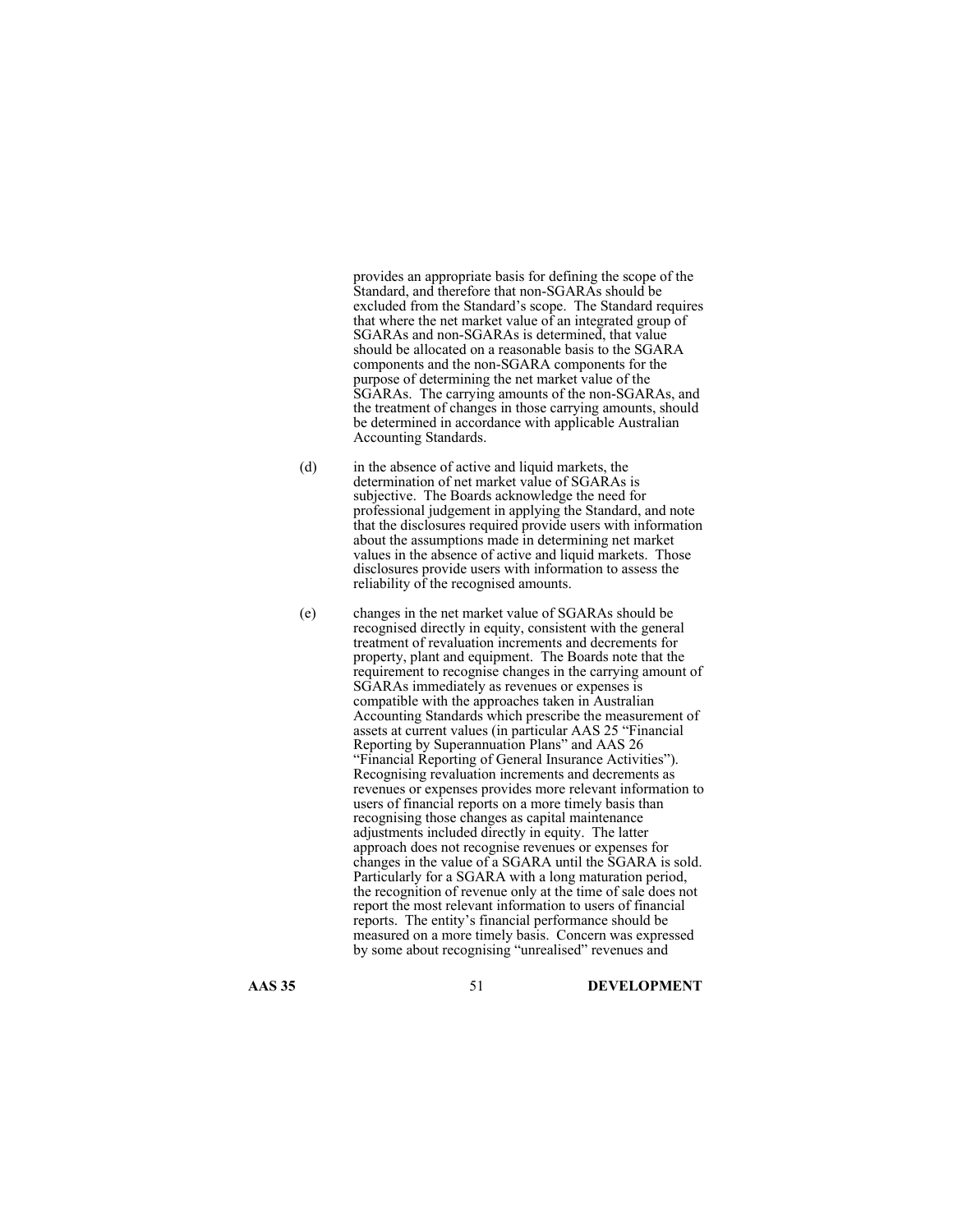provides an appropriate basis for defining the scope of the Standard, and therefore that non-SGARAs should be excluded from the Standard's scope. The Standard requires that where the net market value of an integrated group of SGARAs and non-SGARAs is determined, that value should be allocated on a reasonable basis to the SGARA components and the non-SGARA components for the purpose of determining the net market value of the SGARAs. The carrying amounts of the non-SGARAs, and the treatment of changes in those carrying amounts, should be determined in accordance with applicable Australian Accounting Standards.

- (d) in the absence of active and liquid markets, the determination of net market value of SGARAs is subjective. The Boards acknowledge the need for professional judgement in applying the Standard, and note that the disclosures required provide users with information about the assumptions made in determining net market values in the absence of active and liquid markets. Those disclosures provide users with information to assess the reliability of the recognised amounts.
- (e) changes in the net market value of SGARAs should be recognised directly in equity, consistent with the general treatment of revaluation increments and decrements for property, plant and equipment. The Boards note that the requirement to recognise changes in the carrying amount of SGARAs immediately as revenues or expenses is compatible with the approaches taken in Australian Accounting Standards which prescribe the measurement of assets at current values (in particular AAS 25 "Financial Reporting by Superannuation Plans" and AAS 26 "Financial Reporting of General Insurance Activities"). Recognising revaluation increments and decrements as revenues or expenses provides more relevant information to users of financial reports on a more timely basis than recognising those changes as capital maintenance adjustments included directly in equity. The latter approach does not recognise revenues or expenses for changes in the value of a SGARA until the SGARA is sold. Particularly for a SGARA with a long maturation period, the recognition of revenue only at the time of sale does not report the most relevant information to users of financial reports. The entity's financial performance should be measured on a more timely basis. Concern was expressed by some about recognising "unrealised" revenues and

**AAS 35** 51 **DEVELOPMENT**